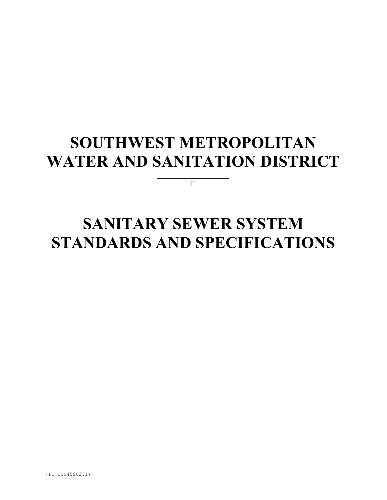# **SOUTHWEST METROPOLITAN WATER AND SANITATION DISTRICT**

 $\mathcal{L}$  , we have the set of the set of the set of the set of the set of the set of the set of the set of the set of the set of the set of the set of the set of the set of the set of the set of the set of the set of the  $\Box$ 

**SANITARY SEWER SYSTEM STANDARDS AND SPECIFICATIONS**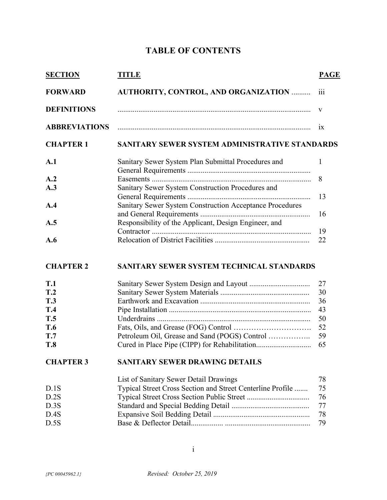# **TABLE OF CONTENTS**

| <b>SECTION</b>                                                                        | <b>TITLE</b>                                                                                         | <b>PAGE</b>                      |
|---------------------------------------------------------------------------------------|------------------------------------------------------------------------------------------------------|----------------------------------|
| <b>FORWARD</b>                                                                        | AUTHORITY, CONTROL, AND ORGANIZATION                                                                 | 111                              |
| <b>DEFINITIONS</b>                                                                    |                                                                                                      | V                                |
| <b>ABBREVIATIONS</b>                                                                  |                                                                                                      | 1X                               |
| <b>CHAPTER 1</b>                                                                      | SANITARY SEWER SYSTEM ADMINISTRATIVE STANDARDS                                                       |                                  |
| A.1                                                                                   | Sanitary Sewer System Plan Submittal Procedures and                                                  | 1                                |
| A.2<br>A.3                                                                            | Sanitary Sewer System Construction Procedures and                                                    | 8                                |
| A.4                                                                                   | Sanitary Sewer System Construction Acceptance Procedures                                             | 13                               |
| A.5                                                                                   | Responsibility of the Applicant, Design Engineer, and                                                | 16                               |
| A.6                                                                                   |                                                                                                      | 19<br>22                         |
| <b>CHAPTER 2</b>                                                                      | SANITARY SEWER SYSTEM TECHNICAL STANDARDS                                                            |                                  |
| <b>T.1</b><br>T <sub>.2</sub><br><b>T.3</b><br><b>T.4</b><br><b>T.5</b><br><b>T.6</b> |                                                                                                      | 27<br>30<br>36<br>43<br>50<br>52 |
| <b>T.7</b><br><b>T.8</b>                                                              | Petroleum Oil, Grease and Sand (POGS) Control<br>Cured in Place Pipe (CIPP) for Rehabilitation       | 59<br>65                         |
| <b>CHAPTER 3</b>                                                                      | <b>SANITARY SEWER DRAWING DETAILS</b>                                                                |                                  |
| D.1S<br>D.2S<br>D.3S<br>D.4S<br>D.5S                                                  | List of Sanitary Sewer Detail Drawings<br>Typical Street Cross Section and Street Centerline Profile | 78<br>75<br>76<br>77<br>78<br>79 |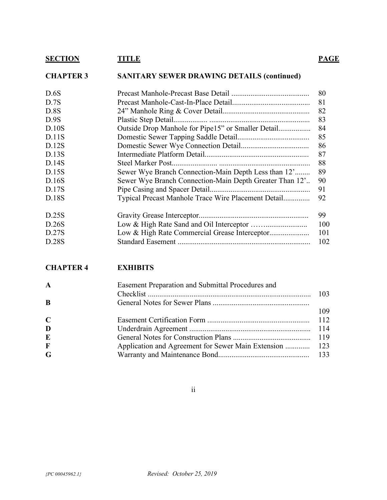### **SECTION TITLE PAGE**

## **CHAPTER 3 SANITARY SEWER DRAWING DETAILS (continued)**

| D.6S  |                                                         | 80  |
|-------|---------------------------------------------------------|-----|
| D.7S  |                                                         | 81  |
| D.8S  |                                                         | 82  |
| D.9S  |                                                         | 83  |
| D.10S |                                                         | 84  |
| D.11S |                                                         | 85  |
| D.12S |                                                         | 86  |
| D.13S |                                                         | 87  |
| D.14S |                                                         | 88  |
| D.15S | Sewer Wye Branch Connection-Main Depth Less than 12'    | 89  |
| D.16S | Sewer Wye Branch Connection-Main Depth Greater Than 12' | 90  |
| D.17S |                                                         | 91  |
| D.18S | Typical Precast Manhole Trace Wire Placement Detail     | 92  |
| D.25S |                                                         | 99  |
| D.26S |                                                         | 100 |
| D.27S |                                                         | 101 |
| D.28S |                                                         | 102 |

#### **CHAPTER 4 EXHIBITS**

| $\mathbf A$  | Easement Preparation and Submittal Procedures and |     |
|--------------|---------------------------------------------------|-----|
| B            |                                                   |     |
|              |                                                   | 109 |
| $\mathbf C$  |                                                   |     |
| D            |                                                   |     |
| E            |                                                   |     |
| $\mathbf{F}$ |                                                   |     |
| G            |                                                   |     |

#### ii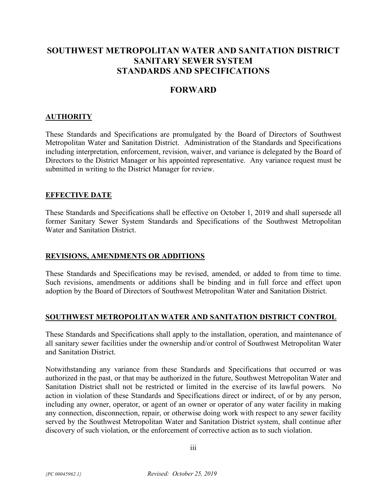### **SOUTHWEST METROPOLITAN WATER AND SANITATION DISTRICT SANITARY SEWER SYSTEM STANDARDS AND SPECIFICATIONS**

### **FORWARD**

#### **AUTHORITY**

These Standards and Specifications are promulgated by the Board of Directors of Southwest Metropolitan Water and Sanitation District. Administration of the Standards and Specifications including interpretation, enforcement, revision, waiver, and variance is delegated by the Board of Directors to the District Manager or his appointed representative. Any variance request must be submitted in writing to the District Manager for review.

#### **EFFECTIVE DATE**

These Standards and Specifications shall be effective on October 1, 2019 and shall supersede all former Sanitary Sewer System Standards and Specifications of the Southwest Metropolitan Water and Sanitation District.

#### **REVISIONS, AMENDMENTS OR ADDITIONS**

These Standards and Specifications may be revised, amended, or added to from time to time. Such revisions, amendments or additions shall be binding and in full force and effect upon adoption by the Board of Directors of Southwest Metropolitan Water and Sanitation District.

#### **SOUTHWEST METROPOLITAN WATER AND SANITATION DISTRICT CONTROL**

These Standards and Specifications shall apply to the installation, operation, and maintenance of all sanitary sewer facilities under the ownership and/or control of Southwest Metropolitan Water and Sanitation District.

Notwithstanding any variance from these Standards and Specifications that occurred or was authorized in the past, or that may be authorized in the future, Southwest Metropolitan Water and Sanitation District shall not be restricted or limited in the exercise of its lawful powers. No action in violation of these Standards and Specifications direct or indirect, of or by any person, including any owner, operator, or agent of an owner or operator of any water facility in making any connection, disconnection, repair, or otherwise doing work with respect to any sewer facility served by the Southwest Metropolitan Water and Sanitation District system, shall continue after discovery of such violation, or the enforcement of corrective action as to such violation.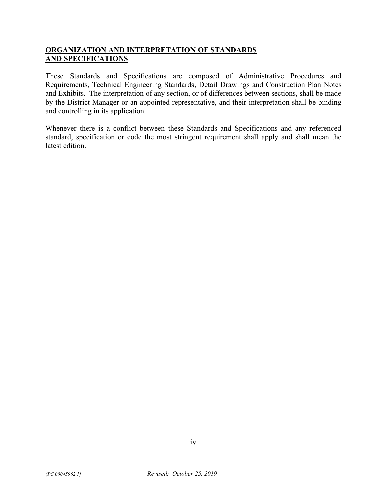#### **ORGANIZATION AND INTERPRETATION OF STANDARDS AND SPECIFICATIONS**

These Standards and Specifications are composed of Administrative Procedures and Requirements, Technical Engineering Standards, Detail Drawings and Construction Plan Notes and Exhibits. The interpretation of any section, or of differences between sections, shall be made by the District Manager or an appointed representative, and their interpretation shall be binding and controlling in its application.

Whenever there is a conflict between these Standards and Specifications and any referenced standard, specification or code the most stringent requirement shall apply and shall mean the latest edition.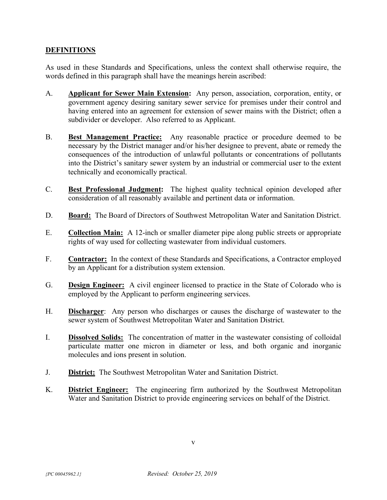#### **DEFINITIONS**

As used in these Standards and Specifications, unless the context shall otherwise require, the words defined in this paragraph shall have the meanings herein ascribed:

- A. **Applicant for Sewer Main Extension:** Any person, association, corporation, entity, or government agency desiring sanitary sewer service for premises under their control and having entered into an agreement for extension of sewer mains with the District; often a subdivider or developer. Also referred to as Applicant.
- B. **Best Management Practice:** Any reasonable practice or procedure deemed to be necessary by the District manager and/or his/her designee to prevent, abate or remedy the consequences of the introduction of unlawful pollutants or concentrations of pollutants into the District's sanitary sewer system by an industrial or commercial user to the extent technically and economically practical.
- C. **Best Professional Judgment:** The highest quality technical opinion developed after consideration of all reasonably available and pertinent data or information.
- D. **Board:** The Board of Directors of Southwest Metropolitan Water and Sanitation District.
- E. **Collection Main:** A 12-inch or smaller diameter pipe along public streets or appropriate rights of way used for collecting wastewater from individual customers.
- F. **Contractor:** In the context of these Standards and Specifications, a Contractor employed by an Applicant for a distribution system extension.
- G. **Design Engineer:** A civil engineer licensed to practice in the State of Colorado who is employed by the Applicant to perform engineering services.
- H. **Discharger**:Any person who discharges or causes the discharge of wastewater to the sewer system of Southwest Metropolitan Water and Sanitation District.
- I. **Dissolved Solids:** The concentration of matter in the wastewater consisting of colloidal particulate matter one micron in diameter or less, and both organic and inorganic molecules and ions present in solution.
- J. **District:** The Southwest Metropolitan Water and Sanitation District.
- K. **District Engineer:** The engineering firm authorized by the Southwest Metropolitan Water and Sanitation District to provide engineering services on behalf of the District.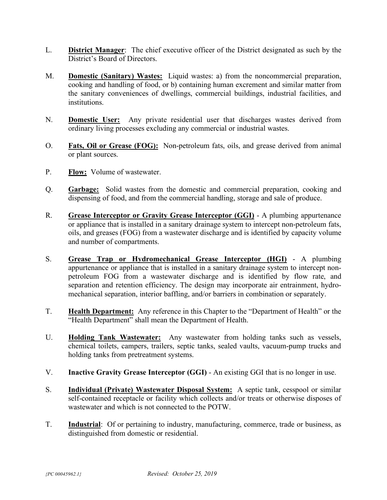- L. **District Manager**: The chief executive officer of the District designated as such by the District's Board of Directors.
- M. **Domestic (Sanitary) Wastes:** Liquid wastes: a) from the noncommercial preparation, cooking and handling of food, or b) containing human excrement and similar matter from the sanitary conveniences of dwellings, commercial buildings, industrial facilities, and institutions.
- N. **Domestic User:** Any private residential user that discharges wastes derived from ordinary living processes excluding any commercial or industrial wastes.
- O. **Fats, Oil or Grease (FOG):** Non-petroleum fats, oils, and grease derived from animal or plant sources.
- P. **Flow:** Volume of wastewater.
- Q. **Garbage:** Solid wastes from the domestic and commercial preparation, cooking and dispensing of food, and from the commercial handling, storage and sale of produce.
- R. **Grease Interceptor or Gravity Grease Interceptor (GGI)** A plumbing appurtenance or appliance that is installed in a sanitary drainage system to intercept non-petroleum fats, oils, and greases (FOG) from a wastewater discharge and is identified by capacity volume and number of compartments.
- S. **Grease Trap or Hydromechanical Grease Interceptor (HGI)** A plumbing appurtenance or appliance that is installed in a sanitary drainage system to intercept nonpetroleum FOG from a wastewater discharge and is identified by flow rate, and separation and retention efficiency. The design may incorporate air entrainment, hydromechanical separation, interior baffling, and/or barriers in combination or separately.
- T. **Health Department:** Any reference in this Chapter to the "Department of Health" or the "Health Department" shall mean the Department of Health.
- U. **Holding Tank Wastewater:** Any wastewater from holding tanks such as vessels, chemical toilets, campers, trailers, septic tanks, sealed vaults, vacuum-pump trucks and holding tanks from pretreatment systems.
- V. **Inactive Gravity Grease Interceptor (GGI)** An existing GGI that is no longer in use.
- S. **Individual (Private) Wastewater Disposal System:** A septic tank, cesspool or similar self-contained receptacle or facility which collects and/or treats or otherwise disposes of wastewater and which is not connected to the POTW.
- T. **Industrial**:Of or pertaining to industry, manufacturing, commerce, trade or business, as distinguished from domestic or residential.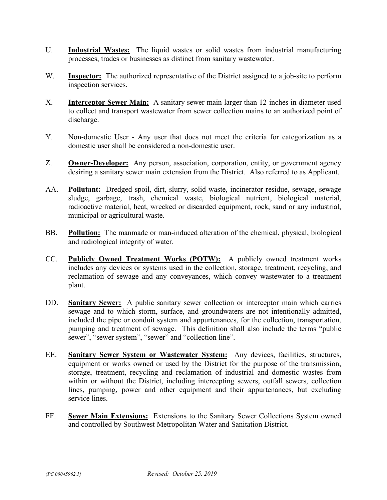- U. **Industrial Wastes:** The liquid wastes or solid wastes from industrial manufacturing processes, trades or businesses as distinct from sanitary wastewater.
- W. **Inspector:** The authorized representative of the District assigned to a job-site to perform inspection services.
- X. **Interceptor Sewer Main:** A sanitary sewer main larger than 12-inches in diameter used to collect and transport wastewater from sewer collection mains to an authorized point of discharge.
- Y. Non-domestic User Any user that does not meet the criteria for categorization as a domestic user shall be considered a non-domestic user.
- Z. **Owner-Developer:** Any person, association, corporation, entity, or government agency desiring a sanitary sewer main extension from the District. Also referred to as Applicant.
- AA. **Pollutant:** Dredged spoil, dirt, slurry, solid waste, incinerator residue, sewage, sewage sludge, garbage, trash, chemical waste, biological nutrient, biological material, radioactive material, heat, wrecked or discarded equipment, rock, sand or any industrial, municipal or agricultural waste.
- BB. **Pollution:** The manmade or man-induced alteration of the chemical, physical, biological and radiological integrity of water.
- CC. **Publicly Owned Treatment Works (POTW):** A publicly owned treatment works includes any devices or systems used in the collection, storage, treatment, recycling, and reclamation of sewage and any conveyances, which convey wastewater to a treatment plant.
- DD. **Sanitary Sewer:** A public sanitary sewer collection or interceptor main which carries sewage and to which storm, surface, and groundwaters are not intentionally admitted, included the pipe or conduit system and appurtenances, for the collection, transportation, pumping and treatment of sewage. This definition shall also include the terms "public sewer", "sewer system", "sewer" and "collection line".
- EE. **Sanitary Sewer System or Wastewater System:** Any devices, facilities, structures, equipment or works owned or used by the District for the purpose of the transmission, storage, treatment, recycling and reclamation of industrial and domestic wastes from within or without the District, including intercepting sewers, outfall sewers, collection lines, pumping, power and other equipment and their appurtenances, but excluding service lines.
- FF. **Sewer Main Extensions:** Extensions to the Sanitary Sewer Collections System owned and controlled by Southwest Metropolitan Water and Sanitation District.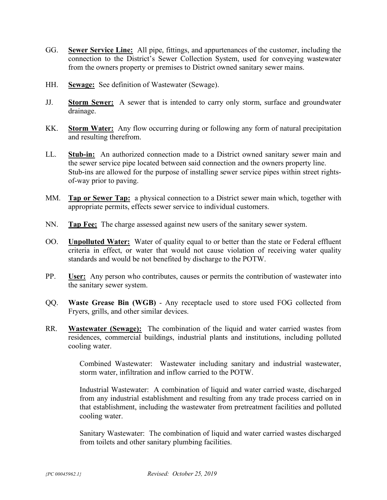- GG. **Sewer Service Line:** All pipe, fittings, and appurtenances of the customer, including the connection to the District's Sewer Collection System, used for conveying wastewater from the owners property or premises to District owned sanitary sewer mains.
- HH. **Sewage:** See definition of Wastewater (Sewage).
- JJ. **Storm Sewer:** A sewer that is intended to carry only storm, surface and groundwater drainage.
- KK. **Storm Water:** Any flow occurring during or following any form of natural precipitation and resulting therefrom.
- LL. **Stub-in:** An authorized connection made to a District owned sanitary sewer main and the sewer service pipe located between said connection and the owners property line. Stub-ins are allowed for the purpose of installing sewer service pipes within street rightsof-way prior to paving.
- MM. **Tap or Sewer Tap:** a physical connection to a District sewer main which, together with appropriate permits, effects sewer service to individual customers.
- NN. **Tap Fee:** The charge assessed against new users of the sanitary sewer system.
- OO. **Unpolluted Water:** Water of quality equal to or better than the state or Federal effluent criteria in effect, or water that would not cause violation of receiving water quality standards and would be not benefited by discharge to the POTW.
- PP. **User:** Any person who contributes, causes or permits the contribution of wastewater into the sanitary sewer system.
- QQ. **Waste Grease Bin (WGB)** Any receptacle used to store used FOG collected from Fryers, grills, and other similar devices.
- RR. **Wastewater (Sewage):** The combination of the liquid and water carried wastes from residences, commercial buildings, industrial plants and institutions, including polluted cooling water.

Combined Wastewater: Wastewater including sanitary and industrial wastewater, storm water, infiltration and inflow carried to the POTW.

Industrial Wastewater: A combination of liquid and water carried waste, discharged from any industrial establishment and resulting from any trade process carried on in that establishment, including the wastewater from pretreatment facilities and polluted cooling water.

Sanitary Wastewater: The combination of liquid and water carried wastes discharged from toilets and other sanitary plumbing facilities.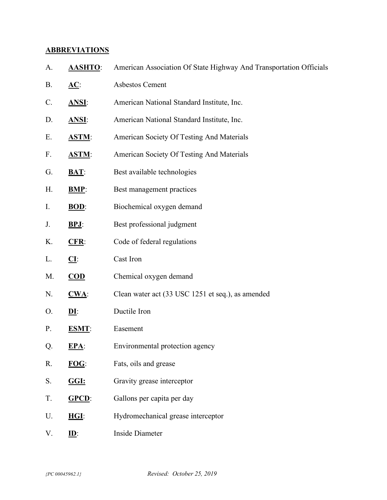#### **ABBREVIATIONS**

- A. **AASHTO**: American Association Of State Highway And Transportation Officials
- B. **AC**: Asbestos Cement
- C. **ANSI**: American National Standard Institute, Inc.
- D. **ANSI**: American National Standard Institute, Inc.
- E. **ASTM**: American Society Of Testing And Materials
- F. **ASTM**: American Society Of Testing And Materials
- G. **BAT:** Best available technologies
- H. **BMP**: Best management practices
- I. **BOD**: Biochemical oxygen demand
- J. **BPJ**: Best professional judgment
- K. **CFR:** Code of federal regulations
- L. **CI**: Cast Iron
- M. **COD** Chemical oxygen demand
- N. **CWA:** Clean water act (33 USC 1251 et seq.), as amended
- O. **DI**: Ductile Iron
- P. **ESMT**: Easement
- Q. **EPA**: Environmental protection agency
- R. **FOG**: Fats, oils and grease
- S. **GGI:** Gravity grease interceptor
- T. **GPCD**: Gallons per capita per day
- U. **HGI:** Hydromechanical grease interceptor
- V. **ID**: Inside Diameter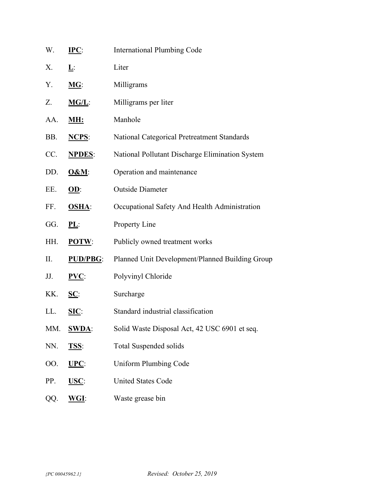| W.  | $\overline{\mathbf{IPC}}$ : | <b>International Plumbing Code</b>              |
|-----|-----------------------------|-------------------------------------------------|
| Х.  | Ŀ.                          | Liter                                           |
| Υ.  | MG:                         | Milligrams                                      |
| Z.  | $MG/L$ :                    | Milligrams per liter                            |
| AA. | <b>MH:</b>                  | Manhole                                         |
| BB. | NCPS:                       | National Categorical Pretreatment Standards     |
| CC. | <b>NPDES:</b>               | National Pollutant Discharge Elimination System |
| DD. | $O&M$ :                     | Operation and maintenance                       |
| EE. | $\underline{\mathbf{OD}}$ : | <b>Outside Diameter</b>                         |
| FF. | <b>OSHA:</b>                | Occupational Safety And Health Administration   |
| GG. | PL:                         | Property Line                                   |
| HH. | POTW:                       | Publicly owned treatment works                  |
| П.  | <b>PUD/PBG:</b>             | Planned Unit Development/Planned Building Group |
| JJ. | PVC:                        | Polyvinyl Chloride                              |
| KK. | <u>SC</u> :                 | Surcharge                                       |
| LL. | SLC                         | Standard industrial classification              |
| MM. | <b>SWDA:</b>                | Solid Waste Disposal Act, 42 USC 6901 et seq.   |
| NN. | <b>TSS:</b>                 | Total Suspended solids                          |
| 00. | UPC:                        | <b>Uniform Plumbing Code</b>                    |
| PP. | USC:                        | <b>United States Code</b>                       |
| QQ. | WGI:                        | Waste grease bin                                |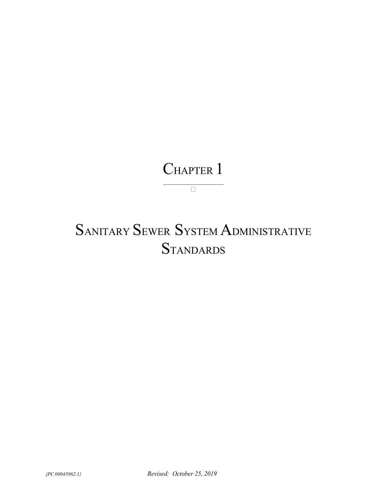# CHAPTER 1

 $\mathcal{L}$  , we have the set of the set of the set of the set of the set of the set of the set of the set of the set of the set of the set of the set of the set of the set of the set of the set of the set of the set of the  $\overline{\square}$ 

# SANITARY SEWER SYSTEM ADMINISTRATIVE **STANDARDS**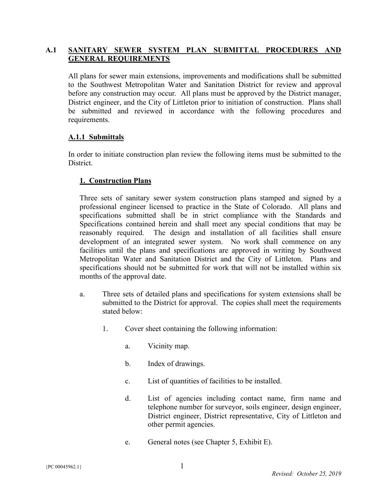#### **A.1 SANITARY SEWER SYSTEM PLAN SUBMITTAL PROCEDURES AND GENERAL REQUIREMENTS**

All plans for sewer main extensions, improvements and modifications shall be submitted to the Southwest Metropolitan Water and Sanitation District for review and approval before any construction may occur. All plans must be approved by the District manager, District engineer, and the City of Littleton prior to initiation of construction. Plans shall be submitted and reviewed in accordance with the following procedures and requirements.

#### **A.1.1 Submittals**

In order to initiate construction plan review the following items must be submitted to the District.

#### **1. Construction Plans**

Three sets of sanitary sewer system construction plans stamped and signed by a professional engineer licensed to practice in the State of Colorado. All plans and specifications submitted shall be in strict compliance with the Standards and Specifications contained herein and shall meet any special conditions that may be reasonably required. The design and installation of all facilities shall ensure development of an integrated sewer system. No work shall commence on any facilities until the plans and specifications are approved in writing by Southwest Metropolitan Water and Sanitation District and the City of Littleton. Plans and specifications should not be submitted for work that will not be installed within six months of the approval date.

- a. Three sets of detailed plans and specifications for system extensions shall be submitted to the District for approval. The copies shall meet the requirements stated below:
	- 1. Cover sheet containing the following information:
		- a. Vicinity map.
		- b. Index of drawings.
		- c. List of quantities of facilities to be installed.
		- d. List of agencies including contact name, firm name and telephone number for surveyor, soils engineer, design engineer, District engineer, District representative, City of Littleton and other permit agencies.
		- e. General notes (see Chapter 5, Exhibit E).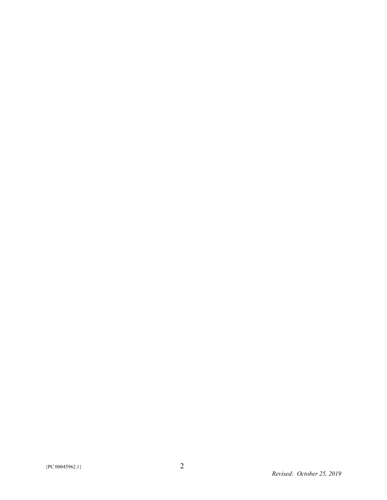{PC 00045962.1}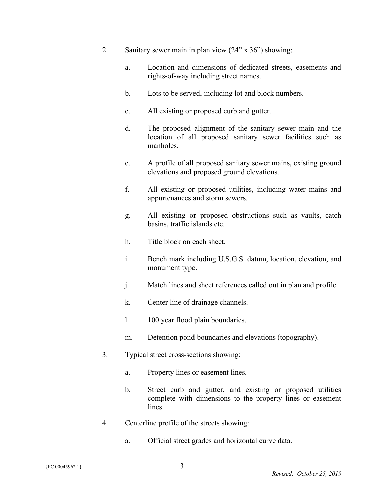- 2. Sanitary sewer main in plan view (24" x 36") showing:
	- a. Location and dimensions of dedicated streets, easements and rights-of-way including street names.
	- b. Lots to be served, including lot and block numbers.
	- c. All existing or proposed curb and gutter.
	- d. The proposed alignment of the sanitary sewer main and the location of all proposed sanitary sewer facilities such as manholes.
	- e. A profile of all proposed sanitary sewer mains, existing ground elevations and proposed ground elevations.
	- f. All existing or proposed utilities, including water mains and appurtenances and storm sewers.
	- g. All existing or proposed obstructions such as vaults, catch basins, traffic islands etc.
	- h. Title block on each sheet.
	- i. Bench mark including U.S.G.S. datum, location, elevation, and monument type.
	- j. Match lines and sheet references called out in plan and profile.
	- k. Center line of drainage channels.
	- l. 100 year flood plain boundaries.
	- m. Detention pond boundaries and elevations (topography).
- 3. Typical street cross-sections showing:
	- a. Property lines or easement lines.
	- b. Street curb and gutter, and existing or proposed utilities complete with dimensions to the property lines or easement lines.
- 4. Centerline profile of the streets showing:
	- a. Official street grades and horizontal curve data.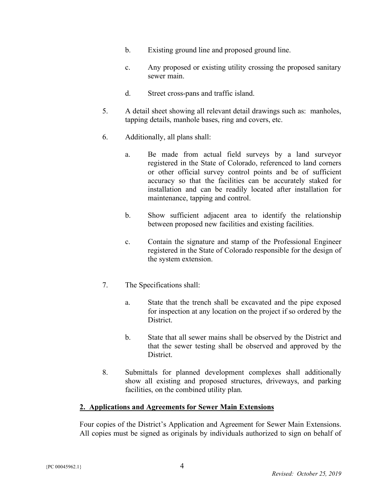- b. Existing ground line and proposed ground line.
- c. Any proposed or existing utility crossing the proposed sanitary sewer main.
- d. Street cross-pans and traffic island.
- 5. A detail sheet showing all relevant detail drawings such as: manholes, tapping details, manhole bases, ring and covers, etc.
- 6. Additionally, all plans shall:
	- a. Be made from actual field surveys by a land surveyor registered in the State of Colorado, referenced to land corners or other official survey control points and be of sufficient accuracy so that the facilities can be accurately staked for installation and can be readily located after installation for maintenance, tapping and control.
	- b. Show sufficient adjacent area to identify the relationship between proposed new facilities and existing facilities.
	- c. Contain the signature and stamp of the Professional Engineer registered in the State of Colorado responsible for the design of the system extension.
- 7. The Specifications shall:
	- a. State that the trench shall be excavated and the pipe exposed for inspection at any location on the project if so ordered by the District.
	- b. State that all sewer mains shall be observed by the District and that the sewer testing shall be observed and approved by the District.
- 8. Submittals for planned development complexes shall additionally show all existing and proposed structures, driveways, and parking facilities, on the combined utility plan.

#### **2. Applications and Agreements for Sewer Main Extensions**

Four copies of the District's Application and Agreement for Sewer Main Extensions. All copies must be signed as originals by individuals authorized to sign on behalf of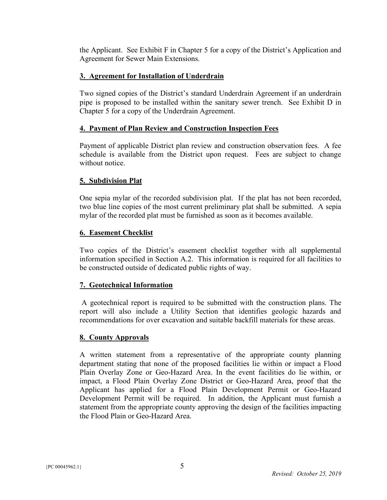the Applicant. See Exhibit F in Chapter 5 for a copy of the District's Application and Agreement for Sewer Main Extensions.

#### **3. Agreement for Installation of Underdrain**

Two signed copies of the District's standard Underdrain Agreement if an underdrain pipe is proposed to be installed within the sanitary sewer trench. See Exhibit D in Chapter 5 for a copy of the Underdrain Agreement.

#### **4. Payment of Plan Review and Construction Inspection Fees**

Payment of applicable District plan review and construction observation fees. A fee schedule is available from the District upon request. Fees are subject to change without notice.

#### **5. Subdivision Plat**

One sepia mylar of the recorded subdivision plat. If the plat has not been recorded, two blue line copies of the most current preliminary plat shall be submitted. A sepia mylar of the recorded plat must be furnished as soon as it becomes available.

#### **6. Easement Checklist**

Two copies of the District's easement checklist together with all supplemental information specified in Section A.2. This information is required for all facilities to be constructed outside of dedicated public rights of way.

#### **7. Geotechnical Information**

A geotechnical report is required to be submitted with the construction plans. The report will also include a Utility Section that identifies geologic hazards and recommendations for over excavation and suitable backfill materials for these areas.

#### **8. County Approvals**

A written statement from a representative of the appropriate county planning department stating that none of the proposed facilities lie within or impact a Flood Plain Overlay Zone or Geo-Hazard Area. In the event facilities do lie within, or impact, a Flood Plain Overlay Zone District or Geo-Hazard Area, proof that the Applicant has applied for a Flood Plain Development Permit or Geo-Hazard Development Permit will be required. In addition, the Applicant must furnish a statement from the appropriate county approving the design of the facilities impacting the Flood Plain or Geo-Hazard Area.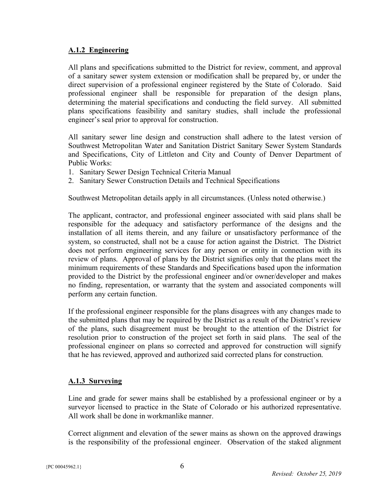#### **A.1.2 Engineering**

All plans and specifications submitted to the District for review, comment, and approval of a sanitary sewer system extension or modification shall be prepared by, or under the direct supervision of a professional engineer registered by the State of Colorado. Said professional engineer shall be responsible for preparation of the design plans, determining the material specifications and conducting the field survey. All submitted plans specifications feasibility and sanitary studies, shall include the professional engineer's seal prior to approval for construction.

All sanitary sewer line design and construction shall adhere to the latest version of Southwest Metropolitan Water and Sanitation District Sanitary Sewer System Standards and Specifications, City of Littleton and City and County of Denver Department of Public Works:

- 1. Sanitary Sewer Design Technical Criteria Manual
- 2. Sanitary Sewer Construction Details and Technical Specifications

Southwest Metropolitan details apply in all circumstances. (Unless noted otherwise.)

The applicant, contractor, and professional engineer associated with said plans shall be responsible for the adequacy and satisfactory performance of the designs and the installation of all items therein, and any failure or unsatisfactory performance of the system, so constructed, shall not be a cause for action against the District. The District does not perform engineering services for any person or entity in connection with its review of plans. Approval of plans by the District signifies only that the plans meet the minimum requirements of these Standards and Specifications based upon the information provided to the District by the professional engineer and/or owner/developer and makes no finding, representation, or warranty that the system and associated components will perform any certain function.

If the professional engineer responsible for the plans disagrees with any changes made to the submitted plans that may be required by the District as a result of the District's review of the plans, such disagreement must be brought to the attention of the District for resolution prior to construction of the project set forth in said plans. The seal of the professional engineer on plans so corrected and approved for construction will signify that he has reviewed, approved and authorized said corrected plans for construction.

#### **A.1.3 Surveying**

Line and grade for sewer mains shall be established by a professional engineer or by a surveyor licensed to practice in the State of Colorado or his authorized representative. All work shall be done in workmanlike manner.

Correct alignment and elevation of the sewer mains as shown on the approved drawings is the responsibility of the professional engineer. Observation of the staked alignment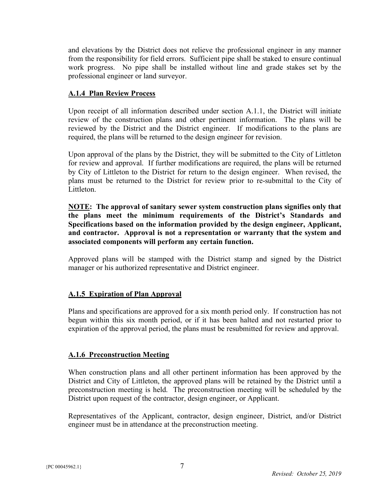and elevations by the District does not relieve the professional engineer in any manner from the responsibility for field errors. Sufficient pipe shall be staked to ensure continual work progress. No pipe shall be installed without line and grade stakes set by the professional engineer or land surveyor.

#### **A.1.4 Plan Review Process**

Upon receipt of all information described under section A.1.1, the District will initiate review of the construction plans and other pertinent information. The plans will be reviewed by the District and the District engineer. If modifications to the plans are required, the plans will be returned to the design engineer for revision.

Upon approval of the plans by the District, they will be submitted to the City of Littleton for review and approval. If further modifications are required, the plans will be returned by City of Littleton to the District for return to the design engineer. When revised, the plans must be returned to the District for review prior to re-submittal to the City of Littleton.

**NOTE: The approval of sanitary sewer system construction plans signifies only that the plans meet the minimum requirements of the District's Standards and Specifications based on the information provided by the design engineer, Applicant, and contractor. Approval is not a representation or warranty that the system and associated components will perform any certain function.**

Approved plans will be stamped with the District stamp and signed by the District manager or his authorized representative and District engineer.

#### **A.1.5 Expiration of Plan Approval**

Plans and specifications are approved for a six month period only. If construction has not begun within this six month period, or if it has been halted and not restarted prior to expiration of the approval period, the plans must be resubmitted for review and approval.

#### **A.1.6 Preconstruction Meeting**

When construction plans and all other pertinent information has been approved by the District and City of Littleton, the approved plans will be retained by the District until a preconstruction meeting is held. The preconstruction meeting will be scheduled by the District upon request of the contractor, design engineer, or Applicant.

Representatives of the Applicant, contractor, design engineer, District, and/or District engineer must be in attendance at the preconstruction meeting.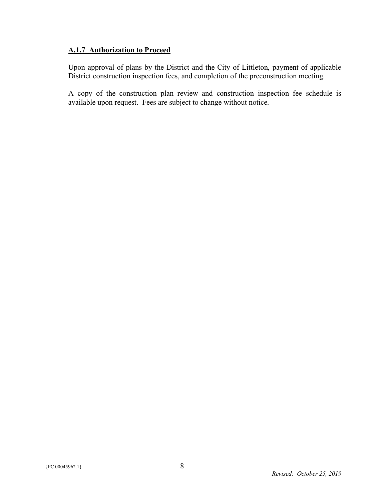#### **A.1.7 Authorization to Proceed**

Upon approval of plans by the District and the City of Littleton, payment of applicable District construction inspection fees, and completion of the preconstruction meeting.

A copy of the construction plan review and construction inspection fee schedule is available upon request. Fees are subject to change without notice.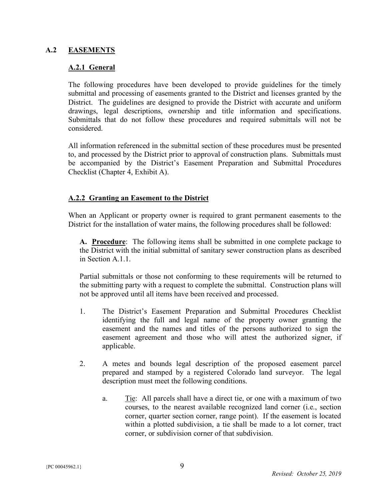#### **A.2 EASEMENTS**

#### **A.2.1 General**

The following procedures have been developed to provide guidelines for the timely submittal and processing of easements granted to the District and licenses granted by the District. The guidelines are designed to provide the District with accurate and uniform drawings, legal descriptions, ownership and title information and specifications. Submittals that do not follow these procedures and required submittals will not be considered.

All information referenced in the submittal section of these procedures must be presented to, and processed by the District prior to approval of construction plans. Submittals must be accompanied by the District's Easement Preparation and Submittal Procedures Checklist (Chapter 4, Exhibit A).

#### **A.2.2 Granting an Easement to the District**

When an Applicant or property owner is required to grant permanent easements to the District for the installation of water mains, the following procedures shall be followed:

**A. Procedure**: The following items shall be submitted in one complete package to the District with the initial submittal of sanitary sewer construction plans as described in Section A.1.1.

Partial submittals or those not conforming to these requirements will be returned to the submitting party with a request to complete the submittal. Construction plans will not be approved until all items have been received and processed.

- 1. The District's Easement Preparation and Submittal Procedures Checklist identifying the full and legal name of the property owner granting the easement and the names and titles of the persons authorized to sign the easement agreement and those who will attest the authorized signer, if applicable.
- 2. A metes and bounds legal description of the proposed easement parcel prepared and stamped by a registered Colorado land surveyor. The legal description must meet the following conditions.
	- a. Tie: All parcels shall have a direct tie, or one with a maximum of two courses, to the nearest available recognized land corner (i.e., section corner, quarter section corner, range point). If the easement is located within a plotted subdivision, a tie shall be made to a lot corner, tract corner, or subdivision corner of that subdivision.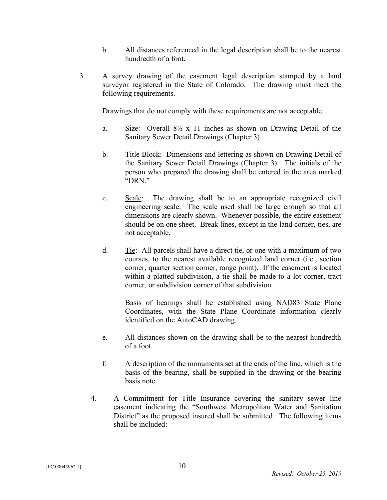- b. All distances referenced in the legal description shall be to the nearest hundredth of a foot.
- 3. A survey drawing of the easement legal description stamped by a land surveyor registered in the State of Colorado. The drawing must meet the following requirements.

Drawings that do not comply with these requirements are not acceptable.

- a. Size: Overall 8½ x 11 inches as shown on Drawing Detail of the Sanitary Sewer Detail Drawings (Chapter 3).
- b. Title Block: Dimensions and lettering as shown on Drawing Detail of the Sanitary Sewer Detail Drawings (Chapter 3). The initials of the person who prepared the drawing shall be entered in the area marked "DRN."
- c. Scale: The drawing shall be to an appropriate recognized civil engineering scale. The scale used shall be large enough so that all dimensions are clearly shown. Whenever possible, the entire easement should be on one sheet. Break lines, except in the land corner, ties, are not acceptable.
- d. Tie: All parcels shall have a direct tie, or one with a maximum of two courses, to the nearest available recognized land corner (i.e., section corner, quarter section corner, range point). If the easement is located within a platted subdivision, a tie shall be made to a lot corner, tract corner, or subdivision corner of that subdivision.

Basis of bearings shall be established using NAD83 State Plane Coordinates, with the State Plane Coordinate information clearly identified on the AutoCAD drawing.

- e. All distances shown on the drawing shall be to the nearest hundredth of a foot.
- f. A description of the monuments set at the ends of the line, which is the basis of the bearing, shall be supplied in the drawing or the bearing basis note.
- 4. A Commitment for Title Insurance covering the sanitary sewer line easement indicating the "Southwest Metropolitan Water and Sanitation District" as the proposed insured shall be submitted. The following items shall be included: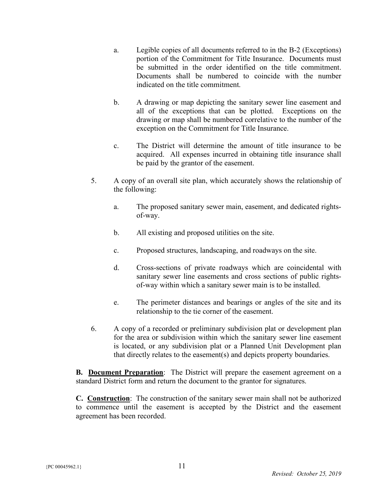- a. Legible copies of all documents referred to in the B-2 (Exceptions) portion of the Commitment for Title Insurance. Documents must be submitted in the order identified on the title commitment. Documents shall be numbered to coincide with the number indicated on the title commitment.
- b. A drawing or map depicting the sanitary sewer line easement and all of the exceptions that can be plotted. Exceptions on the drawing or map shall be numbered correlative to the number of the exception on the Commitment for Title Insurance.
- c. The District will determine the amount of title insurance to be acquired. All expenses incurred in obtaining title insurance shall be paid by the grantor of the easement.
- 5. A copy of an overall site plan, which accurately shows the relationship of the following:
	- a. The proposed sanitary sewer main, easement, and dedicated rightsof-way.
	- b. All existing and proposed utilities on the site.
	- c. Proposed structures, landscaping, and roadways on the site.
	- d. Cross-sections of private roadways which are coincidental with sanitary sewer line easements and cross sections of public rightsof-way within which a sanitary sewer main is to be installed.
	- e. The perimeter distances and bearings or angles of the site and its relationship to the tie corner of the easement.
- 6. A copy of a recorded or preliminary subdivision plat or development plan for the area or subdivision within which the sanitary sewer line easement is located, or any subdivision plat or a Planned Unit Development plan that directly relates to the easement(s) and depicts property boundaries.

**B. Document Preparation**: The District will prepare the easement agreement on a standard District form and return the document to the grantor for signatures.

**C. Construction**: The construction of the sanitary sewer main shall not be authorized to commence until the easement is accepted by the District and the easement agreement has been recorded.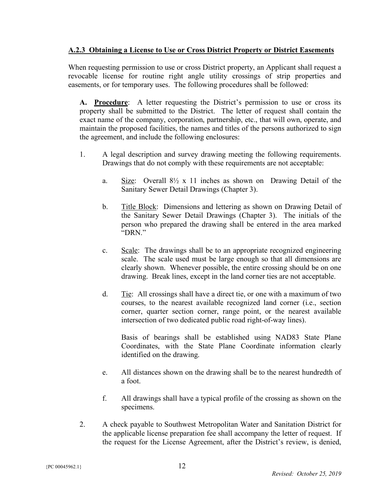#### **A.2.3 Obtaining a License to Use or Cross District Property or District Easements**

When requesting permission to use or cross District property, an Applicant shall request a revocable license for routine right angle utility crossings of strip properties and easements, or for temporary uses. The following procedures shall be followed:

**A. Procedure**: A letter requesting the District's permission to use or cross its property shall be submitted to the District. The letter of request shall contain the exact name of the company, corporation, partnership, etc., that will own, operate, and maintain the proposed facilities, the names and titles of the persons authorized to sign the agreement, and include the following enclosures:

- 1. A legal description and survey drawing meeting the following requirements. Drawings that do not comply with these requirements are not acceptable:
	- a. Size: Overall 8½ x 11 inches as shown on Drawing Detail of the Sanitary Sewer Detail Drawings (Chapter 3).
	- b. Title Block: Dimensions and lettering as shown on Drawing Detail of the Sanitary Sewer Detail Drawings (Chapter 3). The initials of the person who prepared the drawing shall be entered in the area marked "DRN."
	- c. Scale: The drawings shall be to an appropriate recognized engineering scale. The scale used must be large enough so that all dimensions are clearly shown. Whenever possible, the entire crossing should be on one drawing. Break lines, except in the land corner ties are not acceptable.
	- d. Tie: All crossings shall have a direct tie, or one with a maximum of two courses, to the nearest available recognized land corner (i.e., section corner, quarter section corner, range point, or the nearest available intersection of two dedicated public road right-of-way lines).

Basis of bearings shall be established using NAD83 State Plane Coordinates, with the State Plane Coordinate information clearly identified on the drawing.

- e. All distances shown on the drawing shall be to the nearest hundredth of a foot.
- f. All drawings shall have a typical profile of the crossing as shown on the specimens.
- 2. A check payable to Southwest Metropolitan Water and Sanitation District for the applicable license preparation fee shall accompany the letter of request. If the request for the License Agreement, after the District's review, is denied,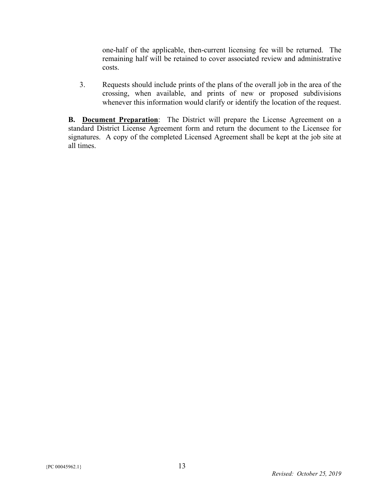one-half of the applicable, then-current licensing fee will be returned. The remaining half will be retained to cover associated review and administrative costs.

3. Requests should include prints of the plans of the overall job in the area of the crossing, when available, and prints of new or proposed subdivisions whenever this information would clarify or identify the location of the request.

**B. Document Preparation**: The District will prepare the License Agreement on a standard District License Agreement form and return the document to the Licensee for signatures. A copy of the completed Licensed Agreement shall be kept at the job site at all times.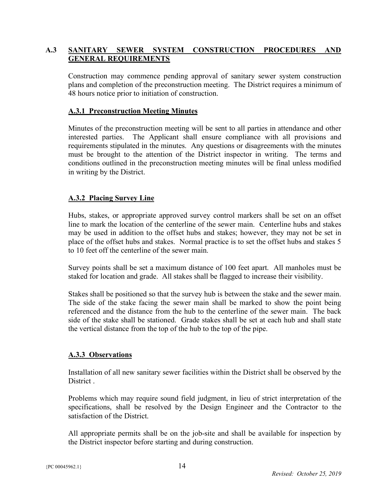#### **A.3 SANITARY SEWER SYSTEM CONSTRUCTION PROCEDURES AND GENERAL REQUIREMENTS**

Construction may commence pending approval of sanitary sewer system construction plans and completion of the preconstruction meeting. The District requires a minimum of 48 hours notice prior to initiation of construction.

#### **A.3.1 Preconstruction Meeting Minutes**

Minutes of the preconstruction meeting will be sent to all parties in attendance and other interested parties. The Applicant shall ensure compliance with all provisions and requirements stipulated in the minutes. Any questions or disagreements with the minutes must be brought to the attention of the District inspector in writing. The terms and conditions outlined in the preconstruction meeting minutes will be final unless modified in writing by the District.

#### **A.3.2 Placing Survey Line**

Hubs, stakes, or appropriate approved survey control markers shall be set on an offset line to mark the location of the centerline of the sewer main. Centerline hubs and stakes may be used in addition to the offset hubs and stakes; however, they may not be set in place of the offset hubs and stakes. Normal practice is to set the offset hubs and stakes 5 to 10 feet off the centerline of the sewer main.

Survey points shall be set a maximum distance of 100 feet apart. All manholes must be staked for location and grade. All stakes shall be flagged to increase their visibility.

Stakes shall be positioned so that the survey hub is between the stake and the sewer main. The side of the stake facing the sewer main shall be marked to show the point being referenced and the distance from the hub to the centerline of the sewer main. The back side of the stake shall be stationed. Grade stakes shall be set at each hub and shall state the vertical distance from the top of the hub to the top of the pipe.

#### **A.3.3 Observations**

Installation of all new sanitary sewer facilities within the District shall be observed by the District.

Problems which may require sound field judgment, in lieu of strict interpretation of the specifications, shall be resolved by the Design Engineer and the Contractor to the satisfaction of the District.

All appropriate permits shall be on the job-site and shall be available for inspection by the District inspector before starting and during construction.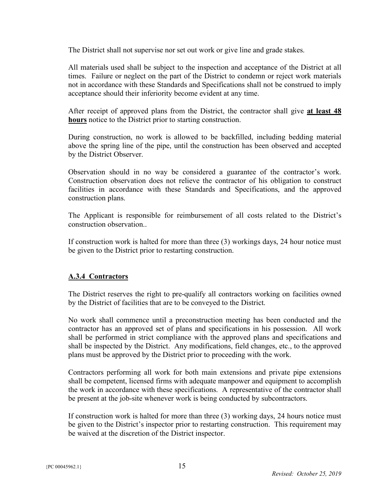The District shall not supervise nor set out work or give line and grade stakes.

All materials used shall be subject to the inspection and acceptance of the District at all times. Failure or neglect on the part of the District to condemn or reject work materials not in accordance with these Standards and Specifications shall not be construed to imply acceptance should their inferiority become evident at any time.

After receipt of approved plans from the District, the contractor shall give **at least 48 hours** notice to the District prior to starting construction.

During construction, no work is allowed to be backfilled, including bedding material above the spring line of the pipe, until the construction has been observed and accepted by the District Observer.

Observation should in no way be considered a guarantee of the contractor's work. Construction observation does not relieve the contractor of his obligation to construct facilities in accordance with these Standards and Specifications, and the approved construction plans.

The Applicant is responsible for reimbursement of all costs related to the District's construction observation..

If construction work is halted for more than three (3) workings days, 24 hour notice must be given to the District prior to restarting construction.

#### **A.3.4 Contractors**

The District reserves the right to pre-qualify all contractors working on facilities owned by the District of facilities that are to be conveyed to the District.

No work shall commence until a preconstruction meeting has been conducted and the contractor has an approved set of plans and specifications in his possession. All work shall be performed in strict compliance with the approved plans and specifications and shall be inspected by the District. Any modifications, field changes, etc., to the approved plans must be approved by the District prior to proceeding with the work.

Contractors performing all work for both main extensions and private pipe extensions shall be competent, licensed firms with adequate manpower and equipment to accomplish the work in accordance with these specifications. A representative of the contractor shall be present at the job-site whenever work is being conducted by subcontractors.

If construction work is halted for more than three (3) working days, 24 hours notice must be given to the District's inspector prior to restarting construction. This requirement may be waived at the discretion of the District inspector.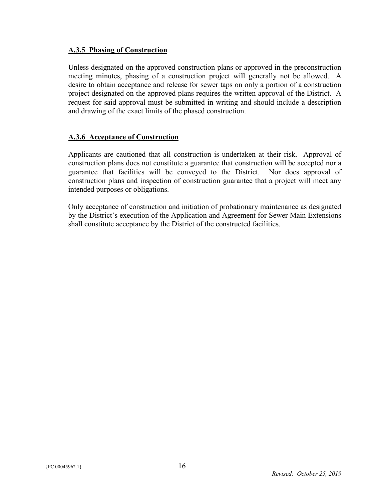#### **A.3.5 Phasing of Construction**

Unless designated on the approved construction plans or approved in the preconstruction meeting minutes, phasing of a construction project will generally not be allowed. A desire to obtain acceptance and release for sewer taps on only a portion of a construction project designated on the approved plans requires the written approval of the District. A request for said approval must be submitted in writing and should include a description and drawing of the exact limits of the phased construction.

#### **A.3.6 Acceptance of Construction**

Applicants are cautioned that all construction is undertaken at their risk. Approval of construction plans does not constitute a guarantee that construction will be accepted nor a guarantee that facilities will be conveyed to the District. Nor does approval of construction plans and inspection of construction guarantee that a project will meet any intended purposes or obligations.

Only acceptance of construction and initiation of probationary maintenance as designated by the District's execution of the Application and Agreement for Sewer Main Extensions shall constitute acceptance by the District of the constructed facilities.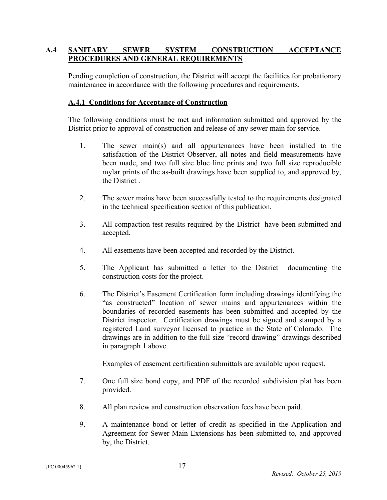#### **A.4 SANITARY SEWER SYSTEM CONSTRUCTION ACCEPTANCE PROCEDURES AND GENERAL REQUIREMENTS**

Pending completion of construction, the District will accept the facilities for probationary maintenance in accordance with the following procedures and requirements.

#### **A.4.1 Conditions for Acceptance of Construction**

The following conditions must be met and information submitted and approved by the District prior to approval of construction and release of any sewer main for service.

- 1. The sewer main(s) and all appurtenances have been installed to the satisfaction of the District Observer, all notes and field measurements have been made, and two full size blue line prints and two full size reproducible mylar prints of the as-built drawings have been supplied to, and approved by, the District .
- 2. The sewer mains have been successfully tested to the requirements designated in the technical specification section of this publication.
- 3. All compaction test results required by the District have been submitted and accepted.
- 4. All easements have been accepted and recorded by the District.
- 5. The Applicant has submitted a letter to the District documenting the construction costs for the project.
- 6. The District's Easement Certification form including drawings identifying the "as constructed" location of sewer mains and appurtenances within the boundaries of recorded easements has been submitted and accepted by the District inspector. Certification drawings must be signed and stamped by a registered Land surveyor licensed to practice in the State of Colorado. The drawings are in addition to the full size "record drawing" drawings described in paragraph 1 above.

Examples of easement certification submittals are available upon request.

- 7. One full size bond copy, and PDF of the recorded subdivision plat has been provided.
- 8. All plan review and construction observation fees have been paid.
- 9. A maintenance bond or letter of credit as specified in the Application and Agreement for Sewer Main Extensions has been submitted to, and approved by, the District.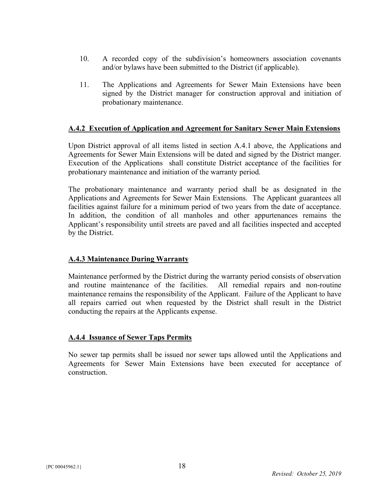- 10. A recorded copy of the subdivision's homeowners association covenants and/or bylaws have been submitted to the District (if applicable).
- 11. The Applications and Agreements for Sewer Main Extensions have been signed by the District manager for construction approval and initiation of probationary maintenance.

#### **A.4.2 Execution of Application and Agreement for Sanitary Sewer Main Extensions**

Upon District approval of all items listed in section A.4.1 above, the Applications and Agreements for Sewer Main Extensions will be dated and signed by the District manger. Execution of the Applications shall constitute District acceptance of the facilities for probationary maintenance and initiation of the warranty period.

The probationary maintenance and warranty period shall be as designated in the Applications and Agreements for Sewer Main Extensions. The Applicant guarantees all facilities against failure for a minimum period of two years from the date of acceptance. In addition, the condition of all manholes and other appurtenances remains the Applicant's responsibility until streets are paved and all facilities inspected and accepted by the District.

#### **A.4.3 Maintenance During Warranty**

Maintenance performed by the District during the warranty period consists of observation and routine maintenance of the facilities. All remedial repairs and non-routine maintenance remains the responsibility of the Applicant. Failure of the Applicant to have all repairs carried out when requested by the District shall result in the District conducting the repairs at the Applicants expense.

#### **A.4.4 Issuance of Sewer Taps Permits**

No sewer tap permits shall be issued nor sewer taps allowed until the Applications and Agreements for Sewer Main Extensions have been executed for acceptance of construction.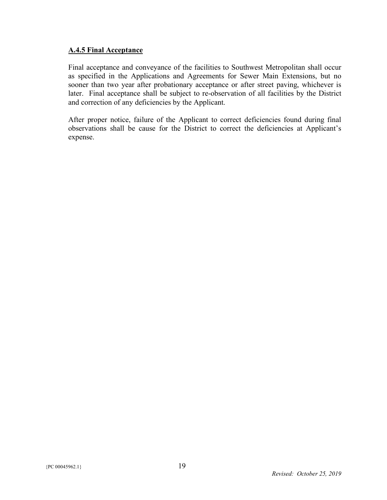#### **A.4.5 Final Acceptance**

Final acceptance and conveyance of the facilities to Southwest Metropolitan shall occur as specified in the Applications and Agreements for Sewer Main Extensions, but no sooner than two year after probationary acceptance or after street paving, whichever is later. Final acceptance shall be subject to re-observation of all facilities by the District and correction of any deficiencies by the Applicant.

After proper notice, failure of the Applicant to correct deficiencies found during final observations shall be cause for the District to correct the deficiencies at Applicant's expense.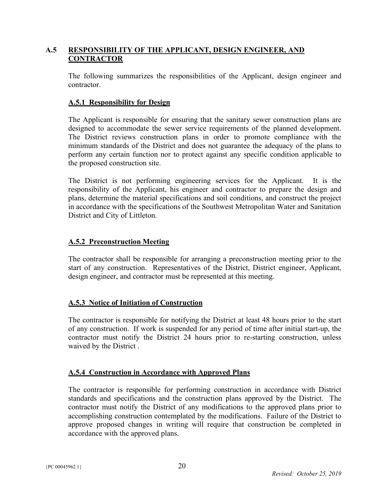#### **A.5 RESPONSIBILITY OF THE APPLICANT, DESIGN ENGINEER, AND CONTRACTOR**

The following summarizes the responsibilities of the Applicant, design engineer and contractor.

#### **A.5.1 Responsibility for Design**

The Applicant is responsible for ensuring that the sanitary sewer construction plans are designed to accommodate the sewer service requirements of the planned development. The District reviews construction plans in order to promote compliance with the minimum standards of the District and does not guarantee the adequacy of the plans to perform any certain function nor to protect against any specific condition applicable to the proposed construction site.

The District is not performing engineering services for the Applicant. It is the responsibility of the Applicant, his engineer and contractor to prepare the design and plans, determine the material specifications and soil conditions, and construct the project in accordance with the specifications of the Southwest Metropolitan Water and Sanitation District and City of Littleton.

#### **A.5.2 Preconstruction Meeting**

The contractor shall be responsible for arranging a preconstruction meeting prior to the start of any construction. Representatives of the District, District engineer, Applicant, design engineer, and contractor must be represented at this meeting.

#### **A.5.3 Notice of Initiation of Construction**

The contractor is responsible for notifying the District at least 48 hours prior to the start of any construction. If work is suspended for any period of time after initial start-up, the contractor must notify the District 24 hours prior to re-starting construction, unless waived by the District .

#### **A.5.4 Construction in Accordance with Approved Plans**

The contractor is responsible for performing construction in accordance with District standards and specifications and the construction plans approved by the District. The contractor must notify the District of any modifications to the approved plans prior to accomplishing construction contemplated by the modifications. Failure of the District to approve proposed changes in writing will require that construction be completed in accordance with the approved plans.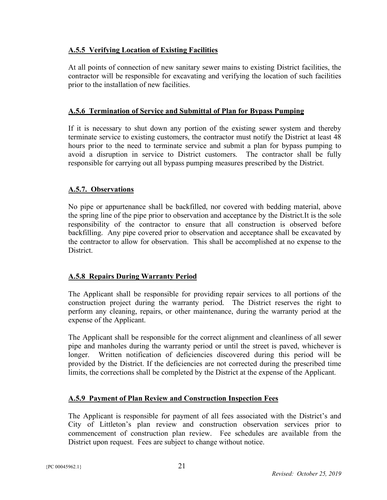#### **A.5.5 Verifying Location of Existing Facilities**

At all points of connection of new sanitary sewer mains to existing District facilities, the contractor will be responsible for excavating and verifying the location of such facilities prior to the installation of new facilities.

#### **A.5.6 Termination of Service and Submittal of Plan for Bypass Pumping**

If it is necessary to shut down any portion of the existing sewer system and thereby terminate service to existing customers, the contractor must notify the District at least 48 hours prior to the need to terminate service and submit a plan for bypass pumping to avoid a disruption in service to District customers. The contractor shall be fully responsible for carrying out all bypass pumping measures prescribed by the District.

#### **A.5.7. Observations**

No pipe or appurtenance shall be backfilled, nor covered with bedding material, above the spring line of the pipe prior to observation and acceptance by the District.It is the sole responsibility of the contractor to ensure that all construction is observed before backfilling. Any pipe covered prior to observation and acceptance shall be excavated by the contractor to allow for observation. This shall be accomplished at no expense to the District.

#### **A.5.8 Repairs During Warranty Period**

The Applicant shall be responsible for providing repair services to all portions of the construction project during the warranty period. The District reserves the right to perform any cleaning, repairs, or other maintenance, during the warranty period at the expense of the Applicant.

The Applicant shall be responsible for the correct alignment and cleanliness of all sewer pipe and manholes during the warranty period or until the street is paved, whichever is longer. Written notification of deficiencies discovered during this period will be provided by the District. If the deficiencies are not corrected during the prescribed time limits, the corrections shall be completed by the District at the expense of the Applicant.

#### **A.5.9 Payment of Plan Review and Construction Inspection Fees**

The Applicant is responsible for payment of all fees associated with the District's and City of Littleton's plan review and construction observation services prior to commencement of construction plan review. Fee schedules are available from the District upon request. Fees are subject to change without notice.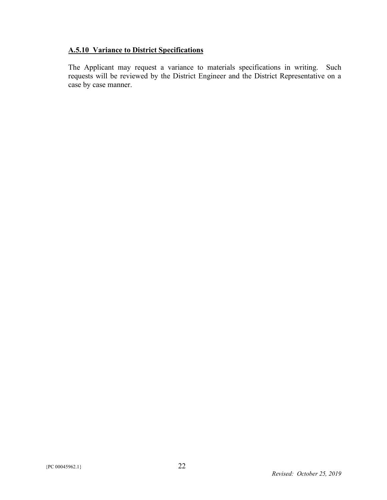#### **A.5.10 Variance to District Specifications**

The Applicant may request a variance to materials specifications in writing. Such requests will be reviewed by the District Engineer and the District Representative on a case by case manner.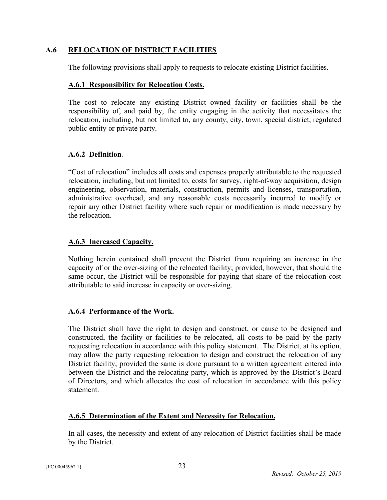#### **A.6 RELOCATION OF DISTRICT FACILITIES**

The following provisions shall apply to requests to relocate existing District facilities.

#### **A.6.1 Responsibility for Relocation Costs.**

The cost to relocate any existing District owned facility or facilities shall be the responsibility of, and paid by, the entity engaging in the activity that necessitates the relocation, including, but not limited to, any county, city, town, special district, regulated public entity or private party.

#### **A.6.2 Definition**.

"Cost of relocation" includes all costs and expenses properly attributable to the requested relocation, including, but not limited to, costs for survey, right-of-way acquisition, design engineering, observation, materials, construction, permits and licenses, transportation, administrative overhead, and any reasonable costs necessarily incurred to modify or repair any other District facility where such repair or modification is made necessary by the relocation.

#### **A.6.3 Increased Capacity.**

Nothing herein contained shall prevent the District from requiring an increase in the capacity of or the over-sizing of the relocated facility; provided, however, that should the same occur, the District will be responsible for paying that share of the relocation cost attributable to said increase in capacity or over-sizing.

#### **A.6.4 Performance of the Work.**

The District shall have the right to design and construct, or cause to be designed and constructed, the facility or facilities to be relocated, all costs to be paid by the party requesting relocation in accordance with this policy statement. The District, at its option, may allow the party requesting relocation to design and construct the relocation of any District facility, provided the same is done pursuant to a written agreement entered into between the District and the relocating party, which is approved by the District's Board of Directors, and which allocates the cost of relocation in accordance with this policy statement.

#### **A.6.5 Determination of the Extent and Necessity for Relocation.**

In all cases, the necessity and extent of any relocation of District facilities shall be made by the District.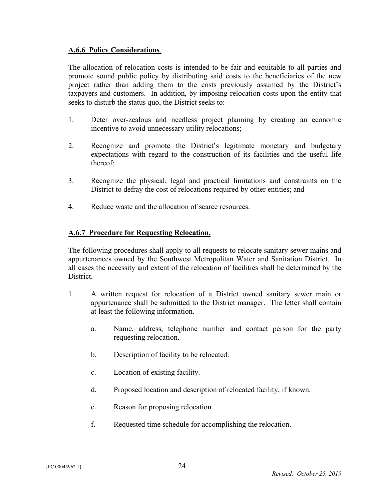#### **A.6.6 Policy Considerations**.

The allocation of relocation costs is intended to be fair and equitable to all parties and promote sound public policy by distributing said costs to the beneficiaries of the new project rather than adding them to the costs previously assumed by the District's taxpayers and customers. In addition, by imposing relocation costs upon the entity that seeks to disturb the status quo, the District seeks to:

- 1. Deter over-zealous and needless project planning by creating an economic incentive to avoid unnecessary utility relocations;
- 2. Recognize and promote the District's legitimate monetary and budgetary expectations with regard to the construction of its facilities and the useful life thereof;
- 3. Recognize the physical, legal and practical limitations and constraints on the District to defray the cost of relocations required by other entities; and
- 4. Reduce waste and the allocation of scarce resources.

#### **A.6.7 Procedure for Requesting Relocation.**

The following procedures shall apply to all requests to relocate sanitary sewer mains and appurtenances owned by the Southwest Metropolitan Water and Sanitation District. In all cases the necessity and extent of the relocation of facilities shall be determined by the District.

- 1. A written request for relocation of a District owned sanitary sewer main or appurtenance shall be submitted to the District manager. The letter shall contain at least the following information.
	- a. Name, address, telephone number and contact person for the party requesting relocation.
	- b. Description of facility to be relocated.
	- c. Location of existing facility.
	- d. Proposed location and description of relocated facility, if known.
	- e. Reason for proposing relocation.
	- f. Requested time schedule for accomplishing the relocation.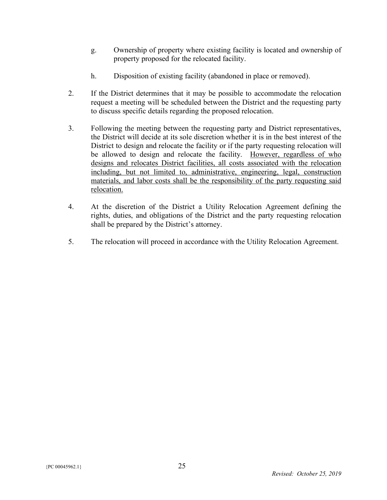- g. Ownership of property where existing facility is located and ownership of property proposed for the relocated facility.
- h. Disposition of existing facility (abandoned in place or removed).
- 2. If the District determines that it may be possible to accommodate the relocation request a meeting will be scheduled between the District and the requesting party to discuss specific details regarding the proposed relocation.
- 3. Following the meeting between the requesting party and District representatives, the District will decide at its sole discretion whether it is in the best interest of the District to design and relocate the facility or if the party requesting relocation will be allowed to design and relocate the facility. However, regardless of who designs and relocates District facilities, all costs associated with the relocation including, but not limited to, administrative, engineering, legal, construction materials, and labor costs shall be the responsibility of the party requesting said relocation.
- 4. At the discretion of the District a Utility Relocation Agreement defining the rights, duties, and obligations of the District and the party requesting relocation shall be prepared by the District's attorney.
- 5. The relocation will proceed in accordance with the Utility Relocation Agreement.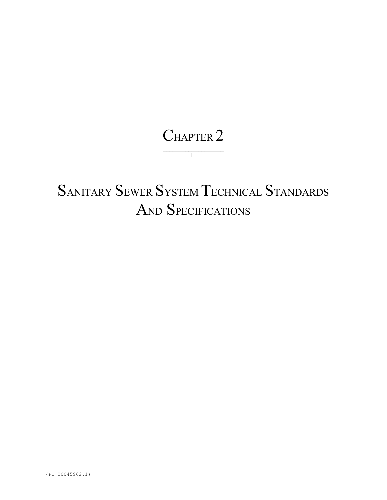# CHAPTER<sub>2</sub>

 $\mathcal{L}$  , we have the set of the set of the set of the set of the set of the set of the set of the set of the set of the set of the set of the set of the set of the set of the set of the set of the set of the set of the  $\overline{\Box}$ 

# SANITARY SEWER SYSTEM TECHNICAL STANDARDS AND SPECIFICATIONS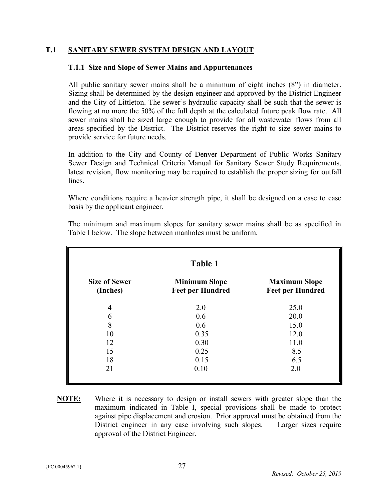#### **T.1 SANITARY SEWER SYSTEM DESIGN AND LAYOUT**

#### **T.1.1 Size and Slope of Sewer Mains and Appurtenances**

All public sanitary sewer mains shall be a minimum of eight inches (8") in diameter. Sizing shall be determined by the design engineer and approved by the District Engineer and the City of Littleton. The sewer's hydraulic capacity shall be such that the sewer is flowing at no more the 50% of the full depth at the calculated future peak flow rate. All sewer mains shall be sized large enough to provide for all wastewater flows from all areas specified by the District. The District reserves the right to size sewer mains to provide service for future needs.

In addition to the City and County of Denver Department of Public Works Sanitary Sewer Design and Technical Criteria Manual for Sanitary Sewer Study Requirements, latest revision, flow monitoring may be required to establish the proper sizing for outfall lines.

Where conditions require a heavier strength pipe, it shall be designed on a case to case basis by the applicant engineer.

| Table 1                          |                                                 |                                                 |  |
|----------------------------------|-------------------------------------------------|-------------------------------------------------|--|
| <b>Size of Sewer</b><br>(Inches) | <b>Minimum Slope</b><br><b>Feet per Hundred</b> | <b>Maximum Slope</b><br><b>Feet per Hundred</b> |  |
|                                  | 2.0                                             | 25.0                                            |  |
| h                                | 0.6                                             | 20.0                                            |  |
| 8                                | 0.6                                             | 15.0                                            |  |
| 10                               | 0.35                                            | 12.0                                            |  |
| 12                               | 0.30                                            | 11.0                                            |  |
| 15                               | 0.25                                            | 8.5                                             |  |
| 18                               | 0.15                                            | 6.5                                             |  |
| 21                               | 0.10                                            | 2.0                                             |  |
|                                  |                                                 |                                                 |  |

The minimum and maximum slopes for sanitary sewer mains shall be as specified in Table I below. The slope between manholes must be uniform.

**NOTE:** Where it is necessary to design or install sewers with greater slope than the maximum indicated in Table I, special provisions shall be made to protect against pipe displacement and erosion. Prior approval must be obtained from the District engineer in any case involving such slopes. Larger sizes require approval of the District Engineer.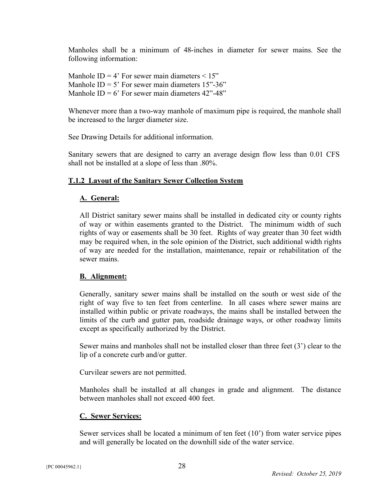Manholes shall be a minimum of 48-inches in diameter for sewer mains. See the following information:

Manhole ID = 4' For sewer main diameters  $\leq 15$ " Manhole ID =  $5'$  For sewer main diameters 15"-36" Manhole ID =  $6'$  For sewer main diameters 42"-48"

Whenever more than a two-way manhole of maximum pipe is required, the manhole shall be increased to the larger diameter size.

See Drawing Details for additional information.

Sanitary sewers that are designed to carry an average design flow less than 0.01 CFS shall not be installed at a slope of less than .80%.

#### **T.1.2 Layout of the Sanitary Sewer Collection System**

#### **A. General:**

All District sanitary sewer mains shall be installed in dedicated city or county rights of way or within easements granted to the District. The minimum width of such rights of way or easements shall be 30 feet. Rights of way greater than 30 feet width may be required when, in the sole opinion of the District, such additional width rights of way are needed for the installation, maintenance, repair or rehabilitation of the sewer mains.

#### **B. Alignment:**

Generally, sanitary sewer mains shall be installed on the south or west side of the right of way five to ten feet from centerline. In all cases where sewer mains are installed within public or private roadways, the mains shall be installed between the limits of the curb and gutter pan, roadside drainage ways, or other roadway limits except as specifically authorized by the District.

Sewer mains and manholes shall not be installed closer than three feet (3') clear to the lip of a concrete curb and/or gutter.

Curvilear sewers are not permitted.

Manholes shall be installed at all changes in grade and alignment. The distance between manholes shall not exceed 400 feet.

#### **C. Sewer Services:**

Sewer services shall be located a minimum of ten feet (10') from water service pipes and will generally be located on the downhill side of the water service.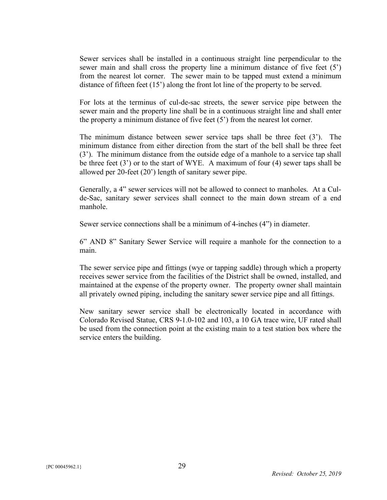Sewer services shall be installed in a continuous straight line perpendicular to the sewer main and shall cross the property line a minimum distance of five feet (5') from the nearest lot corner. The sewer main to be tapped must extend a minimum distance of fifteen feet (15') along the front lot line of the property to be served.

For lots at the terminus of cul-de-sac streets, the sewer service pipe between the sewer main and the property line shall be in a continuous straight line and shall enter the property a minimum distance of five feet (5') from the nearest lot corner.

The minimum distance between sewer service taps shall be three feet  $(3)$ . The minimum distance from either direction from the start of the bell shall be three feet (3'). The minimum distance from the outside edge of a manhole to a service tap shall be three feet (3') or to the start of WYE. A maximum of four (4) sewer taps shall be allowed per 20-feet (20') length of sanitary sewer pipe.

Generally, a 4" sewer services will not be allowed to connect to manholes. At a Culde-Sac, sanitary sewer services shall connect to the main down stream of a end manhole.

Sewer service connections shall be a minimum of 4-inches (4") in diameter.

6" AND 8" Sanitary Sewer Service will require a manhole for the connection to a main.

The sewer service pipe and fittings (wye or tapping saddle) through which a property receives sewer service from the facilities of the District shall be owned, installed, and maintained at the expense of the property owner. The property owner shall maintain all privately owned piping, including the sanitary sewer service pipe and all fittings.

New sanitary sewer service shall be electronically located in accordance with Colorado Revised Statue, CRS 9-1.0-102 and 103, a 10 GA trace wire, UF rated shall be used from the connection point at the existing main to a test station box where the service enters the building.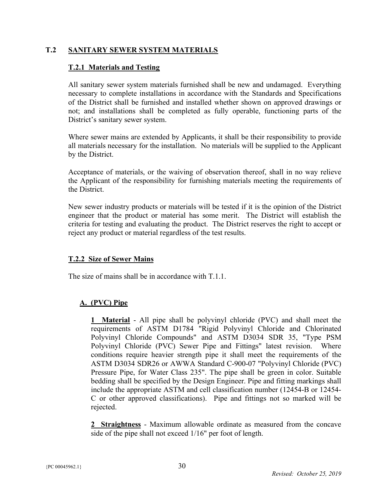#### **T.2 SANITARY SEWER SYSTEM MATERIALS**

#### **T.2.1 Materials and Testing**

All sanitary sewer system materials furnished shall be new and undamaged. Everything necessary to complete installations in accordance with the Standards and Specifications of the District shall be furnished and installed whether shown on approved drawings or not; and installations shall be completed as fully operable, functioning parts of the District's sanitary sewer system.

Where sewer mains are extended by Applicants, it shall be their responsibility to provide all materials necessary for the installation. No materials will be supplied to the Applicant by the District.

Acceptance of materials, or the waiving of observation thereof, shall in no way relieve the Applicant of the responsibility for furnishing materials meeting the requirements of the District.

New sewer industry products or materials will be tested if it is the opinion of the District engineer that the product or material has some merit. The District will establish the criteria for testing and evaluating the product. The District reserves the right to accept or reject any product or material regardless of the test results.

#### **T.2.2 Size of Sewer Mains**

The size of mains shall be in accordance with T.1.1.

#### **A. (PVC) Pipe**

**1 Material** - All pipe shall be polyvinyl chloride (PVC) and shall meet the requirements of ASTM D1784 "Rigid Polyvinyl Chloride and Chlorinated Polyvinyl Chloride Compounds" and ASTM D3034 SDR 35, "Type PSM Polyvinyl Chloride (PVC) Sewer Pipe and Fittings" latest revision. Where conditions require heavier strength pipe it shall meet the requirements of the ASTM D3034 SDR26 or AWWA Standard C-900-07 "Polyvinyl Chloride (PVC) Pressure Pipe, for Water Class 235". The pipe shall be green in color. Suitable bedding shall be specified by the Design Engineer. Pipe and fitting markings shall include the appropriate ASTM and cell classification number (12454-B or 12454- C or other approved classifications). Pipe and fittings not so marked will be rejected.

**2 Straightness** - Maximum allowable ordinate as measured from the concave side of the pipe shall not exceed 1/16" per foot of length.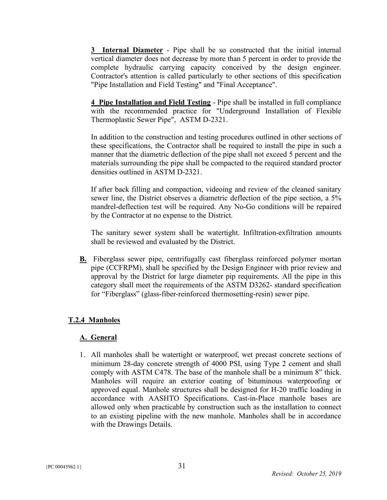**3 Internal Diameter** - Pipe shall be so constructed that the initial internal vertical diameter does not decrease by more than 5 percent in order to provide the complete hydraulic carrying capacity conceived by the design engineer. Contractor's attention is called particularly to other sections of this specification "Pipe Installation and Field Testing" and "Final Acceptance".

**4 Pipe Installation and Field Testing** - Pipe shall be installed in full compliance with the recommended practice for "Underground Installation of Flexible Thermoplastic Sewer Pipe", ASTM D-2321.

In addition to the construction and testing procedures outlined in other sections of these specifications, the Contractor shall be required to install the pipe in such a manner that the diametric deflection of the pipe shall not exceed 5 percent and the materials surrounding the pipe shall be compacted to the required standard proctor densities outlined in ASTM D-2321.

If after back filling and compaction, videoing and review of the cleaned sanitary sewer line, the District observes a diametric deflection of the pipe section, a 5% mandrel-deflection test will be required. Any No-Go conditions will be repaired by the Contractor at no expense to the District.

The sanitary sewer system shall be watertight. Infiltration-exfiltration amounts shall be reviewed and evaluated by the District.

**B.** Fiberglass sewer pipe, centrifugally cast fiberglass reinforced polymer mortan pipe (CCFRPM), shall be specified by the Design Engineer with prior review and approval by the District for large diameter pip requirements. All the pipe in this category shall meet the requirements of the ASTM D3262- standard specification for "Fiberglass" (glass-fiber-reinforced thermosetting-resin) sewer pipe.

#### **T.2.4 Manholes**

#### **A. General**

1. All manholes shall be watertight or waterproof, wet precast concrete sections of minimum 28-day concrete strength of 4000 PSI, using Type 2 cement and shall comply with ASTM C478. The base of the manhole shall be a minimum 8" thick. Manholes will require an exterior coating of bituminous waterproofing or approved equal. Manhole structures shall be designed for H-20 traffic loading in accordance with AASHTO Specifications. Cast-in-Place manhole bases are allowed only when practicable by construction such as the installation to connect to an existing pipeline with the new manhole. Manholes shall be in accordance with the Drawings Details.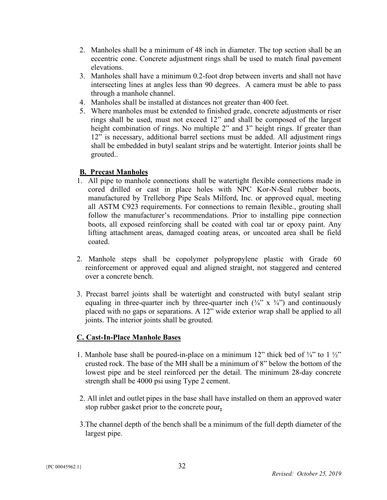- 2. Manholes shall be a minimum of 48 inch in diameter. The top section shall be an eccentric cone. Concrete adjustment rings shall be used to match final pavement elevations.
- 3. Manholes shall have a minimum 0.2-foot drop between inverts and shall not have intersecting lines at angles less than 90 degrees. A camera must be able to pass through a manhole channel.
- 4. Manholes shall be installed at distances not greater than 400 feet.
- 5. Where manholes must be extended to finished grade, concrete adjustments or riser rings shall be used, must not exceed 12" and shall be composed of the largest height combination of rings. No multiple 2" and 3" height rings. If greater than 12" is necessary, additional barrel sections must be added. All adjustment rings shall be embedded in butyl sealant strips and be watertight. Interior joints shall be grouted..

#### **B. Precast Manholes**

- 1. All pipe to manhole connections shall be watertight flexible connections made in cored drilled or cast in place holes with NPC Kor-N-Seal rubber boots, manufactured by Trelleborg Pipe Seals Milford, Inc. or approved equal, meeting all ASTM C923 requirements. For connections to remain flexible., grouting shall follow the manufacturer's recommendations. Prior to installing pipe connection boots, all exposed reinforcing shall be coated with coal tar or epoxy paint. Any lifting attachment areas, damaged coating areas, or uncoated area shall be field coated.
- 2. Manhole steps shall be copolymer polypropylene plastic with Grade 60 reinforcement or approved equal and aligned straight, not staggered and centered over a concrete bench.
- 3. Precast barrel joints shall be watertight and constructed with butyl sealant strip equaling in three-quarter inch by three-quarter inch  $(\frac{3}{4}$ " x  $\frac{3}{4}$ ") and continuously placed with no gaps or separations. A 12" wide exterior wrap shall be applied to all joints. The interior joints shall be grouted.

#### **C. Cast-In-Place Manhole Bases**

- 1. Manhole base shall be poured-in-place on a minimum 12" thick bed of  $\frac{3}{4}$ " to 1  $\frac{1}{2}$ " crusted rock. The base of the MH shall be a minimum of 8" below the bottom of the lowest pipe and be steel reinforced per the detail. The minimum 28-day concrete strength shall be 4000 psi using Type 2 cement.
- 2. All inlet and outlet pipes in the base shall have installed on them an approved water stop rubber gasket prior to the concrete pour**.**
- 3.The channel depth of the bench shall be a minimum of the full depth diameter of the largest pipe.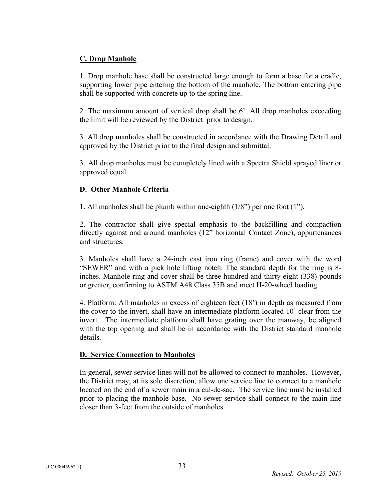## **C. Drop Manhole**

1. Drop manhole base shall be constructed large enough to form a base for a cradle, supporting lower pipe entering the bottom of the manhole. The bottom entering pipe shall be supported with concrete up to the spring line.

2. The maximum amount of vertical drop shall be 6'. All drop manholes exceeding the limit will be reviewed by the District prior to design.

3. All drop manholes shall be constructed in accordance with the Drawing Detail and approved by the District prior to the final design and submittal.

3. All drop manholes must be completely lined with a Spectra Shield sprayed liner or approved equal.

# **D. Other Manhole Criteria**

1. All manholes shall be plumb within one-eighth (1/8") per one foot (1").

2. The contractor shall give special emphasis to the backfilling and compaction directly against and around manholes (12" horizontal Contact Zone), appurtenances and structures.

3. Manholes shall have a 24-inch cast iron ring (frame) and cover with the word "SEWER" and with a pick hole lifting notch. The standard depth for the ring is 8 inches. Manhole ring and cover shall be three hundred and thirty-eight (338) pounds or greater, confirming to ASTM A48 Class 35B and meet H-20-wheel loading.

4. Platform: All manholes in excess of eighteen feet (18') in depth as measured from the cover to the invert, shall have an intermediate platform located 10' clear from the invert. The intermediate platform shall have grating over the manway, be aligned with the top opening and shall be in accordance with the District standard manhole details.

#### **D. Service Connection to Manholes**

In general, sewer service lines will not be allowed to connect to manholes. However, the District may, at its sole discretion, allow one service line to connect to a manhole located on the end of a sewer main in a cul-de-sac. The service line must be installed prior to placing the manhole base. No sewer service shall connect to the main line closer than 3-feet from the outside of manholes.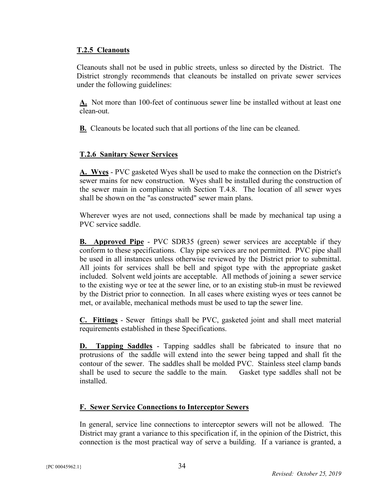#### **T.2.5 Cleanouts**

Cleanouts shall not be used in public streets, unless so directed by the District. The District strongly recommends that cleanouts be installed on private sewer services under the following guidelines:

**A.** Not more than 100-feet of continuous sewer line be installed without at least one clean-out.

**B.** Cleanouts be located such that all portions of the line can be cleaned.

#### **T.2.6 Sanitary Sewer Services**

**A. Wyes** - PVC gasketed Wyes shall be used to make the connection on the District's sewer mains for new construction. Wyes shall be installed during the construction of the sewer main in compliance with Section T.4.8. The location of all sewer wyes shall be shown on the "as constructed" sewer main plans.

Wherever wyes are not used, connections shall be made by mechanical tap using a PVC service saddle.

**B. Approved Pipe** - PVC SDR35 (green) sewer services are acceptable if they conform to these specifications. Clay pipe services are not permitted. PVC pipe shall be used in all instances unless otherwise reviewed by the District prior to submittal. All joints for services shall be bell and spigot type with the appropriate gasket included. Solvent weld joints are acceptable. All methods of joining a sewer service to the existing wye or tee at the sewer line, or to an existing stub-in must be reviewed by the District prior to connection. In all cases where existing wyes or tees cannot be met, or available, mechanical methods must be used to tap the sewer line.

**C. Fittings** - Sewer fittings shall be PVC, gasketed joint and shall meet material requirements established in these Specifications.

**D. Tapping Saddles** - Tapping saddles shall be fabricated to insure that no protrusions of the saddle will extend into the sewer being tapped and shall fit the contour of the sewer. The saddles shall be molded PVC. Stainless steel clamp bands shall be used to secure the saddle to the main. Gasket type saddles shall not be installed.

#### **F. Sewer Service Connections to Interceptor Sewers**

In general, service line connections to interceptor sewers will not be allowed. The District may grant a variance to this specification if, in the opinion of the District, this connection is the most practical way of serve a building. If a variance is granted, a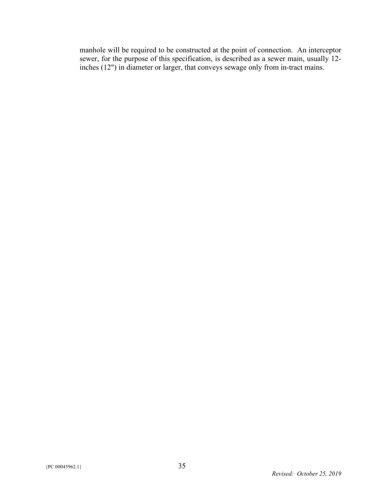manhole will be required to be constructed at the point of connection. An interceptor sewer, for the purpose of this specification, is described as a sewer main, usually 12 inches (12") in diameter or larger, that conveys sewage only from in-tract mains.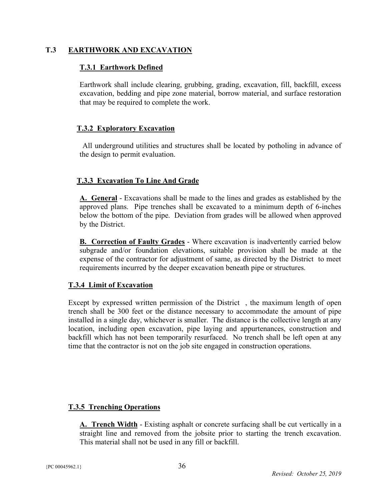#### **T.3 EARTHWORK AND EXCAVATION**

#### **T.3.1 Earthwork Defined**

Earthwork shall include clearing, grubbing, grading, excavation, fill, backfill, excess excavation, bedding and pipe zone material, borrow material, and surface restoration that may be required to complete the work.

#### **T.3.2 Exploratory Excavation**

All underground utilities and structures shall be located by potholing in advance of the design to permit evaluation.

#### **T.3.3 Excavation To Line And Grade**

**A. General** - Excavations shall be made to the lines and grades as established by the approved plans. Pipe trenches shall be excavated to a minimum depth of 6-inches below the bottom of the pipe. Deviation from grades will be allowed when approved by the District.

**B. Correction of Faulty Grades** - Where excavation is inadvertently carried below subgrade and/or foundation elevations, suitable provision shall be made at the expense of the contractor for adjustment of same, as directed by the District to meet requirements incurred by the deeper excavation beneath pipe or structures.

#### **T.3.4 Limit of Excavation**

Except by expressed written permission of the District , the maximum length of open trench shall be 300 feet or the distance necessary to accommodate the amount of pipe installed in a single day, whichever is smaller. The distance is the collective length at any location, including open excavation, pipe laying and appurtenances, construction and backfill which has not been temporarily resurfaced. No trench shall be left open at any time that the contractor is not on the job site engaged in construction operations.

#### **T.3.5 Trenching Operations**

**A. Trench Width** - Existing asphalt or concrete surfacing shall be cut vertically in a straight line and removed from the jobsite prior to starting the trench excavation. This material shall not be used in any fill or backfill.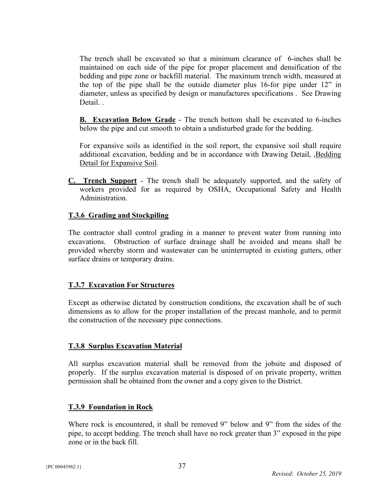The trench shall be excavated so that a minimum clearance of 6-inches shall be maintained on each side of the pipe for proper placement and densification of the bedding and pipe zone or backfill material. The maximum trench width, measured at the top of the pipe shall be the outside diameter plus 16-for pipe under 12" in diameter, unless as specified by design or manufactures specifications . See Drawing Detail. .

**B. Excavation Below Grade** - The trench bottom shall be excavated to 6-inches below the pipe and cut smooth to obtain a undisturbed grade for the bedding.

For expansive soils as identified in the soil report, the expansive soil shall require additional excavation, bedding and be in accordance with Drawing Detail, ,Bedding Detail for Expansive Soil.

**C. Trench Support** - The trench shall be adequately supported, and the safety of workers provided for as required by OSHA, Occupational Safety and Health Administration.

#### **T.3.6 Grading and Stockpiling**

The contractor shall control grading in a manner to prevent water from running into excavations. Obstruction of surface drainage shall be avoided and means shall be provided whereby storm and wastewater can be uninterrupted in existing gutters, other surface drains or temporary drains.

#### **T.3.7 Excavation For Structures**

Except as otherwise dictated by construction conditions, the excavation shall be of such dimensions as to allow for the proper installation of the precast manhole, and to permit the construction of the necessary pipe connections.

#### **T.3.8 Surplus Excavation Material**

All surplus excavation material shall be removed from the jobsite and disposed of properly. If the surplus excavation material is disposed of on private property, written permission shall be obtained from the owner and a copy given to the District.

#### **T.3.9 Foundation in Rock**

Where rock is encountered, it shall be removed 9" below and 9" from the sides of the pipe, to accept bedding. The trench shall have no rock greater than 3" exposed in the pipe zone or in the back fill.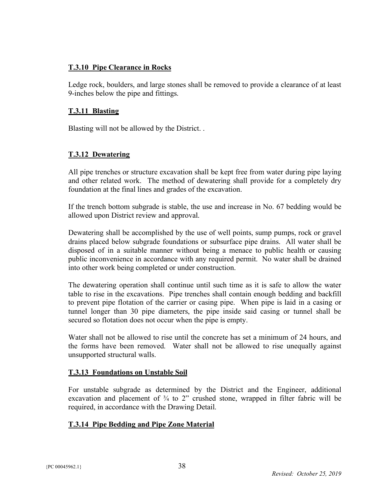## **T.3.10 Pipe Clearance in Rocks**

Ledge rock, boulders, and large stones shall be removed to provide a clearance of at least 9-inches below the pipe and fittings.

# **T.3.11 Blasting**

Blasting will not be allowed by the District. .

# **T.3.12 Dewatering**

All pipe trenches or structure excavation shall be kept free from water during pipe laying and other related work. The method of dewatering shall provide for a completely dry foundation at the final lines and grades of the excavation.

If the trench bottom subgrade is stable, the use and increase in No. 67 bedding would be allowed upon District review and approval.

Dewatering shall be accomplished by the use of well points, sump pumps, rock or gravel drains placed below subgrade foundations or subsurface pipe drains. All water shall be disposed of in a suitable manner without being a menace to public health or causing public inconvenience in accordance with any required permit. No water shall be drained into other work being completed or under construction.

The dewatering operation shall continue until such time as it is safe to allow the water table to rise in the excavations. Pipe trenches shall contain enough bedding and backfill to prevent pipe flotation of the carrier or casing pipe. When pipe is laid in a casing or tunnel longer than 30 pipe diameters, the pipe inside said casing or tunnel shall be secured so flotation does not occur when the pipe is empty.

Water shall not be allowed to rise until the concrete has set a minimum of 24 hours, and the forms have been removed. Water shall not be allowed to rise unequally against unsupported structural walls.

#### **T.3.13 Foundations on Unstable Soil**

For unstable subgrade as determined by the District and the Engineer, additional excavation and placement of  $\frac{3}{4}$  to 2" crushed stone, wrapped in filter fabric will be required, in accordance with the Drawing Detail.

# **T.3.14 Pipe Bedding and Pipe Zone Material**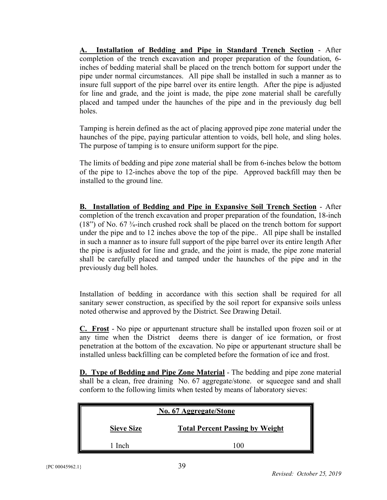**A. Installation of Bedding and Pipe in Standard Trench Section** - After completion of the trench excavation and proper preparation of the foundation, 6 inches of bedding material shall be placed on the trench bottom for support under the pipe under normal circumstances. All pipe shall be installed in such a manner as to insure full support of the pipe barrel over its entire length. After the pipe is adjusted for line and grade, and the joint is made, the pipe zone material shall be carefully placed and tamped under the haunches of the pipe and in the previously dug bell holes.

Tamping is herein defined as the act of placing approved pipe zone material under the haunches of the pipe, paying particular attention to voids, bell hole, and sling holes. The purpose of tamping is to ensure uniform support for the pipe.

The limits of bedding and pipe zone material shall be from 6-inches below the bottom of the pipe to 12-inches above the top of the pipe. Approved backfill may then be installed to the ground line.

**B. Installation of Bedding and Pipe in Expansive Soil Trench Section** - After completion of the trench excavation and proper preparation of the foundation, 18-inch (18") of No. 67 ¾-inch crushed rock shall be placed on the trench bottom for support under the pipe and to 12 inches above the top of the pipe.. All pipe shall be installed in such a manner as to insure full support of the pipe barrel over its entire length After the pipe is adjusted for line and grade, and the joint is made, the pipe zone material shall be carefully placed and tamped under the haunches of the pipe and in the previously dug bell holes.

Installation of bedding in accordance with this section shall be required for all sanitary sewer construction, as specified by the soil report for expansive soils unless noted otherwise and approved by the District. See Drawing Detail.

**C. Frost** - No pipe or appurtenant structure shall be installed upon frozen soil or at any time when the District deems there is danger of ice formation, or frost penetration at the bottom of the excavation. No pipe or appurtenant structure shall be installed unless backfilling can be completed before the formation of ice and frost.

**D. Type of Bedding and Pipe Zone Material** - The bedding and pipe zone material shall be a clean, free draining No. 67 aggregate/stone. or squeegee sand and shall conform to the following limits when tested by means of laboratory sieves:

| No. 67 Aggregate/Stone |                                        |  |  |
|------------------------|----------------------------------------|--|--|
| <b>Sieve Size</b>      | <b>Total Percent Passing by Weight</b> |  |  |
| 1 Inch                 | 1 O C                                  |  |  |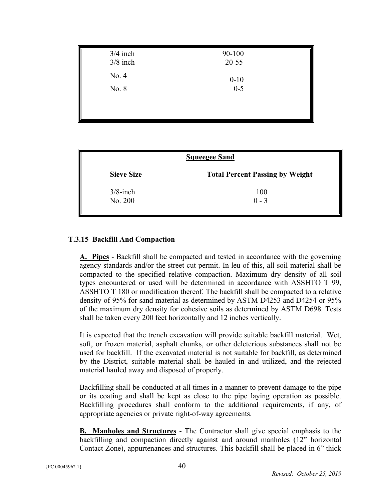| 90-100<br>20-55 |  |
|-----------------|--|
| $0 - 10$        |  |
| $0 - 5$         |  |
|                 |  |
|                 |  |

| <b>Squeegee Sand</b>   |                                        |  |  |  |
|------------------------|----------------------------------------|--|--|--|
| <b>Sieve Size</b>      | <b>Total Percent Passing by Weight</b> |  |  |  |
| $3/8$ -inch<br>No. 200 | 100<br>$0 - 3$                         |  |  |  |

#### **T.3.15 Backfill And Compaction**

**A. Pipes** - Backfill shall be compacted and tested in accordance with the governing agency standards and/or the street cut permit. In leu of this, all soil material shall be compacted to the specified relative compaction. Maximum dry density of all soil types encountered or used will be determined in accordance with ASSHTO T 99, ASSHTO T 180 or modification thereof. The backfill shall be compacted to a relative density of 95% for sand material as determined by ASTM D4253 and D4254 or 95% of the maximum dry density for cohesive soils as determined by ASTM D698. Tests shall be taken every 200 feet horizontally and 12 inches vertically.

It is expected that the trench excavation will provide suitable backfill material. Wet, soft, or frozen material, asphalt chunks, or other deleterious substances shall not be used for backfill. If the excavated material is not suitable for backfill, as determined by the District, suitable material shall be hauled in and utilized, and the rejected material hauled away and disposed of properly.

Backfilling shall be conducted at all times in a manner to prevent damage to the pipe or its coating and shall be kept as close to the pipe laying operation as possible. Backfilling procedures shall conform to the additional requirements, if any, of appropriate agencies or private right-of-way agreements.

**B. Manholes and Structures** - The Contractor shall give special emphasis to the backfilling and compaction directly against and around manholes (12" horizontal Contact Zone), appurtenances and structures. This backfill shall be placed in 6" thick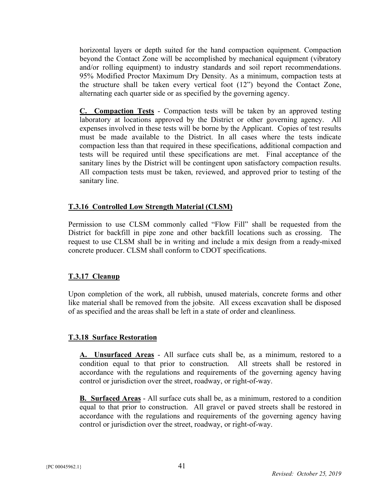horizontal layers or depth suited for the hand compaction equipment. Compaction beyond the Contact Zone will be accomplished by mechanical equipment (vibratory and/or rolling equipment) to industry standards and soil report recommendations. 95% Modified Proctor Maximum Dry Density. As a minimum, compaction tests at the structure shall be taken every vertical foot (12") beyond the Contact Zone, alternating each quarter side or as specified by the governing agency.

**C. Compaction Tests** - Compaction tests will be taken by an approved testing laboratory at locations approved by the District or other governing agency. All expenses involved in these tests will be borne by the Applicant. Copies of test results must be made available to the District. In all cases where the tests indicate compaction less than that required in these specifications, additional compaction and tests will be required until these specifications are met. Final acceptance of the sanitary lines by the District will be contingent upon satisfactory compaction results. All compaction tests must be taken, reviewed, and approved prior to testing of the sanitary line.

#### **T.3.16 Controlled Low Strength Material (CLSM)**

Permission to use CLSM commonly called "Flow Fill" shall be requested from the District for backfill in pipe zone and other backfill locations such as crossing. The request to use CLSM shall be in writing and include a mix design from a ready-mixed concrete producer. CLSM shall conform to CDOT specifications.

#### **T.3.17 Cleanup**

Upon completion of the work, all rubbish, unused materials, concrete forms and other like material shall be removed from the jobsite. All excess excavation shall be disposed of as specified and the areas shall be left in a state of order and cleanliness.

#### **T.3.18 Surface Restoration**

**A. Unsurfaced Areas** - All surface cuts shall be, as a minimum, restored to a condition equal to that prior to construction. All streets shall be restored in accordance with the regulations and requirements of the governing agency having control or jurisdiction over the street, roadway, or right-of-way.

**B. Surfaced Areas** - All surface cuts shall be, as a minimum, restored to a condition equal to that prior to construction. All gravel or paved streets shall be restored in accordance with the regulations and requirements of the governing agency having control or jurisdiction over the street, roadway, or right-of-way.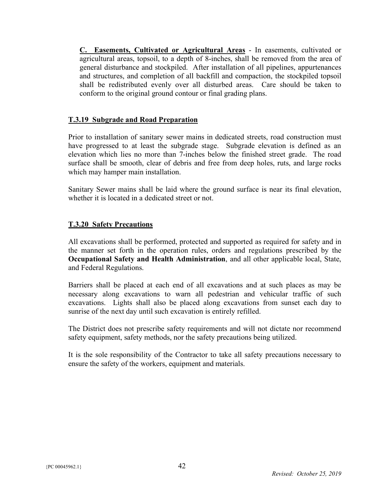**C. Easements, Cultivated or Agricultural Areas** - In easements, cultivated or agricultural areas, topsoil, to a depth of 8-inches, shall be removed from the area of general disturbance and stockpiled. After installation of all pipelines, appurtenances and structures, and completion of all backfill and compaction, the stockpiled topsoil shall be redistributed evenly over all disturbed areas. Care should be taken to conform to the original ground contour or final grading plans.

#### **T.3.19 Subgrade and Road Preparation**

Prior to installation of sanitary sewer mains in dedicated streets, road construction must have progressed to at least the subgrade stage. Subgrade elevation is defined as an elevation which lies no more than 7-inches below the finished street grade. The road surface shall be smooth, clear of debris and free from deep holes, ruts, and large rocks which may hamper main installation.

Sanitary Sewer mains shall be laid where the ground surface is near its final elevation, whether it is located in a dedicated street or not.

#### **T.3.20 Safety Precautions**

All excavations shall be performed, protected and supported as required for safety and in the manner set forth in the operation rules, orders and regulations prescribed by the **Occupational Safety and Health Administration**, and all other applicable local, State, and Federal Regulations.

Barriers shall be placed at each end of all excavations and at such places as may be necessary along excavations to warn all pedestrian and vehicular traffic of such excavations. Lights shall also be placed along excavations from sunset each day to sunrise of the next day until such excavation is entirely refilled.

The District does not prescribe safety requirements and will not dictate nor recommend safety equipment, safety methods, nor the safety precautions being utilized.

It is the sole responsibility of the Contractor to take all safety precautions necessary to ensure the safety of the workers, equipment and materials.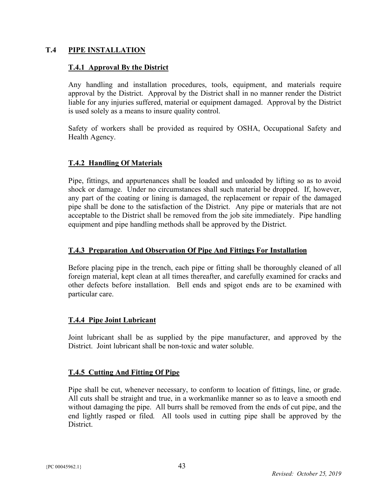#### **T.4 PIPE INSTALLATION**

#### **T.4.1 Approval By the District**

Any handling and installation procedures, tools, equipment, and materials require approval by the District. Approval by the District shall in no manner render the District liable for any injuries suffered, material or equipment damaged. Approval by the District is used solely as a means to insure quality control.

Safety of workers shall be provided as required by OSHA, Occupational Safety and Health Agency.

#### **T.4.2 Handling Of Materials**

Pipe, fittings, and appurtenances shall be loaded and unloaded by lifting so as to avoid shock or damage. Under no circumstances shall such material be dropped. If, however, any part of the coating or lining is damaged, the replacement or repair of the damaged pipe shall be done to the satisfaction of the District. Any pipe or materials that are not acceptable to the District shall be removed from the job site immediately. Pipe handling equipment and pipe handling methods shall be approved by the District.

#### **T.4.3 Preparation And Observation Of Pipe And Fittings For Installation**

Before placing pipe in the trench, each pipe or fitting shall be thoroughly cleaned of all foreign material, kept clean at all times thereafter, and carefully examined for cracks and other defects before installation. Bell ends and spigot ends are to be examined with particular care.

#### **T.4.4 Pipe Joint Lubricant**

Joint lubricant shall be as supplied by the pipe manufacturer, and approved by the District. Joint lubricant shall be non-toxic and water soluble.

#### **T.4.5 Cutting And Fitting Of Pipe**

Pipe shall be cut, whenever necessary, to conform to location of fittings, line, or grade. All cuts shall be straight and true, in a workmanlike manner so as to leave a smooth end without damaging the pipe. All burrs shall be removed from the ends of cut pipe, and the end lightly rasped or filed. All tools used in cutting pipe shall be approved by the District.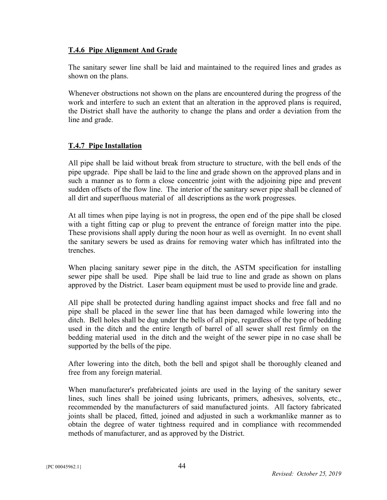#### **T.4.6 Pipe Alignment And Grade**

The sanitary sewer line shall be laid and maintained to the required lines and grades as shown on the plans.

Whenever obstructions not shown on the plans are encountered during the progress of the work and interfere to such an extent that an alteration in the approved plans is required, the District shall have the authority to change the plans and order a deviation from the line and grade.

#### **T.4.7 Pipe Installation**

All pipe shall be laid without break from structure to structure, with the bell ends of the pipe upgrade. Pipe shall be laid to the line and grade shown on the approved plans and in such a manner as to form a close concentric joint with the adjoining pipe and prevent sudden offsets of the flow line. The interior of the sanitary sewer pipe shall be cleaned of all dirt and superfluous material of all descriptions as the work progresses.

At all times when pipe laying is not in progress, the open end of the pipe shall be closed with a tight fitting cap or plug to prevent the entrance of foreign matter into the pipe. These provisions shall apply during the noon hour as well as overnight. In no event shall the sanitary sewers be used as drains for removing water which has infiltrated into the trenches.

When placing sanitary sewer pipe in the ditch, the ASTM specification for installing sewer pipe shall be used. Pipe shall be laid true to line and grade as shown on plans approved by the District. Laser beam equipment must be used to provide line and grade.

All pipe shall be protected during handling against impact shocks and free fall and no pipe shall be placed in the sewer line that has been damaged while lowering into the ditch. Bell holes shall be dug under the bells of all pipe, regardless of the type of bedding used in the ditch and the entire length of barrel of all sewer shall rest firmly on the bedding material used in the ditch and the weight of the sewer pipe in no case shall be supported by the bells of the pipe.

After lowering into the ditch, both the bell and spigot shall be thoroughly cleaned and free from any foreign material.

When manufacturer's prefabricated joints are used in the laying of the sanitary sewer lines, such lines shall be joined using lubricants, primers, adhesives, solvents, etc., recommended by the manufacturers of said manufactured joints. All factory fabricated joints shall be placed, fitted, joined and adjusted in such a workmanlike manner as to obtain the degree of water tightness required and in compliance with recommended methods of manufacturer, and as approved by the District.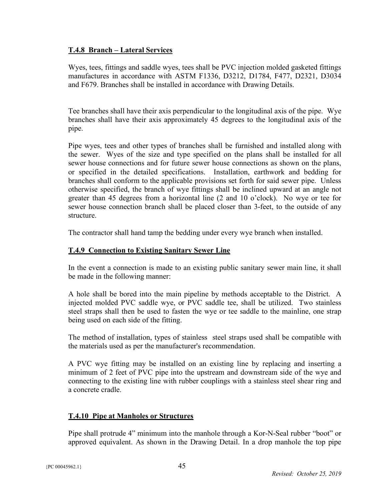## **T.4.8 Branch – Lateral Services**

Wyes, tees, fittings and saddle wyes, tees shall be PVC injection molded gasketed fittings manufactures in accordance with ASTM F1336, D3212, D1784, F477, D2321, D3034 and F679. Branches shall be installed in accordance with Drawing Details.

Tee branches shall have their axis perpendicular to the longitudinal axis of the pipe. Wye branches shall have their axis approximately 45 degrees to the longitudinal axis of the pipe.

Pipe wyes, tees and other types of branches shall be furnished and installed along with the sewer. Wyes of the size and type specified on the plans shall be installed for all sewer house connections and for future sewer house connections as shown on the plans, or specified in the detailed specifications. Installation, earthwork and bedding for branches shall conform to the applicable provisions set forth for said sewer pipe. Unless otherwise specified, the branch of wye fittings shall be inclined upward at an angle not greater than 45 degrees from a horizontal line (2 and 10 o'clock). No wye or tee for sewer house connection branch shall be placed closer than 3-feet, to the outside of any structure.

The contractor shall hand tamp the bedding under every wye branch when installed.

#### **T.4.9 Connection to Existing Sanitary Sewer Line**

In the event a connection is made to an existing public sanitary sewer main line, it shall be made in the following manner:

A hole shall be bored into the main pipeline by methods acceptable to the District. A injected molded PVC saddle wye, or PVC saddle tee, shall be utilized. Two stainless steel straps shall then be used to fasten the wye or tee saddle to the mainline, one strap being used on each side of the fitting.

The method of installation, types of stainless steel straps used shall be compatible with the materials used as per the manufacturer's recommendation.

A PVC wye fitting may be installed on an existing line by replacing and inserting a minimum of 2 feet of PVC pipe into the upstream and downstream side of the wye and connecting to the existing line with rubber couplings with a stainless steel shear ring and a concrete cradle.

#### **T.4.10 Pipe at Manholes or Structures**

Pipe shall protrude 4" minimum into the manhole through a Kor-N-Seal rubber "boot" or approved equivalent. As shown in the Drawing Detail. In a drop manhole the top pipe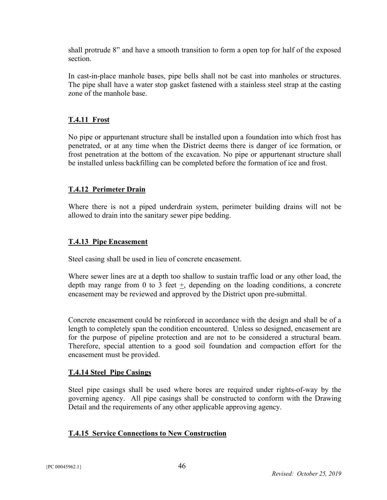shall protrude 8" and have a smooth transition to form a open top for half of the exposed section.

In cast-in-place manhole bases, pipe bells shall not be cast into manholes or structures. The pipe shall have a water stop gasket fastened with a stainless steel strap at the casting zone of the manhole base.

#### **T.4.11 Frost**

No pipe or appurtenant structure shall be installed upon a foundation into which frost has penetrated, or at any time when the District deems there is danger of ice formation, or frost penetration at the bottom of the excavation. No pipe or appurtenant structure shall be installed unless backfilling can be completed before the formation of ice and frost.

#### **T.4.12 Perimeter Drain**

Where there is not a piped underdrain system, perimeter building drains will not be allowed to drain into the sanitary sewer pipe bedding.

#### **T.4.13 Pipe Encasement**

Steel casing shall be used in lieu of concrete encasement.

Where sewer lines are at a depth too shallow to sustain traffic load or any other load, the depth may range from 0 to 3 feet  $+$ , depending on the loading conditions, a concrete encasement may be reviewed and approved by the District upon pre-submittal.

Concrete encasement could be reinforced in accordance with the design and shall be of a length to completely span the condition encountered. Unless so designed, encasement are for the purpose of pipeline protection and are not to be considered a structural beam. Therefore, special attention to a good soil foundation and compaction effort for the encasement must be provided.

#### **T.4.14 Steel Pipe Casings**

Steel pipe casings shall be used where bores are required under rights-of-way by the governing agency. All pipe casings shall be constructed to conform with the Drawing Detail and the requirements of any other applicable approving agency.

#### **T.4.15 Service Connections to New Construction**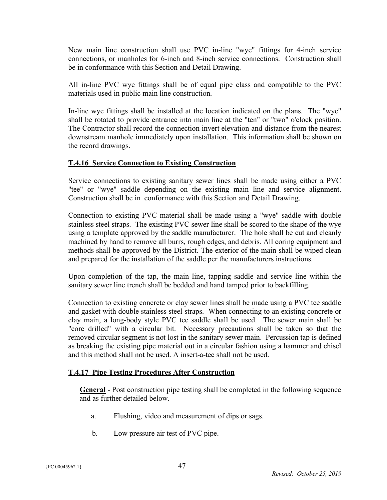New main line construction shall use PVC in-line "wye" fittings for 4-inch service connections, or manholes for 6-inch and 8-inch service connections. Construction shall be in conformance with this Section and Detail Drawing.

All in-line PVC wye fittings shall be of equal pipe class and compatible to the PVC materials used in public main line construction.

In-line wye fittings shall be installed at the location indicated on the plans. The "wye" shall be rotated to provide entrance into main line at the "ten" or "two" o'clock position. The Contractor shall record the connection invert elevation and distance from the nearest downstream manhole immediately upon installation. This information shall be shown on the record drawings.

#### **T.4.16 Service Connection to Existing Construction**

Service connections to existing sanitary sewer lines shall be made using either a PVC "tee" or "wye" saddle depending on the existing main line and service alignment. Construction shall be in conformance with this Section and Detail Drawing.

Connection to existing PVC material shall be made using a "wye" saddle with double stainless steel straps. The existing PVC sewer line shall be scored to the shape of the wye using a template approved by the saddle manufacturer. The hole shall be cut and cleanly machined by hand to remove all burrs, rough edges, and debris. All coring equipment and methods shall be approved by the District. The exterior of the main shall be wiped clean and prepared for the installation of the saddle per the manufacturers instructions.

Upon completion of the tap, the main line, tapping saddle and service line within the sanitary sewer line trench shall be bedded and hand tamped prior to backfilling.

Connection to existing concrete or clay sewer lines shall be made using a PVC tee saddle and gasket with double stainless steel straps. When connecting to an existing concrete or clay main, a long-body style PVC tee saddle shall be used. The sewer main shall be "core drilled" with a circular bit. Necessary precautions shall be taken so that the removed circular segment is not lost in the sanitary sewer main. Percussion tap is defined as breaking the existing pipe material out in a circular fashion using a hammer and chisel and this method shall not be used. A insert-a-tee shall not be used.

#### **T.4.17 Pipe Testing Procedures After Construction**

**General** - Post construction pipe testing shall be completed in the following sequence and as further detailed below.

- a. Flushing, video and measurement of dips or sags.
- b. Low pressure air test of PVC pipe.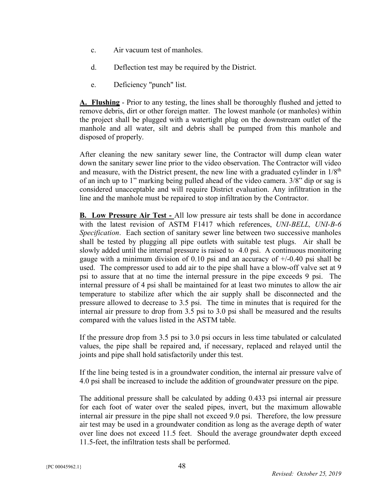- c. Air vacuum test of manholes.
- d. Deflection test may be required by the District.
- e. Deficiency "punch" list.

**A. Flushing** - Prior to any testing, the lines shall be thoroughly flushed and jetted to remove debris, dirt or other foreign matter. The lowest manhole (or manholes) within the project shall be plugged with a watertight plug on the downstream outlet of the manhole and all water, silt and debris shall be pumped from this manhole and disposed of properly.

After cleaning the new sanitary sewer line, the Contractor will dump clean water down the sanitary sewer line prior to the video observation. The Contractor will video and measure, with the District present, the new line with a graduated cylinder in  $1/8<sup>th</sup>$ of an inch up to 1" marking being pulled ahead of the video camera. 3/8" dip or sag is considered unacceptable and will require District evaluation. Any infiltration in the line and the manhole must be repaired to stop infiltration by the Contractor.

**B. Low Pressure Air Test -** All low pressure air tests shall be done in accordance with the latest revision of ASTM F1417 which references, *UNI-BELL, UNI-B-6 Specification*. Each section of sanitary sewer line between two successive manholes shall be tested by plugging all pipe outlets with suitable test plugs. Air shall be slowly added until the internal pressure is raised to 4.0 psi. A continuous monitoring gauge with a minimum division of 0.10 psi and an accuracy of  $+/0.40$  psi shall be used. The compressor used to add air to the pipe shall have a blow-off valve set at 9 psi to assure that at no time the internal pressure in the pipe exceeds 9 psi. The internal pressure of 4 psi shall be maintained for at least two minutes to allow the air temperature to stabilize after which the air supply shall be disconnected and the pressure allowed to decrease to 3.5 psi. The time in minutes that is required for the internal air pressure to drop from 3.5 psi to 3.0 psi shall be measured and the results compared with the values listed in the ASTM table.

If the pressure drop from 3.5 psi to 3.0 psi occurs in less time tabulated or calculated values, the pipe shall be repaired and, if necessary, replaced and relayed until the joints and pipe shall hold satisfactorily under this test.

If the line being tested is in a groundwater condition, the internal air pressure valve of 4.0 psi shall be increased to include the addition of groundwater pressure on the pipe.

The additional pressure shall be calculated by adding 0.433 psi internal air pressure for each foot of water over the sealed pipes, invert, but the maximum allowable internal air pressure in the pipe shall not exceed 9.0 psi. Therefore, the low pressure air test may be used in a groundwater condition as long as the average depth of water over line does not exceed 11.5 feet. Should the average groundwater depth exceed 11.5-feet, the infiltration tests shall be performed.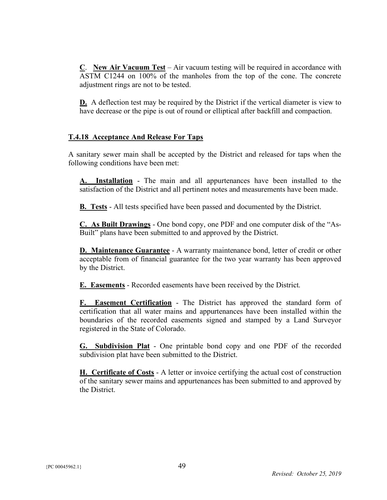**C**. **New Air Vacuum Test** – Air vacuum testing will be required in accordance with ASTM C1244 on 100% of the manholes from the top of the cone. The concrete adjustment rings are not to be tested.

**D.** A deflection test may be required by the District if the vertical diameter is view to have decrease or the pipe is out of round or elliptical after backfill and compaction.

# **T.4.18 Acceptance And Release For Taps**

A sanitary sewer main shall be accepted by the District and released for taps when the following conditions have been met:

**A. Installation** - The main and all appurtenances have been installed to the satisfaction of the District and all pertinent notes and measurements have been made.

**B. Tests** - All tests specified have been passed and documented by the District.

**C. As Built Drawings** - One bond copy, one PDF and one computer disk of the "As-Built" plans have been submitted to and approved by the District.

**D. Maintenance Guarantee** - A warranty maintenance bond, letter of credit or other acceptable from of financial guarantee for the two year warranty has been approved by the District.

**E. Easements** - Recorded easements have been received by the District.

**F. Easement Certification** - The District has approved the standard form of certification that all water mains and appurtenances have been installed within the boundaries of the recorded easements signed and stamped by a Land Surveyor registered in the State of Colorado.

**G. Subdivision Plat** - One printable bond copy and one PDF of the recorded subdivision plat have been submitted to the District.

**H. Certificate of Costs** - A letter or invoice certifying the actual cost of construction of the sanitary sewer mains and appurtenances has been submitted to and approved by the District.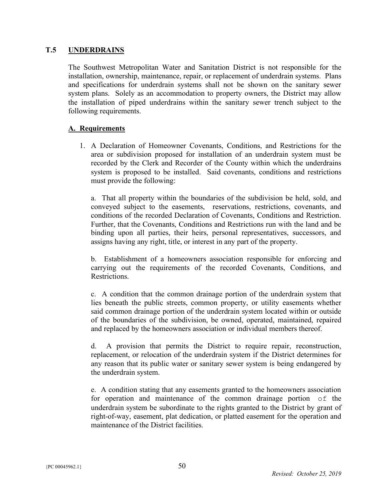#### **T.5 UNDERDRAINS**

The Southwest Metropolitan Water and Sanitation District is not responsible for the installation, ownership, maintenance, repair, or replacement of underdrain systems. Plans and specifications for underdrain systems shall not be shown on the sanitary sewer system plans. Solely as an accommodation to property owners, the District may allow the installation of piped underdrains within the sanitary sewer trench subject to the following requirements.

#### **A. Requirements**

1. A Declaration of Homeowner Covenants, Conditions, and Restrictions for the area or subdivision proposed for installation of an underdrain system must be recorded by the Clerk and Recorder of the County within which the underdrains system is proposed to be installed. Said covenants, conditions and restrictions must provide the following:

a. That all property within the boundaries of the subdivision be held, sold, and conveyed subject to the easements, reservations, restrictions, covenants, and conditions of the recorded Declaration of Covenants, Conditions and Restriction. Further, that the Covenants, Conditions and Restrictions run with the land and be binding upon all parties, their heirs, personal representatives, successors, and assigns having any right, title, or interest in any part of the property.

b. Establishment of a homeowners association responsible for enforcing and carrying out the requirements of the recorded Covenants, Conditions, and Restrictions.

c. A condition that the common drainage portion of the underdrain system that lies beneath the public streets, common property, or utility easements whether said common drainage portion of the underdrain system located within or outside of the boundaries of the subdivision, be owned, operated, maintained, repaired and replaced by the homeowners association or individual members thereof.

d. A provision that permits the District to require repair, reconstruction, replacement, or relocation of the underdrain system if the District determines for any reason that its public water or sanitary sewer system is being endangered by the underdrain system.

e. A condition stating that any easements granted to the homeowners association for operation and maintenance of the common drainage portion of the underdrain system be subordinate to the rights granted to the District by grant of right-of-way, easement, plat dedication, or platted easement for the operation and maintenance of the District facilities.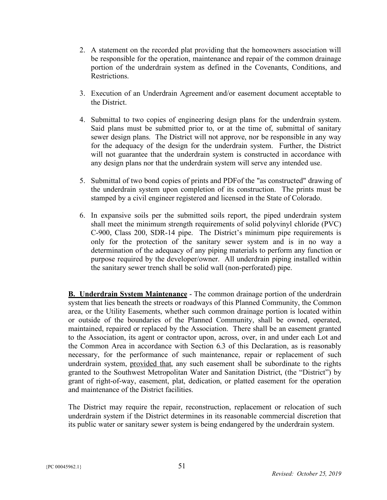- 2. A statement on the recorded plat providing that the homeowners association will be responsible for the operation, maintenance and repair of the common drainage portion of the underdrain system as defined in the Covenants, Conditions, and Restrictions.
- 3. Execution of an Underdrain Agreement and/or easement document acceptable to the District.
- 4. Submittal to two copies of engineering design plans for the underdrain system. Said plans must be submitted prior to, or at the time of, submittal of sanitary sewer design plans. The District will not approve, nor be responsible in any way for the adequacy of the design for the underdrain system. Further, the District will not guarantee that the underdrain system is constructed in accordance with any design plans nor that the underdrain system will serve any intended use.
- 5. Submittal of two bond copies of prints and PDFof the "as constructed" drawing of the underdrain system upon completion of its construction. The prints must be stamped by a civil engineer registered and licensed in the State of Colorado.
- 6. In expansive soils per the submitted soils report, the piped underdrain system shall meet the minimum strength requirements of solid polyvinyl chloride (PVC) C-900, Class 200, SDR-14 pipe. The District's minimum pipe requirements is only for the protection of the sanitary sewer system and is in no way a determination of the adequacy of any piping materials to perform any function or purpose required by the developer/owner. All underdrain piping installed within the sanitary sewer trench shall be solid wall (non-perforated) pipe.

**B. Underdrain System Maintenance** - The common drainage portion of the underdrain system that lies beneath the streets or roadways of this Planned Community, the Common area, or the Utility Easements, whether such common drainage portion is located within or outside of the boundaries of the Planned Community, shall be owned, operated, maintained, repaired or replaced by the Association. There shall be an easement granted to the Association, its agent or contractor upon, across, over, in and under each Lot and the Common Area in accordance with Section 6.3 of this Declaration, as is reasonably necessary, for the performance of such maintenance, repair or replacement of such underdrain system, provided that, any such easement shall be subordinate to the rights granted to the Southwest Metropolitan Water and Sanitation District, (the "District") by grant of right-of-way, easement, plat, dedication, or platted easement for the operation and maintenance of the District facilities.

The District may require the repair, reconstruction, replacement or relocation of such underdrain system if the District determines in its reasonable commercial discretion that its public water or sanitary sewer system is being endangered by the underdrain system.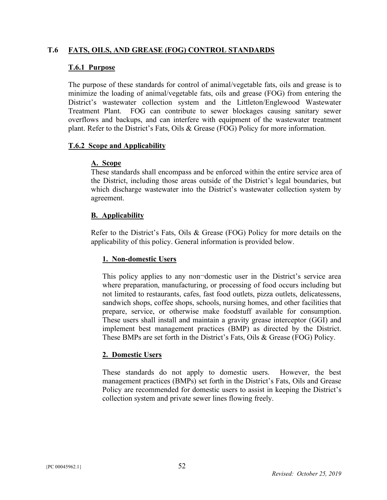#### **T.6 FATS, OILS, AND GREASE (FOG) CONTROL STANDARDS**

#### **T.6.1 Purpose**

The purpose of these standards for control of animal/vegetable fats, oils and grease is to minimize the loading of animal/vegetable fats, oils and grease (FOG) from entering the District's wastewater collection system and the Littleton/Englewood Wastewater Treatment Plant. FOG can contribute to sewer blockages causing sanitary sewer overflows and backups, and can interfere with equipment of the wastewater treatment plant. Refer to the District's Fats, Oils & Grease (FOG) Policy for more information.

#### **T.6.2 Scope and Applicability**

#### **A. Scope**

These standards shall encompass and be enforced within the entire service area of the District, including those areas outside of the District's legal boundaries, but which discharge wastewater into the District's wastewater collection system by agreement.

#### **B. Applicability**

Refer to the District's Fats, Oils & Grease (FOG) Policy for more details on the applicability of this policy. General information is provided below.

#### **1. Non-domestic Users**

This policy applies to any non¬domestic user in the District's service area where preparation, manufacturing, or processing of food occurs including but not limited to restaurants, cafes, fast food outlets, pizza outlets, delicatessens, sandwich shops, coffee shops, schools, nursing homes, and other facilities that prepare, service, or otherwise make foodstuff available for consumption. These users shall install and maintain a gravity grease interceptor (GGI) and implement best management practices (BMP) as directed by the District. These BMPs are set forth in the District's Fats, Oils & Grease (FOG) Policy.

#### **2. Domestic Users**

These standards do not apply to domestic users. However, the best management practices (BMPs) set forth in the District's Fats, Oils and Grease Policy are recommended for domestic users to assist in keeping the District's collection system and private sewer lines flowing freely.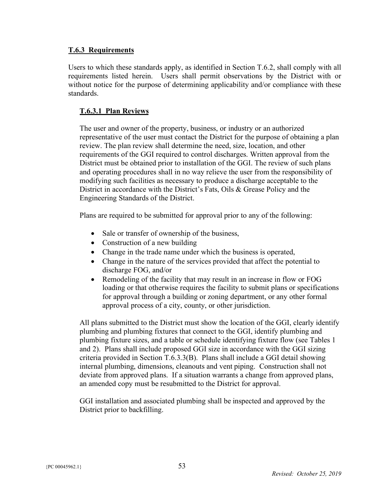#### **T.6.3 Requirements**

Users to which these standards apply, as identified in Section T.6.2, shall comply with all requirements listed herein. Users shall permit observations by the District with or without notice for the purpose of determining applicability and/or compliance with these standards.

#### **T.6.3.1 Plan Reviews**

The user and owner of the property, business, or industry or an authorized representative of the user must contact the District for the purpose of obtaining a plan review. The plan review shall determine the need, size, location, and other requirements of the GGI required to control discharges. Written approval from the District must be obtained prior to installation of the GGI. The review of such plans and operating procedures shall in no way relieve the user from the responsibility of modifying such facilities as necessary to produce a discharge acceptable to the District in accordance with the District's Fats, Oils & Grease Policy and the Engineering Standards of the District.

Plans are required to be submitted for approval prior to any of the following:

- Sale or transfer of ownership of the business,
- Construction of a new building
- Change in the trade name under which the business is operated,
- Change in the nature of the services provided that affect the potential to discharge FOG, and/or
- Remodeling of the facility that may result in an increase in flow or FOG loading or that otherwise requires the facility to submit plans or specifications for approval through a building or zoning department, or any other formal approval process of a city, county, or other jurisdiction.

All plans submitted to the District must show the location of the GGI, clearly identify plumbing and plumbing fixtures that connect to the GGI, identify plumbing and plumbing fixture sizes, and a table or schedule identifying fixture flow (see Tables 1 and 2). Plans shall include proposed GGI size in accordance with the GGI sizing criteria provided in Section T.6.3.3(B). Plans shall include a GGI detail showing internal plumbing, dimensions, cleanouts and vent piping. Construction shall not deviate from approved plans. If a situation warrants a change from approved plans, an amended copy must be resubmitted to the District for approval.

GGI installation and associated plumbing shall be inspected and approved by the District prior to backfilling.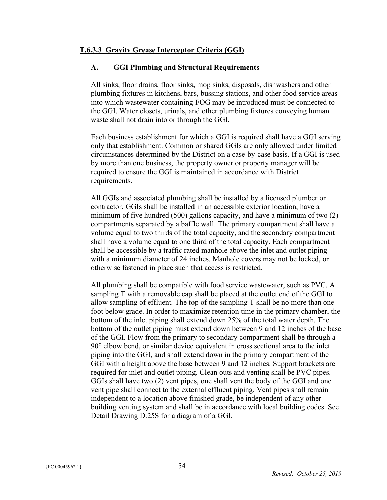#### **T.6.3.3 Gravity Grease Interceptor Criteria (GGI)**

#### **A. GGI Plumbing and Structural Requirements**

All sinks, floor drains, floor sinks, mop sinks, disposals, dishwashers and other plumbing fixtures in kitchens, bars, bussing stations, and other food service areas into which wastewater containing FOG may be introduced must be connected to the GGI. Water closets, urinals, and other plumbing fixtures conveying human waste shall not drain into or through the GGI.

Each business establishment for which a GGI is required shall have a GGI serving only that establishment. Common or shared GGIs are only allowed under limited circumstances determined by the District on a case-by-case basis. If a GGI is used by more than one business, the property owner or property manager will be required to ensure the GGI is maintained in accordance with District requirements.

All GGIs and associated plumbing shall be installed by a licensed plumber or contractor. GGIs shall be installed in an accessible exterior location, have a minimum of five hundred (500) gallons capacity, and have a minimum of two (2) compartments separated by a baffle wall. The primary compartment shall have a volume equal to two thirds of the total capacity, and the secondary compartment shall have a volume equal to one third of the total capacity. Each compartment shall be accessible by a traffic rated manhole above the inlet and outlet piping with a minimum diameter of 24 inches. Manhole covers may not be locked, or otherwise fastened in place such that access is restricted.

All plumbing shall be compatible with food service wastewater, such as PVC. A sampling T with a removable cap shall be placed at the outlet end of the GGI to allow sampling of effluent. The top of the sampling T shall be no more than one foot below grade. In order to maximize retention time in the primary chamber, the bottom of the inlet piping shall extend down 25% of the total water depth. The bottom of the outlet piping must extend down between 9 and 12 inches of the base of the GGI. Flow from the primary to secondary compartment shall be through a 90° elbow bend, or similar device equivalent in cross sectional area to the inlet piping into the GGI, and shall extend down in the primary compartment of the GGI with a height above the base between 9 and 12 inches. Support brackets are required for inlet and outlet piping. Clean outs and venting shall be PVC pipes. GGIs shall have two (2) vent pipes, one shall vent the body of the GGI and one vent pipe shall connect to the external effluent piping. Vent pipes shall remain independent to a location above finished grade, be independent of any other building venting system and shall be in accordance with local building codes. See Detail Drawing D.25S for a diagram of a GGI.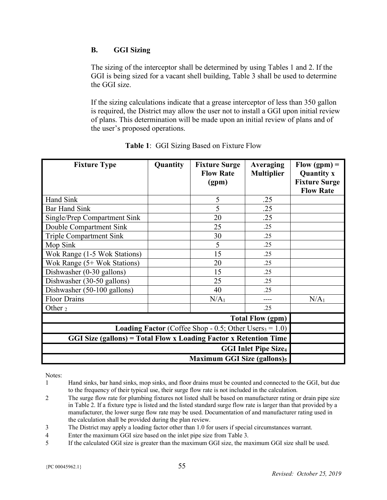# **B. GGI Sizing**

The sizing of the interceptor shall be determined by using Tables 1 and 2. If the GGI is being sized for a vacant shell building, Table 3 shall be used to determine the GGI size.

If the sizing calculations indicate that a grease interceptor of less than 350 gallon is required, the District may allow the user not to install a GGI upon initial review of plans. This determination will be made upon an initial review of plans and of the user's proposed operations.

| <b>Fixture Type</b>                                                | Quantity | <b>Fixture Surge</b><br><b>Flow Rate</b><br>(gpm) | Averaging<br><b>Multiplier</b> | $Flow (gpm) =$<br><b>Quantity x</b><br><b>Fixture Surge</b> |
|--------------------------------------------------------------------|----------|---------------------------------------------------|--------------------------------|-------------------------------------------------------------|
|                                                                    |          |                                                   |                                | <b>Flow Rate</b>                                            |
| Hand Sink                                                          |          | 5                                                 | .25                            |                                                             |
| <b>Bar Hand Sink</b>                                               |          | 5                                                 | .25                            |                                                             |
| Single/Prep Compartment Sink                                       |          | 20                                                | .25                            |                                                             |
| Double Compartment Sink                                            |          | 25                                                | .25                            |                                                             |
| <b>Triple Compartment Sink</b>                                     |          | 30                                                | .25                            |                                                             |
| Mop Sink                                                           |          | 5                                                 | .25                            |                                                             |
| Wok Range (1-5 Wok Stations)                                       |          | 15                                                | .25                            |                                                             |
| Wok Range (5+ Wok Stations)                                        |          | 20                                                | .25                            |                                                             |
| Dishwasher (0-30 gallons)                                          |          | 15                                                | .25                            |                                                             |
| Dishwasher (30-50 gallons)                                         |          | 25                                                | .25                            |                                                             |
| Dishwasher (50-100 gallons)                                        |          | 40                                                | .25                            |                                                             |
| <b>Floor Drains</b>                                                |          | $N/A_1$                                           |                                | $N/A_1$                                                     |
| Other $2$                                                          |          |                                                   | .25                            |                                                             |
|                                                                    |          |                                                   |                                |                                                             |
| <b>Loading Factor</b> (Coffee Shop - 0.5; Other Users $_3 = 1.0$ ) |          |                                                   |                                |                                                             |
| GGI Size (gallons) = Total Flow x Loading Factor x Retention Time  |          |                                                   |                                |                                                             |
| <b>GGI Inlet Pipe Size4</b>                                        |          |                                                   |                                |                                                             |
| <b>Maximum GGI Size (gallons)</b>                                  |          |                                                   |                                |                                                             |

| <b>Table 1:</b> GGI Sizing Based on Fixture Flow |  |  |  |  |  |  |
|--------------------------------------------------|--|--|--|--|--|--|
|--------------------------------------------------|--|--|--|--|--|--|

Notes:

1 Hand sinks, bar hand sinks, mop sinks, and floor drains must be counted and connected to the GGI, but due to the frequency of their typical use, their surge flow rate is not included in the calculation.

- 2 The surge flow rate for plumbing fixtures not listed shall be based on manufacturer rating or drain pipe size in Table 2. If a fixture type is listed and the listed standard surge flow rate is larger than that provided by a manufacturer, the lower surge flow rate may be used. Documentation of and manufacturer rating used in the calculation shall be provided during the plan review.
- 3 The District may apply a loading factor other than 1.0 for users if special circumstances warrant.
- 4 Enter the maximum GGI size based on the inlet pipe size from Table 3.

5 If the calculated GGI size is greater than the maximum GGI size, the maximum GGI size shall be used.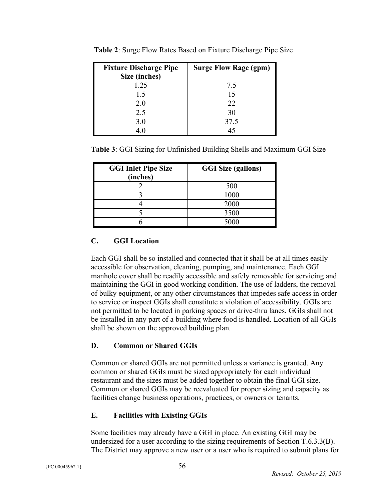| <b>Fixture Discharge Pipe</b><br>Size (inches) | <b>Surge Flow Rage (gpm)</b> |
|------------------------------------------------|------------------------------|
| 1.25                                           | 7.5                          |
| 1.5                                            | 15                           |
| 2.0                                            | 22                           |
| 2.5                                            | 30                           |
| 3.0                                            | 37.5                         |
|                                                |                              |

**Table 2**: Surge Flow Rates Based on Fixture Discharge Pipe Size

**Table 3**: GGI Sizing for Unfinished Building Shells and Maximum GGI Size

| <b>GGI Inlet Pipe Size</b><br>(inches) | <b>GGI</b> Size (gallons) |
|----------------------------------------|---------------------------|
|                                        | 500                       |
|                                        | 1000                      |
|                                        | 2000                      |
|                                        | 3500                      |
|                                        |                           |

# **C. GGI Location**

Each GGI shall be so installed and connected that it shall be at all times easily accessible for observation, cleaning, pumping, and maintenance. Each GGI manhole cover shall be readily accessible and safely removable for servicing and maintaining the GGI in good working condition. The use of ladders, the removal of bulky equipment, or any other circumstances that impedes safe access in order to service or inspect GGIs shall constitute a violation of accessibility. GGIs are not permitted to be located in parking spaces or drive-thru lanes. GGIs shall not be installed in any part of a building where food is handled. Location of all GGIs shall be shown on the approved building plan.

# **D. Common or Shared GGIs**

Common or shared GGIs are not permitted unless a variance is granted. Any common or shared GGIs must be sized appropriately for each individual restaurant and the sizes must be added together to obtain the final GGI size. Common or shared GGIs may be reevaluated for proper sizing and capacity as facilities change business operations, practices, or owners or tenants.

# **E. Facilities with Existing GGIs**

Some facilities may already have a GGI in place. An existing GGI may be undersized for a user according to the sizing requirements of Section T.6.3.3(B). The District may approve a new user or a user who is required to submit plans for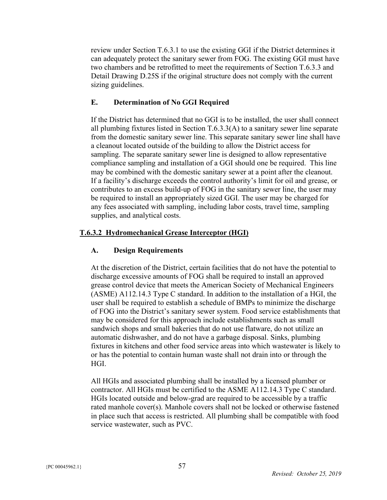review under Section T.6.3.1 to use the existing GGI if the District determines it can adequately protect the sanitary sewer from FOG. The existing GGI must have two chambers and be retrofitted to meet the requirements of Section T.6.3.3 and Detail Drawing D.25S if the original structure does not comply with the current sizing guidelines.

#### **E. Determination of No GGI Required**

If the District has determined that no GGI is to be installed, the user shall connect all plumbing fixtures listed in Section T.6.3.3(A) to a sanitary sewer line separate from the domestic sanitary sewer line. This separate sanitary sewer line shall have a cleanout located outside of the building to allow the District access for sampling. The separate sanitary sewer line is designed to allow representative compliance sampling and installation of a GGI should one be required. This line may be combined with the domestic sanitary sewer at a point after the cleanout. If a facility's discharge exceeds the control authority's limit for oil and grease, or contributes to an excess build-up of FOG in the sanitary sewer line, the user may be required to install an appropriately sized GGI. The user may be charged for any fees associated with sampling, including labor costs, travel time, sampling supplies, and analytical costs.

#### **T.6.3.2 Hydromechanical Grease Interceptor (HGI)**

#### **A. Design Requirements**

At the discretion of the District, certain facilities that do not have the potential to discharge excessive amounts of FOG shall be required to install an approved grease control device that meets the American Society of Mechanical Engineers (ASME) A112.14.3 Type C standard. In addition to the installation of a HGI, the user shall be required to establish a schedule of BMPs to minimize the discharge of FOG into the District's sanitary sewer system. Food service establishments that may be considered for this approach include establishments such as small sandwich shops and small bakeries that do not use flatware, do not utilize an automatic dishwasher, and do not have a garbage disposal. Sinks, plumbing fixtures in kitchens and other food service areas into which wastewater is likely to or has the potential to contain human waste shall not drain into or through the HGI.

All HGIs and associated plumbing shall be installed by a licensed plumber or contractor. All HGIs must be certified to the ASME A112.14.3 Type C standard. HGIs located outside and below-grad are required to be accessible by a traffic rated manhole cover(s). Manhole covers shall not be locked or otherwise fastened in place such that access is restricted. All plumbing shall be compatible with food service wastewater, such as PVC.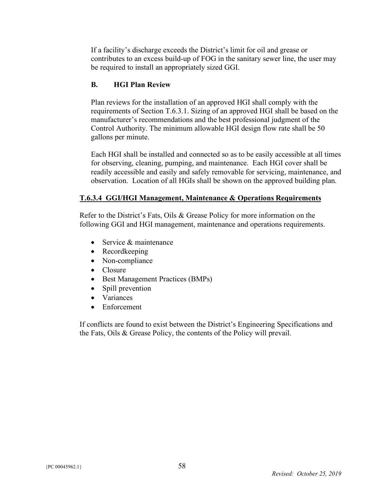If a facility's discharge exceeds the District's limit for oil and grease or contributes to an excess build-up of FOG in the sanitary sewer line, the user may be required to install an appropriately sized GGI.

## **B. HGI Plan Review**

Plan reviews for the installation of an approved HGI shall comply with the requirements of Section T.6.3.1. Sizing of an approved HGI shall be based on the manufacturer's recommendations and the best professional judgment of the Control Authority. The minimum allowable HGI design flow rate shall be 50 gallons per minute.

Each HGI shall be installed and connected so as to be easily accessible at all times for observing, cleaning, pumping, and maintenance. Each HGI cover shall be readily accessible and easily and safely removable for servicing, maintenance, and observation. Location of all HGIs shall be shown on the approved building plan.

# **T.6.3.4 GGI/HGI Management, Maintenance & Operations Requirements**

Refer to the District's Fats, Oils & Grease Policy for more information on the following GGI and HGI management, maintenance and operations requirements.

- Service & maintenance
- Recordkeeping
- Non-compliance
- Closure
- Best Management Practices (BMPs)
- Spill prevention
- Variances
- Enforcement

If conflicts are found to exist between the District's Engineering Specifications and the Fats, Oils & Grease Policy, the contents of the Policy will prevail.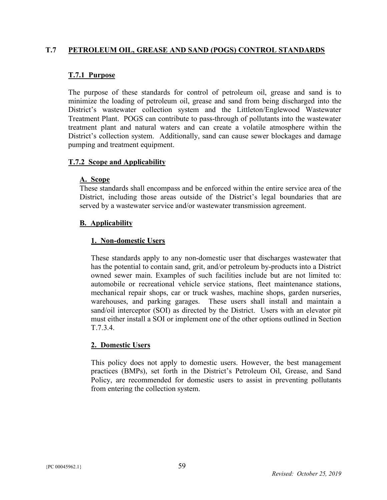#### **T.7 PETROLEUM OIL, GREASE AND SAND (POGS) CONTROL STANDARDS**

#### **T.7.1 Purpose**

The purpose of these standards for control of petroleum oil, grease and sand is to minimize the loading of petroleum oil, grease and sand from being discharged into the District's wastewater collection system and the Littleton/Englewood Wastewater Treatment Plant. POGS can contribute to pass-through of pollutants into the wastewater treatment plant and natural waters and can create a volatile atmosphere within the District's collection system. Additionally, sand can cause sewer blockages and damage pumping and treatment equipment.

#### **T.7.2 Scope and Applicability**

#### **A. Scope**

These standards shall encompass and be enforced within the entire service area of the District, including those areas outside of the District's legal boundaries that are served by a wastewater service and/or wastewater transmission agreement.

#### **B. Applicability**

#### **1. Non-domestic Users**

These standards apply to any non-domestic user that discharges wastewater that has the potential to contain sand, grit, and/or petroleum by-products into a District owned sewer main. Examples of such facilities include but are not limited to: automobile or recreational vehicle service stations, fleet maintenance stations, mechanical repair shops, car or truck washes, machine shops, garden nurseries, warehouses, and parking garages. These users shall install and maintain a sand/oil interceptor (SOI) as directed by the District. Users with an elevator pit must either install a SOI or implement one of the other options outlined in Section T.7.3.4.

#### **2. Domestic Users**

This policy does not apply to domestic users. However, the best management practices (BMPs), set forth in the District's Petroleum Oil, Grease, and Sand Policy, are recommended for domestic users to assist in preventing pollutants from entering the collection system.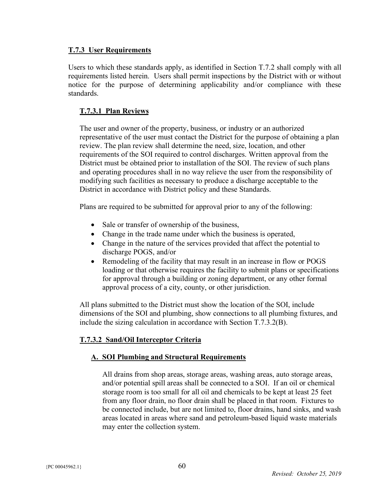#### **T.7.3 User Requirements**

Users to which these standards apply, as identified in Section T.7.2 shall comply with all requirements listed herein. Users shall permit inspections by the District with or without notice for the purpose of determining applicability and/or compliance with these standards.

#### **T.7.3.1 Plan Reviews**

The user and owner of the property, business, or industry or an authorized representative of the user must contact the District for the purpose of obtaining a plan review. The plan review shall determine the need, size, location, and other requirements of the SOI required to control discharges. Written approval from the District must be obtained prior to installation of the SOI. The review of such plans and operating procedures shall in no way relieve the user from the responsibility of modifying such facilities as necessary to produce a discharge acceptable to the District in accordance with District policy and these Standards.

Plans are required to be submitted for approval prior to any of the following:

- Sale or transfer of ownership of the business,
- Change in the trade name under which the business is operated,
- Change in the nature of the services provided that affect the potential to discharge POGS, and/or
- Remodeling of the facility that may result in an increase in flow or POGS loading or that otherwise requires the facility to submit plans or specifications for approval through a building or zoning department, or any other formal approval process of a city, county, or other jurisdiction.

All plans submitted to the District must show the location of the SOI, include dimensions of the SOI and plumbing, show connections to all plumbing fixtures, and include the sizing calculation in accordance with Section T.7.3.2(B).

#### **T.7.3.2 Sand/Oil Interceptor Criteria**

#### **A. SOI Plumbing and Structural Requirements**

All drains from shop areas, storage areas, washing areas, auto storage areas, and/or potential spill areas shall be connected to a SOI. If an oil or chemical storage room is too small for all oil and chemicals to be kept at least 25 feet from any floor drain, no floor drain shall be placed in that room. Fixtures to be connected include, but are not limited to, floor drains, hand sinks, and wash areas located in areas where sand and petroleum-based liquid waste materials may enter the collection system.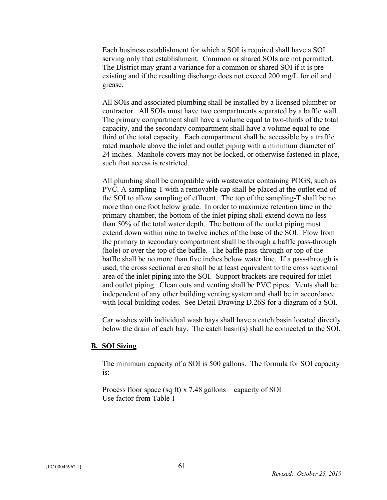Each business establishment for which a SOI is required shall have a SOI serving only that establishment. Common or shared SOIs are not permitted. The District may grant a variance for a common or shared SOI if it is preexisting and if the resulting discharge does not exceed 200 mg/L for oil and grease.

All SOIs and associated plumbing shall be installed by a licensed plumber or contractor. All SOIs must have two compartments separated by a baffle wall. The primary compartment shall have a volume equal to two-thirds of the total capacity, and the secondary compartment shall have a volume equal to onethird of the total capacity. Each compartment shall be accessible by a traffic rated manhole above the inlet and outlet piping with a minimum diameter of 24 inches. Manhole covers may not be locked, or otherwise fastened in place, such that access is restricted.

All plumbing shall be compatible with wastewater containing POGS, such as PVC. A sampling-T with a removable cap shall be placed at the outlet end of the SOI to allow sampling of effluent. The top of the sampling-T shall be no more than one foot below grade. In order to maximize retention time in the primary chamber, the bottom of the inlet piping shall extend down no less than 50% of the total water depth. The bottom of the outlet piping must extend down within nine to twelve inches of the base of the SOI. Flow from the primary to secondary compartment shall be through a baffle pass-through (hole) or over the top of the baffle. The baffle pass-through or top of the baffle shall be no more than five inches below water line. If a pass-through is used, the cross sectional area shall be at least equivalent to the cross sectional area of the inlet piping into the SOI. Support brackets are required for inlet and outlet piping. Clean outs and venting shall be PVC pipes. Vents shall be independent of any other building venting system and shall be in accordance with local building codes. See Detail Drawing D.26S for a diagram of a SOI.

Car washes with individual wash bays shall have a catch basin located directly below the drain of each bay. The catch basin(s) shall be connected to the SOI.

#### **B. SOI Sizing**

The minimum capacity of a SOI is 500 gallons. The formula for SOI capacity is:

Process floor space (sq ft) x 7.48 gallons = capacity of SOI Use factor from Table 1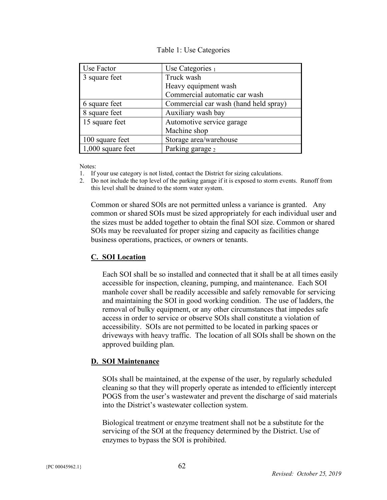| Use Factor          | Use Categories $_1$                   |  |
|---------------------|---------------------------------------|--|
| 3 square feet       | Truck wash                            |  |
|                     | Heavy equipment wash                  |  |
|                     | Commercial automatic car wash         |  |
| 6 square feet       | Commercial car wash (hand held spray) |  |
| 8 square feet       | Auxiliary wash bay                    |  |
| 15 square feet      | Automotive service garage             |  |
|                     | Machine shop                          |  |
| 100 square feet     | Storage area/warehouse                |  |
| $1,000$ square feet | Parking garage 2                      |  |

Table 1: Use Categories

Notes:

- 1. If your use category is not listed, contact the District for sizing calculations.
- 2. Do not include the top level of the parking garage if it is exposed to storm events. Runoff from this level shall be drained to the storm water system.

Common or shared SOIs are not permitted unless a variance is granted. Any common or shared SOIs must be sized appropriately for each individual user and the sizes must be added together to obtain the final SOI size. Common or shared SOIs may be reevaluated for proper sizing and capacity as facilities change business operations, practices, or owners or tenants.

#### **C. SOI Location**

Each SOI shall be so installed and connected that it shall be at all times easily accessible for inspection, cleaning, pumping, and maintenance. Each SOI manhole cover shall be readily accessible and safely removable for servicing and maintaining the SOI in good working condition. The use of ladders, the removal of bulky equipment, or any other circumstances that impedes safe access in order to service or observe SOIs shall constitute a violation of accessibility. SOIs are not permitted to be located in parking spaces or driveways with heavy traffic. The location of all SOIs shall be shown on the approved building plan.

#### **D. SOI Maintenance**

SOIs shall be maintained, at the expense of the user, by regularly scheduled cleaning so that they will properly operate as intended to efficiently intercept POGS from the user's wastewater and prevent the discharge of said materials into the District's wastewater collection system.

Biological treatment or enzyme treatment shall not be a substitute for the servicing of the SOI at the frequency determined by the District. Use of enzymes to bypass the SOI is prohibited.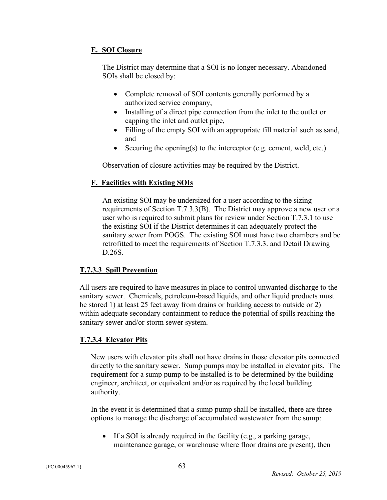#### **E. SOI Closure**

The District may determine that a SOI is no longer necessary. Abandoned SOIs shall be closed by:

- Complete removal of SOI contents generally performed by a authorized service company,
- Installing of a direct pipe connection from the inlet to the outlet or capping the inlet and outlet pipe,
- Filling of the empty SOI with an appropriate fill material such as sand, and
- Securing the opening(s) to the interceptor (e.g. cement, weld, etc.)

Observation of closure activities may be required by the District.

#### **F. Facilities with Existing SOIs**

An existing SOI may be undersized for a user according to the sizing requirements of Section T.7.3.3(B). The District may approve a new user or a user who is required to submit plans for review under Section T.7.3.1 to use the existing SOI if the District determines it can adequately protect the sanitary sewer from POGS. The existing SOI must have two chambers and be retrofitted to meet the requirements of Section T.7.3.3. and Detail Drawing D.26S.

#### **T.7.3.3 Spill Prevention**

All users are required to have measures in place to control unwanted discharge to the sanitary sewer. Chemicals, petroleum-based liquids, and other liquid products must be stored 1) at least 25 feet away from drains or building access to outside or 2) within adequate secondary containment to reduce the potential of spills reaching the sanitary sewer and/or storm sewer system.

#### **T.7.3.4 Elevator Pits**

New users with elevator pits shall not have drains in those elevator pits connected directly to the sanitary sewer. Sump pumps may be installed in elevator pits. The requirement for a sump pump to be installed is to be determined by the building engineer, architect, or equivalent and/or as required by the local building authority.

In the event it is determined that a sump pump shall be installed, there are three options to manage the discharge of accumulated wastewater from the sump:

• If a SOI is already required in the facility (e.g., a parking garage, maintenance garage, or warehouse where floor drains are present), then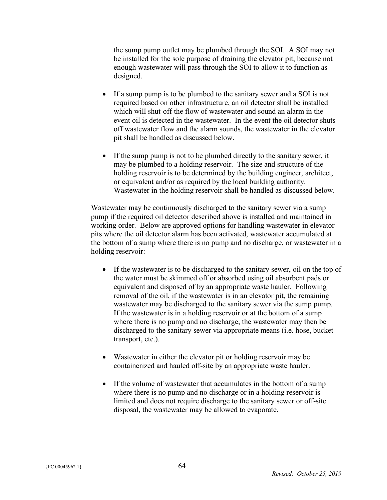the sump pump outlet may be plumbed through the SOI. A SOI may not be installed for the sole purpose of draining the elevator pit, because not enough wastewater will pass through the SOI to allow it to function as designed.

- If a sump pump is to be plumbed to the sanitary sewer and a SOI is not required based on other infrastructure, an oil detector shall be installed which will shut-off the flow of wastewater and sound an alarm in the event oil is detected in the wastewater. In the event the oil detector shuts off wastewater flow and the alarm sounds, the wastewater in the elevator pit shall be handled as discussed below.
- If the sump pump is not to be plumbed directly to the sanitary sewer, it may be plumbed to a holding reservoir. The size and structure of the holding reservoir is to be determined by the building engineer, architect, or equivalent and/or as required by the local building authority. Wastewater in the holding reservoir shall be handled as discussed below.

Wastewater may be continuously discharged to the sanitary sewer via a sump pump if the required oil detector described above is installed and maintained in working order. Below are approved options for handling wastewater in elevator pits where the oil detector alarm has been activated, wastewater accumulated at the bottom of a sump where there is no pump and no discharge, or wastewater in a holding reservoir:

- If the wastewater is to be discharged to the sanitary sewer, oil on the top of the water must be skimmed off or absorbed using oil absorbent pads or equivalent and disposed of by an appropriate waste hauler. Following removal of the oil, if the wastewater is in an elevator pit, the remaining wastewater may be discharged to the sanitary sewer via the sump pump. If the wastewater is in a holding reservoir or at the bottom of a sump where there is no pump and no discharge, the wastewater may then be discharged to the sanitary sewer via appropriate means (i.e. hose, bucket transport, etc.).
- Wastewater in either the elevator pit or holding reservoir may be containerized and hauled off-site by an appropriate waste hauler.
- If the volume of wastewater that accumulates in the bottom of a sump where there is no pump and no discharge or in a holding reservoir is limited and does not require discharge to the sanitary sewer or off-site disposal, the wastewater may be allowed to evaporate.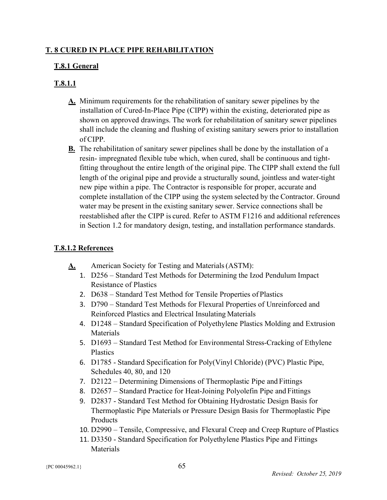#### **T. 8 CURED IN PLACE PIPE REHABILITATION**

#### **T.8.1 General**

## **T.8.1.1**

- **A.** Minimum requirements for the rehabilitation of sanitary sewer pipelines by the installation of Cured-In-Place Pipe (CIPP) within the existing, deteriorated pipe as shown on approved drawings. The work for rehabilitation of sanitary sewer pipelines shall include the cleaning and flushing of existing sanitary sewers prior to installation of CIPP.
- **B.** The rehabilitation of sanitary sewer pipelines shall be done by the installation of a resin- impregnated flexible tube which, when cured, shall be continuous and tightfitting throughout the entire length of the original pipe. The CIPP shall extend the full length of the original pipe and provide a structurally sound, jointless and water-tight new pipe within a pipe. The Contractor is responsible for proper, accurate and complete installation of the CIPP using the system selected by the Contractor. Ground water may be present in the existing sanitary sewer. Service connections shall be reestablished after the CIPP is cured. Refer to ASTM F1216 and additional references in Section 1.2 for mandatory design, testing, and installation performance standards.

## **T.8.1.2 References**

- **A.** American Society for Testing and Materials(ASTM):
	- 1. D256 Standard Test Methods for Determining the Izod Pendulum Impact Resistance of Plastics
	- 2. D638 Standard Test Method for Tensile Properties of Plastics
	- 3. D790 Standard Test Methods for Flexural Properties of Unreinforced and Reinforced Plastics and Electrical Insulating Materials
	- 4. D1248 Standard Specification of Polyethylene Plastics Molding and Extrusion Materials
	- 5. D1693 Standard Test Method for Environmental Stress-Cracking of Ethylene Plastics
	- 6. D1785 Standard Specification for Poly(Vinyl Chloride) (PVC) Plastic Pipe, Schedules 40, 80, and 120
	- 7. D2122 Determining Dimensions of Thermoplastic Pipe and Fittings
	- 8. D2657 Standard Practice for Heat-Joining Polyolefin Pipe and Fittings
	- 9. D2837 Standard Test Method for Obtaining Hydrostatic Design Basis for Thermoplastic Pipe Materials or Pressure Design Basis for Thermoplastic Pipe Products
	- 10. D2990 Tensile, Compressive, and Flexural Creep and Creep Rupture of Plastics
	- 11. D3350 Standard Specification for Polyethylene Plastics Pipe and Fittings Materials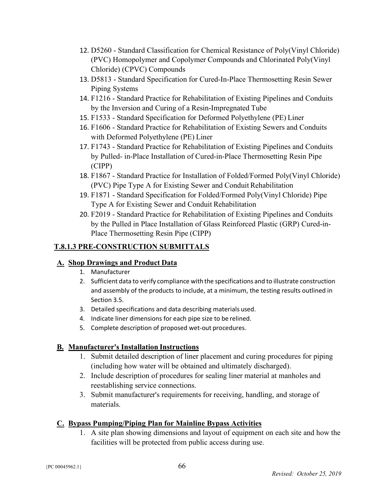- 12. D5260 Standard Classification for Chemical Resistance of Poly(Vinyl Chloride) (PVC) Homopolymer and Copolymer Compounds and Chlorinated Poly(Vinyl Chloride) (CPVC) Compounds
- 13. D5813 Standard Specification for Cured-In-Place Thermosetting Resin Sewer Piping Systems
- 14. F1216 Standard Practice for Rehabilitation of Existing Pipelines and Conduits by the Inversion and Curing of a Resin-Impregnated Tube
- 15. F1533 Standard Specification for Deformed Polyethylene (PE) Liner
- 16. F1606 Standard Practice for Rehabilitation of Existing Sewers and Conduits with Deformed Polyethylene (PE) Liner
- 17. F1743 Standard Practice for Rehabilitation of Existing Pipelines and Conduits by Pulled- in-Place Installation of Cured-in-Place Thermosetting Resin Pipe (CIPP)
- 18. F1867 Standard Practice for Installation of Folded/Formed Poly(Vinyl Chloride) (PVC) Pipe Type A for Existing Sewer and Conduit Rehabilitation
- 19. F1871 Standard Specification for Folded/Formed Poly(Vinyl Chloride) Pipe Type A for Existing Sewer and Conduit Rehabilitation
- 20. F2019 Standard Practice for Rehabilitation of Existing Pipelines and Conduits by the Pulled in Place Installation of Glass Reinforced Plastic (GRP) Cured-in-Place Thermosetting Resin Pipe (CIPP)

## **T.8.1.3 PRE-CONSTRUCTION SUBMITTALS**

## **A. Shop Drawings and Product Data**

- 1. Manufacturer
- 2. Sufficient data to verify compliance with the specifications and to illustrate construction and assembly of the products to include, at a minimum, the testing results outlined in Section 3.5.
- 3. Detailed specifications and data describing materials used.
- 4. Indicate liner dimensions for each pipe size to be relined.
- 5. Complete description of proposed wet-out procedures.

## **B. Manufacturer's Installation Instructions**

- 1. Submit detailed description of liner placement and curing procedures for piping (including how water will be obtained and ultimately discharged).
- 2. Include description of procedures for sealing liner material at manholes and reestablishing service connections.
- 3. Submit manufacturer's requirements for receiving, handling, and storage of materials.

## **C. Bypass Pumping/Piping Plan for Mainline Bypass Activities**

1. A site plan showing dimensions and layout of equipment on each site and how the facilities will be protected from public access during use.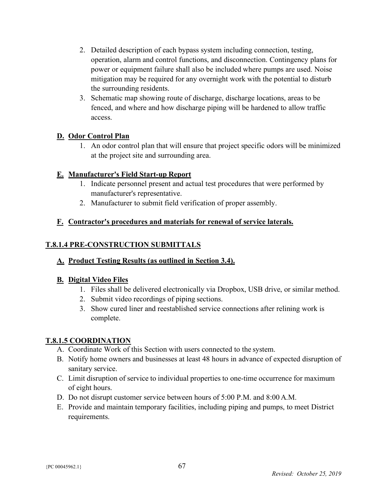- 2. Detailed description of each bypass system including connection, testing, operation, alarm and control functions, and disconnection. Contingency plans for power or equipment failure shall also be included where pumps are used. Noise mitigation may be required for any overnight work with the potential to disturb the surrounding residents.
- 3. Schematic map showing route of discharge, discharge locations, areas to be fenced, and where and how discharge piping will be hardened to allow traffic access.

#### **D. Odor Control Plan**

1. An odor control plan that will ensure that project specific odors will be minimized at the project site and surrounding area.

## **E. Manufacturer's Field Start-up Report**

- 1. Indicate personnel present and actual test procedures that were performed by manufacturer's representative.
- 2. Manufacturer to submit field verification of proper assembly.

#### **F. Contractor's procedures and materials for renewal of service laterals.**

#### **T.8.1.4 PRE-CONSTRUCTION SUBMITTALS**

#### **A. Product Testing Results (as outlined in Section 3.4).**

#### **B. Digital Video Files**

- 1. Files shall be delivered electronically via Dropbox, USB drive, or similar method.
- 2. Submit video recordings of piping sections.
- 3. Show cured liner and reestablished service connections after relining work is complete.

#### **T.8.1.5 COORDINATION**

- A. Coordinate Work of this Section with users connected to the system.
- B. Notify home owners and businesses at least 48 hours in advance of expected disruption of sanitary service.
- C. Limit disruption of service to individual properties to one-time occurrence for maximum of eight hours.
- D. Do not disrupt customer service between hours of 5:00 P.M. and 8:00 A.M.
- E. Provide and maintain temporary facilities, including piping and pumps, to meet District requirements.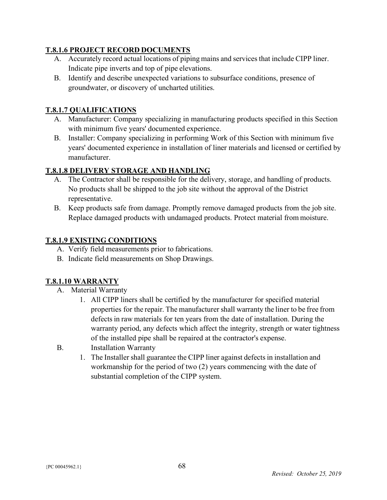## **T.8.1.6 PROJECT RECORD DOCUMENTS**

- A. Accurately record actual locations of piping mains and services that include CIPP liner. Indicate pipe inverts and top of pipe elevations.
- B. Identify and describe unexpected variations to subsurface conditions, presence of groundwater, or discovery of uncharted utilities.

## **T.8.1.7 QUALIFICATIONS**

- A. Manufacturer: Company specializing in manufacturing products specified in this Section with minimum five years' documented experience.
- B. Installer: Company specializing in performing Work of this Section with minimum five years' documented experience in installation of liner materials and licensed or certified by manufacturer.

## **T.8.1.8 DELIVERY STORAGE AND HANDLING**

- A. The Contractor shall be responsible for the delivery, storage, and handling of products. No products shall be shipped to the job site without the approval of the District representative.
- B. Keep products safe from damage. Promptly remove damaged products from the job site. Replace damaged products with undamaged products. Protect material from moisture.

## **T.8.1.9 EXISTING CONDITIONS**

- A. Verify field measurements prior to fabrications.
- B. Indicate field measurements on Shop Drawings.

## **T.8.1.10 WARRANTY**

- A. Material Warranty
	- 1. All CIPP liners shall be certified by the manufacturer for specified material properties for the repair. The manufacturer shall warranty the liner to be free from defects in raw materials for ten years from the date of installation. During the warranty period, any defects which affect the integrity, strength or water tightness of the installed pipe shall be repaired at the contractor's expense.
- B. Installation Warranty
	- 1. The Installer shall guarantee the CIPP liner against defectsin installation and workmanship for the period of two (2) years commencing with the date of substantial completion of the CIPP system.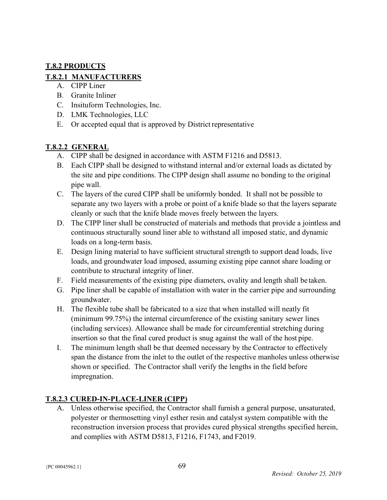## **T.8.2 PRODUCTS**

#### **T.8.2.1 MANUFACTURERS**

- A. CIPP Liner
- B. Granite Inliner
- C. Insituform Technologies, Inc.
- D. LMK Technologies, LLC
- E. Or accepted equal that is approved by District representative

## **T.8.2.2 GENERAL**

- A. CIPP shall be designed in accordance with ASTM F1216 and D5813.
- B. Each CIPP shall be designed to withstand internal and/or external loads as dictated by the site and pipe conditions. The CIPP design shall assume no bonding to the original pipe wall.
- C. The layers of the cured CIPP shall be uniformly bonded. It shall not be possible to separate any two layers with a probe or point of a knife blade so that the layers separate cleanly or such that the knife blade moves freely between the layers.
- D. The CIPP liner shall be constructed of materials and methods that provide a jointless and continuous structurally sound liner able to withstand all imposed static, and dynamic loads on a long-term basis.
- E. Design lining material to have sufficient structural strength to support dead loads, live loads, and groundwater load imposed, assuming existing pipe cannot share loading or contribute to structural integrity of liner.
- F. Field measurements of the existing pipe diameters, ovality and length shall be taken.
- G. Pipe liner shall be capable of installation with water in the carrier pipe and surrounding groundwater.
- H. The flexible tube shall be fabricated to a size that when installed will neatly fit (minimum 99.75%) the internal circumference of the existing sanitary sewer lines (including services). Allowance shall be made for circumferential stretching during insertion so that the final cured product is snug against the wall of the host pipe.
- I. The minimum length shall be that deemed necessary by the Contractor to effectively span the distance from the inlet to the outlet of the respective manholes unless otherwise shown or specified. The Contractor shall verify the lengths in the field before impregnation.

## **T.8.2.3 CURED-IN-PLACE-LINER (CIPP)**

A. Unless otherwise specified, the Contractor shall furnish a general purpose, unsaturated, polyester or thermosetting vinyl esther resin and catalyst system compatible with the reconstruction inversion process that provides cured physical strengths specified herein, and complies with ASTM D5813, F1216, F1743, and F2019.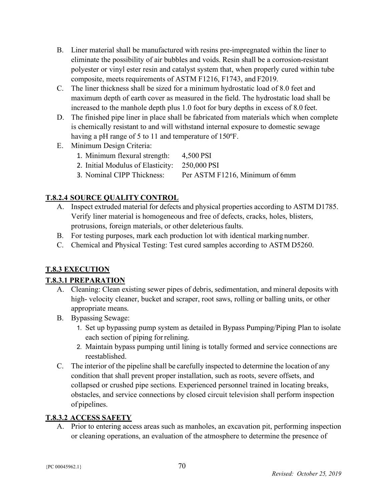- B. Liner material shall be manufactured with resins pre-impregnated within the liner to eliminate the possibility of air bubbles and voids. Resin shall be a corrosion-resistant polyester or vinyl ester resin and catalyst system that, when properly cured within tube composite, meets requirements of ASTM F1216, F1743, and F2019.
- C. The liner thickness shall be sized for a minimum hydrostatic load of 8.0 feet and maximum depth of earth cover as measured in the field. The hydrostatic load shall be increased to the manhole depth plus 1.0 foot for bury depths in excess of 8.0 feet.
- D. The finished pipe liner in place shall be fabricated from materials which when complete is chemically resistant to and will withstand internal exposure to domestic sewage having a pH range of 5 to 11 and temperature of 150ºF.
- E. Minimum Design Criteria:
	- 1. Minimum flexural strength: 4,500 PSI
	- 2. Initial Modulus of Elasticity: 250,000 PSI
	- 3. Nominal CIPP Thickness: Per ASTM F1216, Minimum of 6mm

## **T.8.2.4 SOURCE QUALITY CONTROL**

- A. Inspect extruded material for defects and physical properties according to ASTM D1785. Verify liner material is homogeneous and free of defects, cracks, holes, blisters, protrusions, foreign materials, or other deleterious faults.
- B. For testing purposes, mark each production lot with identical marking number.
- C. Chemical and Physical Testing: Test cured samples according to ASTM D5260.

## **T.8.3 EXECUTION**

## **T.8.3.1 PREPARATION**

- A. Cleaning: Clean existing sewer pipes of debris, sedimentation, and mineral deposits with high- velocity cleaner, bucket and scraper, root saws, rolling or balling units, or other appropriate means.
- B. Bypassing Sewage:
	- 1. Set up bypassing pump system as detailed in Bypass Pumping/Piping Plan to isolate each section of piping forrelining.
	- 2. Maintain bypass pumping until lining is totally formed and service connections are reestablished.
- C. The interior of the pipeline shall be carefully inspected to determine the location of any condition that shall prevent proper installation, such as roots, severe offsets, and collapsed or crushed pipe sections. Experienced personnel trained in locating breaks, obstacles, and service connections by closed circuit television shall perform inspection of pipelines.

## **T.8.3.2 ACCESS SAFETY**

A. Prior to entering access areas such as manholes, an excavation pit, performing inspection or cleaning operations, an evaluation of the atmosphere to determine the presence of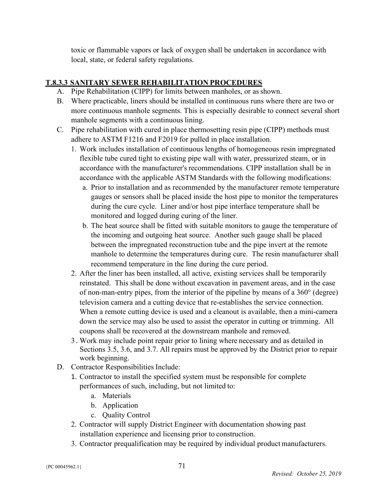toxic or flammable vapors or lack of oxygen shall be undertaken in accordance with local, state, or federal safety regulations.

#### **T.8.3.3 SANITARY SEWER REHABILITATION PROCEDURES**

- A. Pipe Rehabilitation (CIPP) for limits between manholes, or as shown.
- B. Where practicable, liners should be installed in continuous runs where there are two or more continuous manhole segments. This is especially desirable to connect several short manhole segments with a continuous lining.
- C. Pipe rehabilitation with cured in place thermosetting resin pipe (CIPP) methods must adhere to ASTM F1216 and F2019 for pulled in place installation.
	- 1. Work includes installation of continuous lengths of homogeneous resin impregnated flexible tube cured tight to existing pipe wall with water, pressurized steam, or in accordance with the manufacturer's recommendations. CIPP installation shall be in accordance with the applicable ASTM Standards with the following modifications:
		- a. Prior to installation and as recommended by the manufacturer remote temperature gauges or sensors shall be placed inside the host pipe to monitor the temperatures during the cure cycle. Liner and/or host pipe interface temperature shall be monitored and logged during curing of the liner.
		- b. The heat source shall be fitted with suitable monitors to gauge the temperature of the incoming and outgoing heat source. Another such gauge shall be placed between the impregnated reconstruction tube and the pipe invert at the remote manhole to determine the temperatures during cure. The resin manufacturer shall recommend temperature in the line during the cure period.
	- 2. After the liner has been installed, all active, existing services shall be temporarily reinstated. This shall be done without excavation in pavement areas, and in the case of non-man-entry pipes, from the interior of the pipeline by means of a 360° (degree) television camera and a cutting device that re-establishes the service connection. When a remote cutting device is used and a cleanout is available, then a mini-camera down the service may also be used to assist the operator in cutting or trimming. All coupons shall be recovered at the downstream manhole and removed.
	- 3.Work may include point repair prior to lining where necessary and as detailed in Sections 3.5, 3.6, and 3.7. All repairs must be approved by the District prior to repair work beginning.
- D. Contractor Responsibilities Include:
	- 1. Contractor to install the specified system must be responsible for complete performances of such, including, but not limited to:
		- a. Materials
		- b. Application
		- c. Quality Control
	- 2. Contractor will supply District Engineer with documentation showing past installation experience and licensing prior to construction.
	- 3. Contractor prequalification may be required by individual product manufacturers.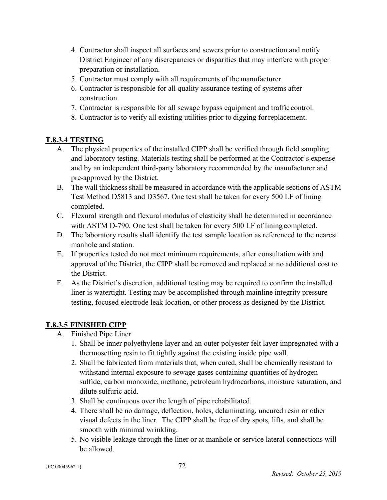- 4. Contractor shall inspect all surfaces and sewers prior to construction and notify District Engineer of any discrepancies or disparities that may interfere with proper preparation or installation.
- 5. Contractor must comply with all requirements of the manufacturer.
- 6. Contractor is responsible for all quality assurance testing of systems after construction.
- 7. Contractor is responsible for all sewage bypass equipment and traffic control.
- 8. Contractor is to verify all existing utilities prior to digging forreplacement.

#### **T.8.3.4 TESTING**

- A. The physical properties of the installed CIPP shall be verified through field sampling and laboratory testing. Materials testing shall be performed at the Contractor's expense and by an independent third-party laboratory recommended by the manufacturer and pre-approved by the District.
- B. The wall thickness shall be measured in accordance with the applicable sections of ASTM Test Method D5813 and D3567. One test shall be taken for every 500 LF of lining completed.
- C. Flexural strength and flexural modulus of elasticity shall be determined in accordance with ASTM D-790. One test shall be taken for every 500 LF of lining completed.
- D. The laboratory results shall identify the test sample location as referenced to the nearest manhole and station.
- E. If properties tested do not meet minimum requirements, after consultation with and approval of the District, the CIPP shall be removed and replaced at no additional cost to the District.
- F. As the District's discretion, additional testing may be required to confirm the installed liner is watertight. Testing may be accomplished through mainline integrity pressure testing, focused electrode leak location, or other process as designed by the District.

## **T.8.3.5 FINISHED CIPP**

- A. Finished Pipe Liner
	- 1. Shall be inner polyethylene layer and an outer polyester felt layer impregnated with a thermosetting resin to fit tightly against the existing inside pipe wall.
	- 2. Shall be fabricated from materials that, when cured, shall be chemically resistant to withstand internal exposure to sewage gases containing quantities of hydrogen sulfide, carbon monoxide, methane, petroleum hydrocarbons, moisture saturation, and dilute sulfuric acid.
	- 3. Shall be continuous over the length of pipe rehabilitated.
	- 4. There shall be no damage, deflection, holes, delaminating, uncured resin or other visual defects in the liner. The CIPP shall be free of dry spots, lifts, and shall be smooth with minimal wrinkling.
	- 5. No visible leakage through the liner or at manhole or service lateral connections will be allowed.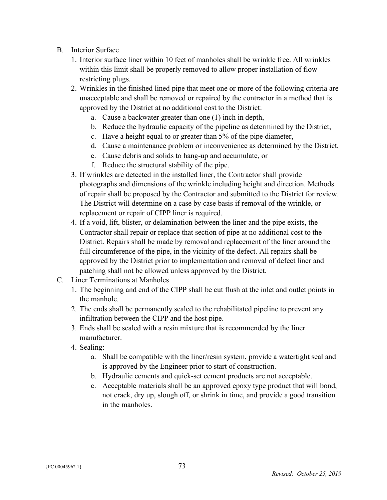- B. Interior Surface
	- 1. Interior surface liner within 10 feet of manholes shall be wrinkle free. All wrinkles within this limit shall be properly removed to allow proper installation of flow restricting plugs.
	- 2. Wrinkles in the finished lined pipe that meet one or more of the following criteria are unacceptable and shall be removed or repaired by the contractor in a method that is approved by the District at no additional cost to the District:
		- a. Cause a backwater greater than one (1) inch in depth,
		- b. Reduce the hydraulic capacity of the pipeline as determined by the District,
		- c. Have a height equal to or greater than 5% of the pipe diameter,
		- d. Cause a maintenance problem or inconvenience as determined by the District,
		- e. Cause debris and solids to hang-up and accumulate, or
		- f. Reduce the structural stability of the pipe.
	- 3. If wrinkles are detected in the installed liner, the Contractor shall provide photographs and dimensions of the wrinkle including height and direction. Methods of repair shall be proposed by the Contractor and submitted to the District for review. The District will determine on a case by case basis if removal of the wrinkle, or replacement or repair of CIPP liner is required.
	- 4. If a void, lift, blister, or delamination between the liner and the pipe exists, the Contractor shall repair or replace that section of pipe at no additional cost to the District. Repairs shall be made by removal and replacement of the liner around the full circumference of the pipe, in the vicinity of the defect. All repairs shall be approved by the District prior to implementation and removal of defect liner and patching shall not be allowed unless approved by the District.
- C. Liner Terminations at Manholes
	- 1. The beginning and end of the CIPP shall be cut flush at the inlet and outlet points in the manhole.
	- 2. The ends shall be permanently sealed to the rehabilitated pipeline to prevent any infiltration between the CIPP and the host pipe.
	- 3. Ends shall be sealed with a resin mixture that is recommended by the liner manufacturer.
	- 4. Sealing:
		- a. Shall be compatible with the liner/resin system, provide a watertight seal and is approved by the Engineer prior to start of construction.
		- b. Hydraulic cements and quick-set cement products are not acceptable.
		- c. Acceptable materials shall be an approved epoxy type product that will bond, not crack, dry up, slough off, or shrink in time, and provide a good transition in the manholes.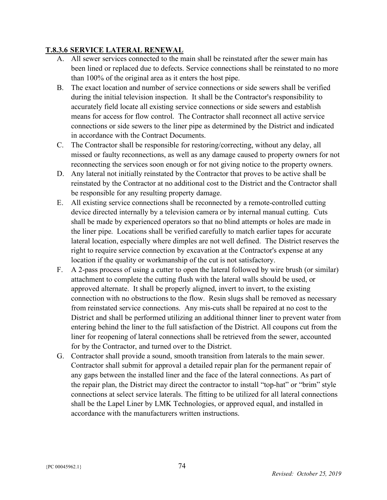#### **T.8.3.6 SERVICE LATERAL RENEWAL**

- A. All sewer services connected to the main shall be reinstated after the sewer main has been lined or replaced due to defects. Service connections shall be reinstated to no more than 100% of the original area as it enters the host pipe.
- B. The exact location and number of service connections or side sewers shall be verified during the initial television inspection. It shall be the Contractor's responsibility to accurately field locate all existing service connections or side sewers and establish means for access for flow control. The Contractor shall reconnect all active service connections or side sewers to the liner pipe as determined by the District and indicated in accordance with the Contract Documents.
- C. The Contractor shall be responsible for restoring/correcting, without any delay, all missed or faulty reconnections, as well as any damage caused to property owners for not reconnecting the services soon enough or for not giving notice to the property owners.
- D. Any lateral not initially reinstated by the Contractor that proves to be active shall be reinstated by the Contractor at no additional cost to the District and the Contractor shall be responsible for any resulting property damage.
- E. All existing service connections shall be reconnected by a remote-controlled cutting device directed internally by a television camera or by internal manual cutting. Cuts shall be made by experienced operators so that no blind attempts or holes are made in the liner pipe. Locations shall be verified carefully to match earlier tapes for accurate lateral location, especially where dimples are not well defined. The District reserves the right to require service connection by excavation at the Contractor's expense at any location if the quality or workmanship of the cut is not satisfactory.
- F. A 2-pass process of using a cutter to open the lateral followed by wire brush (or similar) attachment to complete the cutting flush with the lateral walls should be used, or approved alternate. It shall be properly aligned, invert to invert, to the existing connection with no obstructions to the flow. Resin slugs shall be removed as necessary from reinstated service connections. Any mis-cuts shall be repaired at no cost to the District and shall be performed utilizing an additional thinner liner to prevent water from entering behind the liner to the full satisfaction of the District. All coupons cut from the liner for reopening of lateral connections shall be retrieved from the sewer, accounted for by the Contractor, and turned over to the District.
- G. Contractor shall provide a sound, smooth transition from laterals to the main sewer. Contractor shall submit for approval a detailed repair plan for the permanent repair of any gaps between the installed liner and the face of the lateral connections. As part of the repair plan, the District may direct the contractor to install "top-hat" or "brim" style connections at select service laterals. The fitting to be utilized for all lateral connections shall be the Lapel Liner by LMK Technologies, or approved equal, and installed in accordance with the manufacturers written instructions.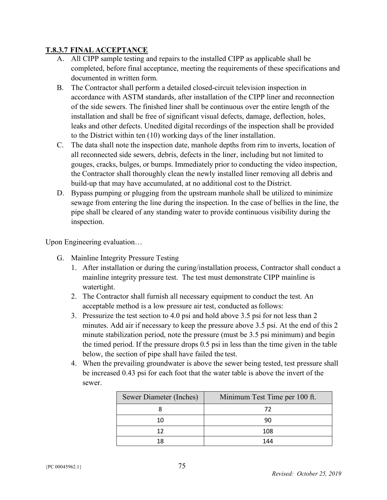#### **T.8.3.7 FINAL ACCEPTANCE**

- A. All CIPP sample testing and repairs to the installed CIPP as applicable shall be completed, before final acceptance, meeting the requirements of these specifications and documented in written form.
- B. The Contractor shall perform a detailed closed-circuit television inspection in accordance with ASTM standards, after installation of the CIPP liner and reconnection of the side sewers. The finished liner shall be continuous over the entire length of the installation and shall be free of significant visual defects, damage, deflection, holes, leaks and other defects. Unedited digital recordings of the inspection shall be provided to the District within ten (10) working days of the liner installation.
- C. The data shall note the inspection date, manhole depths from rim to inverts, location of all reconnected side sewers, debris, defects in the liner, including but not limited to gouges, cracks, bulges, or bumps. Immediately prior to conducting the video inspection, the Contractor shall thoroughly clean the newly installed liner removing all debris and build-up that may have accumulated, at no additional cost to the District.
- D. Bypass pumping or plugging from the upstream manhole shall be utilized to minimize sewage from entering the line during the inspection. In the case of bellies in the line, the pipe shall be cleared of any standing water to provide continuous visibility during the inspection.

Upon Engineering evaluation…

- G. Mainline Integrity Pressure Testing
	- 1. After installation or during the curing/installation process, Contractor shall conduct a mainline integrity pressure test. The test must demonstrate CIPP mainline is watertight.
	- 2. The Contractor shall furnish all necessary equipment to conduct the test. An acceptable method is a low pressure air test, conducted as follows:
	- 3. Pressurize the test section to 4.0 psi and hold above 3.5 psi for not less than 2 minutes. Add air if necessary to keep the pressure above 3.5 psi. At the end of this 2 minute stabilization period, note the pressure (must be 3.5 psi minimum) and begin the timed period. If the pressure drops 0.5 psi in less than the time given in the table below, the section of pipe shall have failed the test.
	- 4. When the prevailing groundwater is above the sewer being tested, test pressure shall be increased 0.43 psi for each foot that the water table is above the invert of the sewer.

| Sewer Diameter (Inches) | Minimum Test Time per 100 ft. |
|-------------------------|-------------------------------|
|                         | 77                            |
|                         | ٩r                            |
|                         | 108                           |
|                         | 144                           |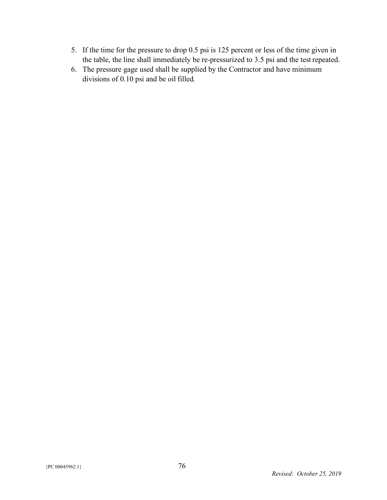- 5. If the time for the pressure to drop 0.5 psi is 125 percent or less of the time given in the table, the line shall immediately be re-pressurized to 3.5 psi and the test repeated.
- 6. The pressure gage used shall be supplied by the Contractor and have minimum divisions of 0.10 psi and be oil filled.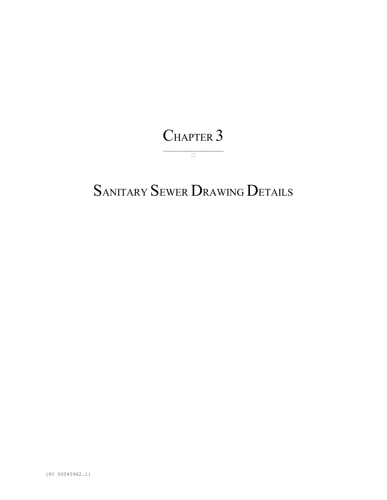# CHAPTER 3

 $\mathcal{L}$  , we have the set of the set of the set of the set of the set of the set of the set of the set of the set of the set of the set of the set of the set of the set of the set of the set of the set of the set of the  $\Box$ 

# SANITARY SEWER DRAWING DETAILS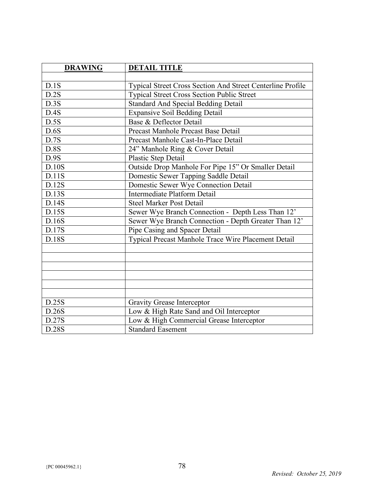| <b>DRAWING</b> | <b>DETAIL TITLE</b>                                        |  |
|----------------|------------------------------------------------------------|--|
|                |                                                            |  |
| D.1S           | Typical Street Cross Section And Street Centerline Profile |  |
| D.2S           | Typical Street Cross Section Public Street                 |  |
| D.3S           | <b>Standard And Special Bedding Detail</b>                 |  |
| D.4S           | <b>Expansive Soil Bedding Detail</b>                       |  |
| D.5S           | Base & Deflector Detail                                    |  |
| D.6S           | Precast Manhole Precast Base Detail                        |  |
| D.7S           | Precast Manhole Cast-In-Place Detail                       |  |
| D.8S           | 24" Manhole Ring & Cover Detail                            |  |
| D.9S           | Plastic Step Detail                                        |  |
| D.10S          | Outside Drop Manhole For Pipe 15" Or Smaller Detail        |  |
| D.11S          | Domestic Sewer Tapping Saddle Detail                       |  |
| D.12S          | Domestic Sewer Wye Connection Detail                       |  |
| D.13S          | <b>Intermediate Platform Detail</b>                        |  |
| D.14S          | <b>Steel Marker Post Detail</b>                            |  |
| D.15S          | Sewer Wye Branch Connection - Depth Less Than 12'          |  |
| D.16S          | Sewer Wye Branch Connection - Depth Greater Than 12'       |  |
| D.17S          | Pipe Casing and Spacer Detail                              |  |
| D.18S          | Typical Precast Manhole Trace Wire Placement Detail        |  |
|                |                                                            |  |
|                |                                                            |  |
|                |                                                            |  |
|                |                                                            |  |
|                |                                                            |  |
|                |                                                            |  |
| D.25S          | <b>Gravity Grease Interceptor</b>                          |  |
| D.26S          | Low & High Rate Sand and Oil Interceptor                   |  |
| D.27S          | Low & High Commercial Grease Interceptor                   |  |
| D.28S          | <b>Standard Easement</b>                                   |  |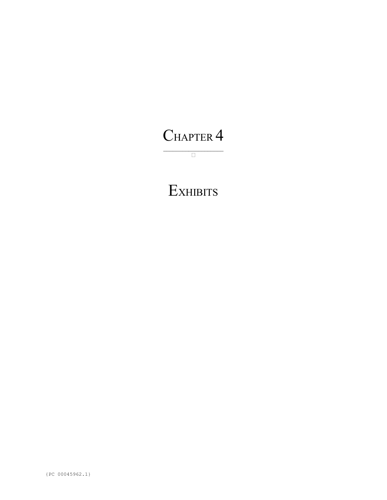# CHAPTER 4

 $\mathcal{L}$  , we have the set of the set of the set of the set of the set of the set of the set of the set of the set of the set of the set of the set of the set of the set of the set of the set of the set of the set of the  $\Box$ 

**EXHIBITS**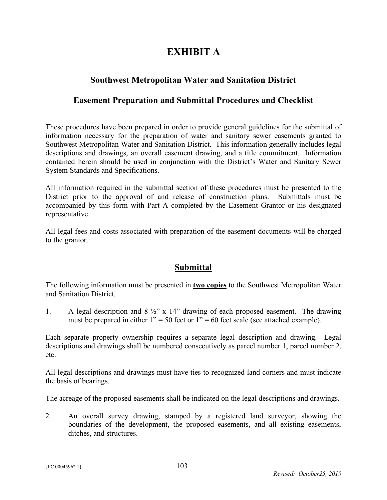# **EXHIBIT A**

## **Southwest Metropolitan Water and Sanitation District**

## **Easement Preparation and Submittal Procedures and Checklist**

These procedures have been prepared in order to provide general guidelines for the submittal of information necessary for the preparation of water and sanitary sewer easements granted to Southwest Metropolitan Water and Sanitation District. This information generally includes legal descriptions and drawings, an overall easement drawing, and a title commitment. Information contained herein should be used in conjunction with the District's Water and Sanitary Sewer System Standards and Specifications.

All information required in the submittal section of these procedures must be presented to the District prior to the approval of and release of construction plans. Submittals must be accompanied by this form with Part A completed by the Easement Grantor or his designated representative.

All legal fees and costs associated with preparation of the easement documents will be charged to the grantor.

## **Submittal**

The following information must be presented in **two copies** to the Southwest Metropolitan Water and Sanitation District.

1. A legal description and  $8\frac{1}{2}$ " x 14" drawing of each proposed easement. The drawing must be prepared in either  $1" = 50$  feet or  $1" = 60$  feet scale (see attached example).

Each separate property ownership requires a separate legal description and drawing. Legal descriptions and drawings shall be numbered consecutively as parcel number 1, parcel number 2, etc.

All legal descriptions and drawings must have ties to recognized land corners and must indicate the basis of bearings.

The acreage of the proposed easements shall be indicated on the legal descriptions and drawings.

2. An <u>overall survey drawing</u>, stamped by a registered land surveyor, showing the boundaries of the development, the proposed easements, and all existing easements, ditches, and structures.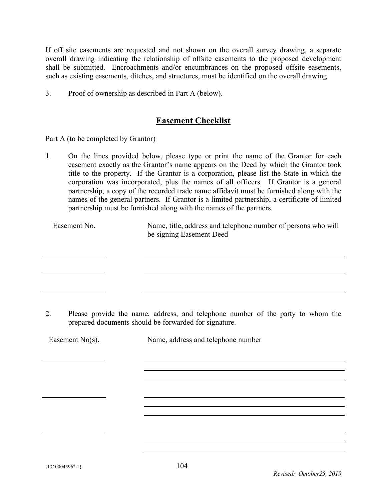If off site easements are requested and not shown on the overall survey drawing, a separate overall drawing indicating the relationship of offsite easements to the proposed development shall be submitted. Encroachments and/or encumbrances on the proposed offsite easements, such as existing easements, ditches, and structures, must be identified on the overall drawing.

3. Proof of ownership as described in Part A (below).

## **Easement Checklist**

#### Part A (to be completed by Grantor)

1. On the lines provided below, please type or print the name of the Grantor for each easement exactly as the Grantor's name appears on the Deed by which the Grantor took title to the property. If the Grantor is a corporation, please list the State in which the corporation was incorporated, plus the names of all officers. If Grantor is a general partnership, a copy of the recorded trade name affidavit must be furnished along with the names of the general partners. If Grantor is a limited partnership, a certificate of limited partnership must be furnished along with the names of the partners.

| Easement No. | Name, title, address and telephone number of persons who will<br>be signing Easement Deed |
|--------------|-------------------------------------------------------------------------------------------|
|              |                                                                                           |
|              |                                                                                           |
|              |                                                                                           |

2. Please provide the name, address, and telephone number of the party to whom the prepared documents should be forwarded for signature.

Easement No(s). Name, address and telephone number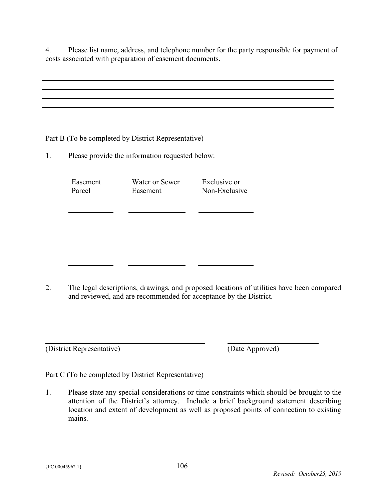4. Please list name, address, and telephone number for the party responsible for payment of costs associated with preparation of easement documents.

#### Part B (To be completed by District Representative)

1. Please provide the information requested below:

| Easement<br>Parcel | Water or Sewer<br>Easement | Exclusive or<br>Non-Exclusive |
|--------------------|----------------------------|-------------------------------|
|                    |                            |                               |
|                    |                            |                               |
|                    |                            |                               |

2. The legal descriptions, drawings, and proposed locations of utilities have been compared and reviewed, and are recommended for acceptance by the District.

(District Representative) (Date Approved)

## Part C (To be completed by District Representative)

1. Please state any special considerations or time constraints which should be brought to the attention of the District's attorney. Include a brief background statement describing location and extent of development as well as proposed points of connection to existing mains.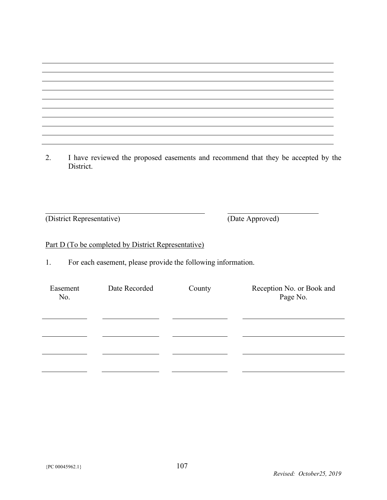2. I have reviewed the proposed easements and recommend that they be accepted by the District.

<u> 1980 - Johann Barn, mars ann an t-Amhain Aonaich an t-Aonaich an t-Aonaich an t-Aonaich an t-Aonaich an t-Aon</u>

(District Representative) (Date Approved)

Part D (To be completed by District Representative)

1. For each easement, please provide the following information.

| Easement<br>No. | Date Recorded | County | Reception No. or Book and<br>Page No. |
|-----------------|---------------|--------|---------------------------------------|
|                 |               |        |                                       |
|                 |               |        |                                       |
|                 |               |        |                                       |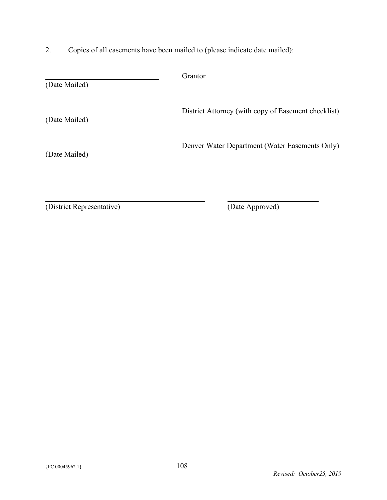2. Copies of all easements have been mailed to (please indicate date mailed):

| (Date Mailed) | Grantor                                             |
|---------------|-----------------------------------------------------|
| (Date Mailed) | District Attorney (with copy of Easement checklist) |
| (Date Mailed) | Denver Water Department (Water Easements Only)      |

(District Representative) (Date Approved)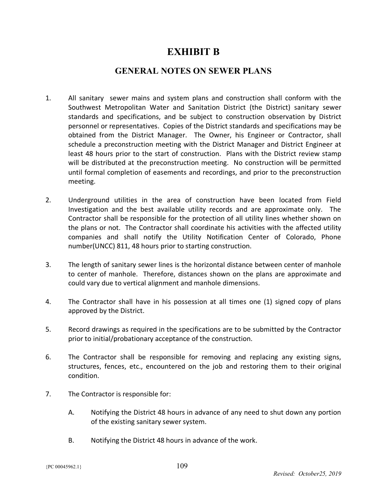## **EXHIBIT B**

## **GENERAL NOTES ON SEWER PLANS**

- 1. All sanitary sewer mains and system plans and construction shall conform with the Southwest Metropolitan Water and Sanitation District (the District) sanitary sewer standards and specifications, and be subject to construction observation by District personnel or representatives. Copies of the District standards and specifications may be obtained from the District Manager. The Owner, his Engineer or Contractor, shall schedule a preconstruction meeting with the District Manager and District Engineer at least 48 hours prior to the start of construction. Plans with the District review stamp will be distributed at the preconstruction meeting. No construction will be permitted until formal completion of easements and recordings, and prior to the preconstruction meeting.
- 2. Underground utilities in the area of construction have been located from Field Investigation and the best available utility records and are approximate only. The Contractor shall be responsible for the protection of all utility lines whether shown on the plans or not. The Contractor shall coordinate his activities with the affected utility companies and shall notify the Utility Notification Center of Colorado, Phone number(UNCC) 811, 48 hours prior to starting construction.
- 3. The length of sanitary sewer lines is the horizontal distance between center of manhole to center of manhole. Therefore, distances shown on the plans are approximate and could vary due to vertical alignment and manhole dimensions.
- 4. The Contractor shall have in his possession at all times one (1) signed copy of plans approved by the District.
- 5. Record drawings as required in the specifications are to be submitted by the Contractor prior to initial/probationary acceptance of the construction.
- 6. The Contractor shall be responsible for removing and replacing any existing signs, structures, fences, etc., encountered on the job and restoring them to their original condition.
- 7. The Contractor is responsible for:
	- A. Notifying the District 48 hours in advance of any need to shut down any portion of the existing sanitary sewer system.
	- B. Notifying the District 48 hours in advance of the work.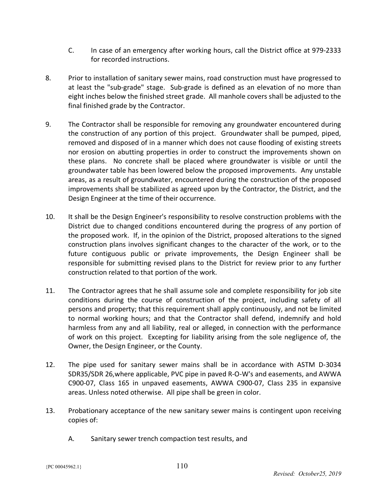- C. In case of an emergency after working hours, call the District office at 979-2333 for recorded instructions.
- 8. Prior to installation of sanitary sewer mains, road construction must have progressed to at least the "sub-grade" stage. Sub-grade is defined as an elevation of no more than eight inches below the finished street grade. All manhole covers shall be adjusted to the final finished grade by the Contractor.
- 9. The Contractor shall be responsible for removing any groundwater encountered during the construction of any portion of this project. Groundwater shall be pumped, piped, removed and disposed of in a manner which does not cause flooding of existing streets nor erosion on abutting properties in order to construct the improvements shown on these plans. No concrete shall be placed where groundwater is visible or until the groundwater table has been lowered below the proposed improvements. Any unstable areas, as a result of groundwater, encountered during the construction of the proposed improvements shall be stabilized as agreed upon by the Contractor, the District, and the Design Engineer at the time of their occurrence.
- 10. It shall be the Design Engineer's responsibility to resolve construction problems with the District due to changed conditions encountered during the progress of any portion of the proposed work. If, in the opinion of the District, proposed alterations to the signed construction plans involves significant changes to the character of the work, or to the future contiguous public or private improvements, the Design Engineer shall be responsible for submitting revised plans to the District for review prior to any further construction related to that portion of the work.
- 11. The Contractor agrees that he shall assume sole and complete responsibility for job site conditions during the course of construction of the project, including safety of all persons and property; that this requirement shall apply continuously, and not be limited to normal working hours; and that the Contractor shall defend, indemnify and hold harmless from any and all liability, real or alleged, in connection with the performance of work on this project. Excepting for liability arising from the sole negligence of, the Owner, the Design Engineer, or the County.
- 12. The pipe used for sanitary sewer mains shall be in accordance with ASTM D-3034 SDR35/SDR 26,where applicable, PVC pipe in paved R-O-W's and easements, and AWWA C900-07, Class 165 in unpaved easements, AWWA C900-07, Class 235 in expansive areas. Unless noted otherwise. All pipe shall be green in color.
- 13. Probationary acceptance of the new sanitary sewer mains is contingent upon receiving copies of:
	- A. Sanitary sewer trench compaction test results, and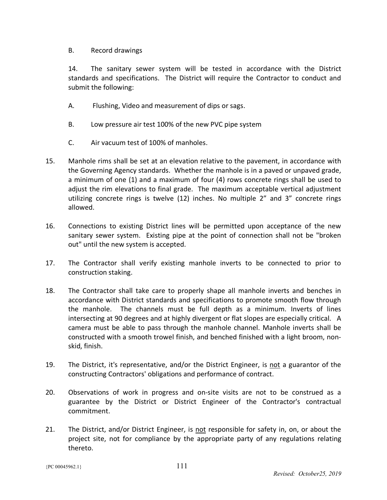#### B. Record drawings

14. The sanitary sewer system will be tested in accordance with the District standards and specifications. The District will require the Contractor to conduct and submit the following:

- A. Flushing, Video and measurement of dips or sags.
- B. Low pressure air test 100% of the new PVC pipe system
- C. Air vacuum test of 100% of manholes.
- 15. Manhole rims shall be set at an elevation relative to the pavement, in accordance with the Governing Agency standards. Whether the manhole is in a paved or unpaved grade, a minimum of one (1) and a maximum of four (4) rows concrete rings shall be used to adjust the rim elevations to final grade. The maximum acceptable vertical adjustment utilizing concrete rings is twelve (12) inches. No multiple 2" and 3" concrete rings allowed.
- 16. Connections to existing District lines will be permitted upon acceptance of the new sanitary sewer system. Existing pipe at the point of connection shall not be "broken out" until the new system is accepted.
- 17. The Contractor shall verify existing manhole inverts to be connected to prior to construction staking.
- 18. The Contractor shall take care to properly shape all manhole inverts and benches in accordance with District standards and specifications to promote smooth flow through the manhole. The channels must be full depth as a minimum. Inverts of lines intersecting at 90 degrees and at highly divergent or flat slopes are especially critical. A camera must be able to pass through the manhole channel. Manhole inverts shall be constructed with a smooth trowel finish, and benched finished with a light broom, nonskid, finish.
- 19. The District, it's representative, and/or the District Engineer, is not a guarantor of the constructing Contractors' obligations and performance of contract.
- 20. Observations of work in progress and on-site visits are not to be construed as a guarantee by the District or District Engineer of the Contractor's contractual commitment.
- 21. The District, and/or District Engineer, is not responsible for safety in, on, or about the project site, not for compliance by the appropriate party of any regulations relating thereto.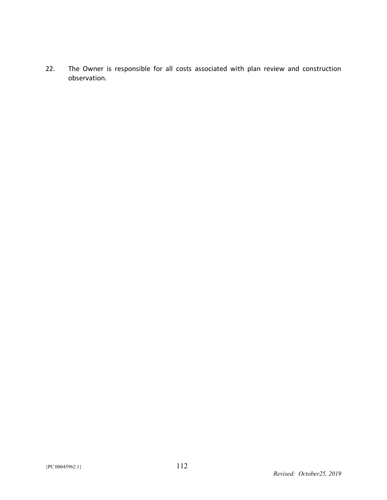22. The Owner is responsible for all costs associated with plan review and construction observation.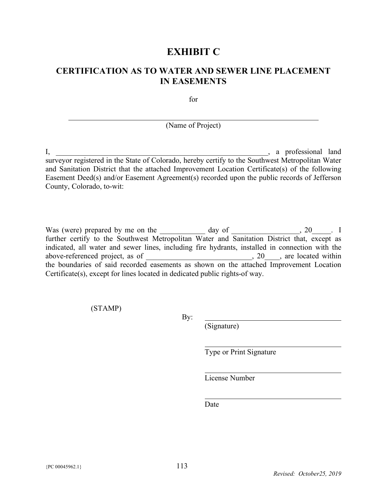## **EXHIBIT C**

## **CERTIFICATION AS TO WATER AND SEWER LINE PLACEMENT IN EASEMENTS**

for

#### (Name of Project)

I, a professional land surveyor registered in the State of Colorado, hereby certify to the Southwest Metropolitan Water and Sanitation District that the attached Improvement Location Certificate(s) of the following Easement Deed(s) and/or Easement Agreement(s) recorded upon the public records of Jefferson County, Colorado, to-wit:

Was (were) prepared by me on the day of the day of the set of  $\alpha$  and  $\alpha$ ,  $\alpha$  and  $\alpha$  and  $\alpha$  and  $\alpha$  and  $\alpha$  and  $\alpha$  and  $\alpha$  and  $\alpha$  and  $\alpha$  and  $\alpha$  and  $\alpha$  and  $\alpha$  and  $\alpha$  and  $\alpha$  and  $\alpha$  and  $\alpha$  and further certify to the Southwest Metropolitan Water and Sanitation District that, except as indicated, all water and sewer lines, including fire hydrants, installed in connection with the above-referenced project, as of \_\_\_\_\_\_\_\_\_\_\_\_\_\_\_\_\_\_\_\_\_\_\_\_, 20\_\_\_, are located within the boundaries of said recorded easements as shown on the attached Improvement Location Certificate(s), except for lines located in dedicated public rights-of way.

(STAMP)

By:

(Signature)

Type or Print Signature

License Number

Date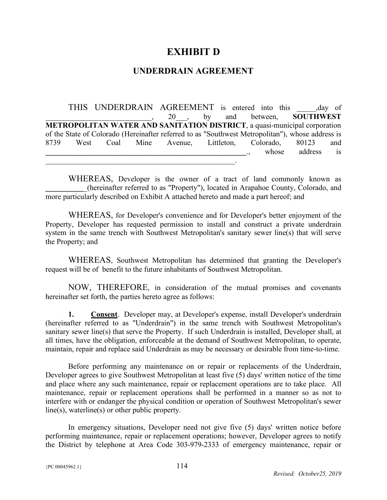## **EXHIBIT D**

## **UNDERDRAIN AGREEMENT**

THIS UNDERDRAIN AGREEMENT is entered into this alay of \_\_\_\_\_\_\_\_\_\_\_\_\_\_\_\_\_\_\_\_\_\_\_\_\_\_\_\_, 20\_\_\_, by and between, **SOUTHWEST METROPOLITAN WATER AND SANITATION DISTRICT**, a quasi-municipal corporation of the State of Colorado (Hereinafter referred to as "Southwest Metropolitan"), whose address is 8739 West Coal Mine Avenue, Littleton, Colorado, 80123 and **and a** set of the set of the set of the set of the set of the set of the set of the set of the set of the set of the set of the set of the set of the set of the set of the set of the set of the set of the set of the set o \_\_\_\_\_\_\_\_\_\_\_\_\_\_\_\_\_\_\_\_\_\_\_\_\_\_\_\_\_\_\_\_\_\_\_\_\_\_\_\_\_\_\_\_\_\_\_\_\_\_.

WHEREAS, Developer is the owner of a tract of land commonly known as **\_\_\_\_\_\_\_\_\_\_**\_(hereinafter referred to as "Property"), located in Arapahoe County, Colorado, and more particularly described on Exhibit A attached hereto and made a part hereof; and

WHEREAS, for Developer's convenience and for Developer's better enjoyment of the Property, Developer has requested permission to install and construct a private underdrain system in the same trench with Southwest Metropolitan's sanitary sewer line(s) that will serve the Property; and

WHEREAS, Southwest Metropolitan has determined that granting the Developer's request will be of benefit to the future inhabitants of Southwest Metropolitan.

NOW, THEREFORE, in consideration of the mutual promises and covenants hereinafter set forth, the parties hereto agree as follows:

**1. Consent**. Developer may, at Developer's expense, install Developer's underdrain (hereinafter referred to as "Underdrain") in the same trench with Southwest Metropolitan's sanitary sewer line(s) that serve the Property. If such Underdrain is installed, Developer shall, at all times, have the obligation, enforceable at the demand of Southwest Metropolitan, to operate, maintain, repair and replace said Underdrain as may be necessary or desirable from time-to-time.

Before performing any maintenance on or repair or replacements of the Underdrain, Developer agrees to give Southwest Metropolitan at least five (5) days' written notice of the time and place where any such maintenance, repair or replacement operations are to take place. All maintenance, repair or replacement operations shall be performed in a manner so as not to interfere with or endanger the physical condition or operation of Southwest Metropolitan's sewer line(s), waterline(s) or other public property.

In emergency situations, Developer need not give five (5) days' written notice before performing maintenance, repair or replacement operations; however, Developer agrees to notify the District by telephone at Area Code 303-979-2333 of emergency maintenance, repair or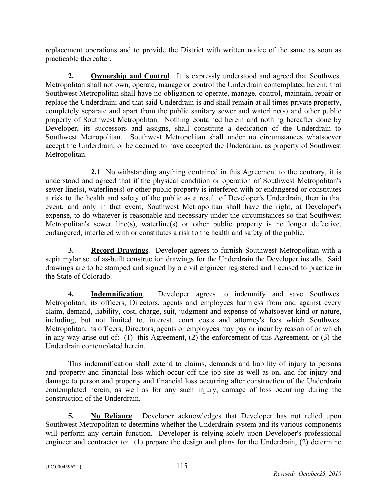replacement operations and to provide the District with written notice of the same as soon as practicable thereafter.

**2. Ownership and Control**. It is expressly understood and agreed that Southwest Metropolitan shall not own, operate, manage or control the Underdrain contemplated herein; that Southwest Metropolitan shall have no obligation to operate, manage, control, maintain, repair or replace the Underdrain; and that said Underdrain is and shall remain at all times private property, completely separate and apart from the public sanitary sewer and waterline(s) and other public property of Southwest Metropolitan. Nothing contained herein and nothing hereafter done by Developer, its successors and assigns, shall constitute a dedication of the Underdrain to Southwest Metropolitan. Southwest Metropolitan shall under no circumstances whatsoever accept the Underdrain, or be deemed to have accepted the Underdrain, as property of Southwest Metropolitan.

**2.1** Notwithstanding anything contained in this Agreement to the contrary, it is understood and agreed that if the physical condition or operation of Southwest Metropolitan's sewer line(s), waterline(s) or other public property is interfered with or endangered or constitutes a risk to the health and safety of the public as a result of Developer's Underdrain, then in that event, and only in that event, Southwest Metropolitan shall have the right, at Developer's expense, to do whatever is reasonable and necessary under the circumstances so that Southwest Metropolitan's sewer line(s), waterline(s) or other public property is no longer defective, endangered, interfered with or constitutes a risk to the health and safety of the public.

**3. Record Drawings**. Developer agrees to furnish Southwest Metropolitan with a sepia mylar set of as-built construction drawings for the Underdrain the Developer installs. Said drawings are to be stamped and signed by a civil engineer registered and licensed to practice in the State of Colorado.

**4. Indemnification**. Developer agrees to indemnify and save Southwest Metropolitan, its officers, Directors, agents and employees harmless from and against every claim, demand, liability, cost, charge, suit, judgment and expense of whatsoever kind or nature, including, but not limited to, interest, court costs and attorney's fees which Southwest Metropolitan, its officers, Directors, agents or employees may pay or incur by reason of or which in any way arise out of: (1) this Agreement, (2) the enforcement of this Agreement, or (3) the Underdrain contemplated herein.

This indemnification shall extend to claims, demands and liability of injury to persons and property and financial loss which occur off the job site as well as on, and for injury and damage to person and property and financial loss occurring after construction of the Underdrain contemplated herein, as well as for any such injury, damage of loss occurring during the construction of the Underdrain.

**5. No Reliance**. Developer acknowledges that Developer has not relied upon Southwest Metropolitan to determine whether the Underdrain system and its various components will perform any certain function. Developer is relying solely upon Developer's professional engineer and contractor to: (1) prepare the design and plans for the Underdrain, (2) determine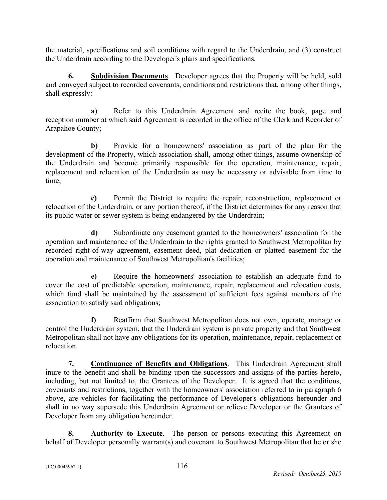the material, specifications and soil conditions with regard to the Underdrain, and (3) construct the Underdrain according to the Developer's plans and specifications.

**6. Subdivision Documents**. Developer agrees that the Property will be held, sold and conveyed subject to recorded covenants, conditions and restrictions that, among other things, shall expressly:

**a)** Refer to this Underdrain Agreement and recite the book, page and reception number at which said Agreement is recorded in the office of the Clerk and Recorder of Arapahoe County;

**b)** Provide for a homeowners' association as part of the plan for the development of the Property, which association shall, among other things, assume ownership of the Underdrain and become primarily responsible for the operation, maintenance, repair, replacement and relocation of the Underdrain as may be necessary or advisable from time to time;

**c)** Permit the District to require the repair, reconstruction, replacement or relocation of the Underdrain, or any portion thereof, if the District determines for any reason that its public water or sewer system is being endangered by the Underdrain;

**d)** Subordinate any easement granted to the homeowners' association for the operation and maintenance of the Underdrain to the rights granted to Southwest Metropolitan by recorded right-of-way agreement, easement deed, plat dedication or platted easement for the operation and maintenance of Southwest Metropolitan's facilities;

**e)** Require the homeowners' association to establish an adequate fund to cover the cost of predictable operation, maintenance, repair, replacement and relocation costs, which fund shall be maintained by the assessment of sufficient fees against members of the association to satisfy said obligations;

**f)** Reaffirm that Southwest Metropolitan does not own, operate, manage or control the Underdrain system, that the Underdrain system is private property and that Southwest Metropolitan shall not have any obligations for its operation, maintenance, repair, replacement or relocation.

**7. Continuance of Benefits and Obligations**. This Underdrain Agreement shall inure to the benefit and shall be binding upon the successors and assigns of the parties hereto, including, but not limited to, the Grantees of the Developer. It is agreed that the conditions, covenants and restrictions, together with the homeowners' association referred to in paragraph 6 above, are vehicles for facilitating the performance of Developer's obligations hereunder and shall in no way supersede this Underdrain Agreement or relieve Developer or the Grantees of Developer from any obligation hereunder.

**8. Authority to Execute**. The person or persons executing this Agreement on behalf of Developer personally warrant(s) and covenant to Southwest Metropolitan that he or she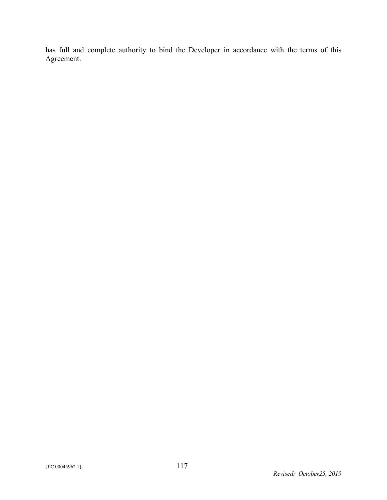has full and complete authority to bind the Developer in accordance with the terms of this Agreement.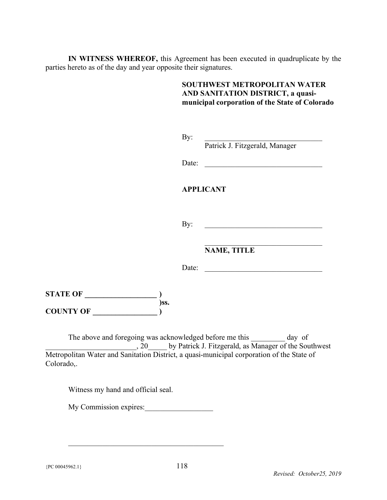**IN WITNESS WHEREOF,** this Agreement has been executed in quadruplicate by the parties hereto as of the day and year opposite their signatures.

#### **SOUTHWEST METROPOLITAN WATER AND SANITATION DISTRICT, a quasimunicipal corporation of the State of Colorado**

|                          | By:   | Patrick J. Fitzgerald, Manager                                                                                        |
|--------------------------|-------|-----------------------------------------------------------------------------------------------------------------------|
|                          | Date: |                                                                                                                       |
|                          |       | <b>APPLICANT</b>                                                                                                      |
|                          | By:   | <u> 1980 - Johann John Stein, mars and de British and de British and de British and de British and de British and</u> |
|                          |       | <b>NAME, TITLE</b>                                                                                                    |
|                          | Date: |                                                                                                                       |
| <b>STATE OF</b>          |       |                                                                                                                       |
| )ss.<br><b>COUNTY OF</b> |       |                                                                                                                       |

The above and foregoing was acknowledged before me this day of \_\_\_\_\_\_\_\_\_\_\_\_\_\_\_\_\_\_\_\_\_\_\_\_, 20\_\_\_\_\_ by Patrick J. Fitzgerald, as Manager of the Southwest Metropolitan Water and Sanitation District, a quasi-municipal corporation of the State of Colorado,.

Witness my hand and official seal.

My Commission expires: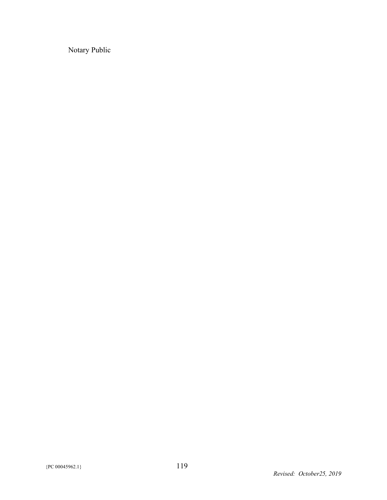Notary Public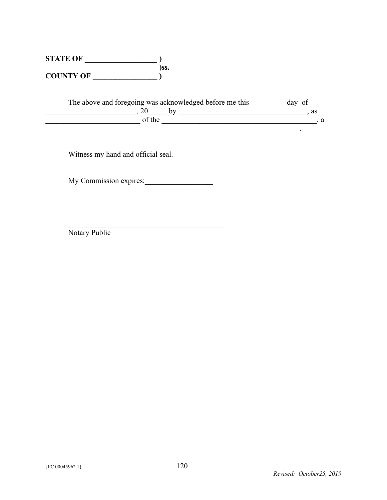| <b>STATE OF</b>  |      |
|------------------|------|
|                  | )SS. |
| <b>COUNTY OF</b> |      |

The above and foregoing was acknowledged before me this \_\_\_\_\_\_\_\_ day of  $\longrightarrow$ , 20 by  $\qquad \qquad$  by  $\qquad \qquad$ , as \_\_\_\_\_\_\_\_\_\_\_\_\_\_\_\_\_\_\_\_\_\_\_\_\_ of the \_\_\_\_\_\_\_\_\_\_\_\_\_\_\_\_\_\_\_\_\_\_\_\_\_\_\_\_\_\_\_\_\_\_\_\_\_\_\_\_\_, a  $\mathcal{L}_\text{max} = \mathcal{L}_\text{max} = \mathcal{L}_\text{max} = \mathcal{L}_\text{max} = \mathcal{L}_\text{max} = \mathcal{L}_\text{max} = \mathcal{L}_\text{max} = \mathcal{L}_\text{max} = \mathcal{L}_\text{max} = \mathcal{L}_\text{max} = \mathcal{L}_\text{max} = \mathcal{L}_\text{max} = \mathcal{L}_\text{max} = \mathcal{L}_\text{max} = \mathcal{L}_\text{max} = \mathcal{L}_\text{max} = \mathcal{L}_\text{max} = \mathcal{L}_\text{max} = \mathcal{$ 

Witness my hand and official seal.

My Commission expires:

Notary Public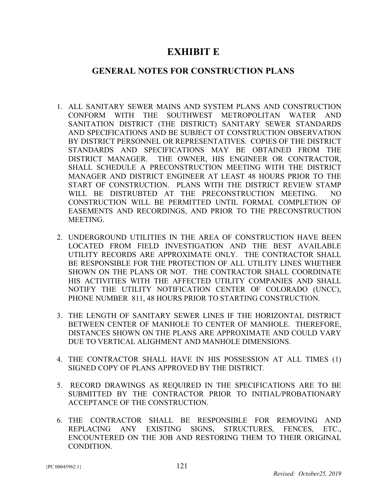# **EXHIBIT E**

# **GENERAL NOTES FOR CONSTRUCTION PLANS**

- 1. ALL SANITARY SEWER MAINS AND SYSTEM PLANS AND CONSTRUCTION CONFORM WITH THE SOUTHWEST METROPOLITAN WATER AND SANITATION DISTRICT (THE DISTRICT) SANITARY SEWER STANDARDS AND SPECIFICATIONS AND BE SUBJECT OT CONSTRUCTION OBSERVATION BY DISTRICT PERSONNEL OR REPRESENTATIVES. COPIES OF THE DISTRICT STANDARDS AND SPECIFICATIONS MAY BE OBTAINED FROM THE DISTRICT MANAGER. THE OWNER, HIS ENGINEER OR CONTRACTOR, SHALL SCHEDULE A PRECONSTRUCTION MEETING WITH THE DISTRICT MANAGER AND DISTRICT ENGINEER AT LEAST 48 HOURS PRIOR TO THE START OF CONSTRUCTION. PLANS WITH THE DISTRICT REVIEW STAMP WILL BE DISTRUBTED AT THE PRECONSTRUCTION MEETING. NO CONSTRUCTION WILL BE PERMITTED UNTIL FORMAL COMPLETION OF EASEMENTS AND RECORDINGS, AND PRIOR TO THE PRECONSTRUCTION MEETING.
- 2. UNDERGROUND UTILITIES IN THE AREA OF CONSTRUCTION HAVE BEEN LOCATED FROM FIELD INVESTIGATION AND THE BEST AVAILABLE UTILITY RECORDS ARE APPROXIMATE ONLY. THE CONTRACTOR SHALL BE RESPONSIBLE FOR THE PROTECTION OF ALL UTILITY LINES WHETHER SHOWN ON THE PLANS OR NOT. THE CONTRACTOR SHALL COORDINATE HIS ACTIVITIES WITH THE AFFECTED UTILITY COMPANIES AND SHALL NOTIFY THE UTILITY NOTIFICATION CENTER OF COLORADO (UNCC), PHONE NUMBER 811, 48 HOURS PRIOR TO STARTING CONSTRUCTION.
- 3. THE LENGTH OF SANITARY SEWER LINES IF THE HORIZONTAL DISTRICT BETWEEN CENTER OF MANHOLE TO CENTER OF MANHOLE. THEREFORE, DISTANCES SHOWN ON THE PLANS ARE APPROXIMATE AND COULD VARY DUE TO VERTICAL ALIGHMENT AND MANHOLE DIMENSIONS.
- 4. THE CONTRACTOR SHALL HAVE IN HIS POSSESSION AT ALL TIMES (1) SIGNED COPY OF PLANS APPROVED BY THE DISTRICT.
- 5. RECORD DRAWINGS AS REQUIRED IN THE SPECIFICATIONS ARE TO BE SUBMITTED BY THE CONTRACTOR PRIOR TO INITIAL/PROBATIONARY ACCEPTANCE OF THE CONSTRUCTION.
- 6. THE CONTRACTOR SHALL BE RESPONSIBLE FOR REMOVING AND REPLACING ANY EXISTING SIGNS, STRUCTURES, FENCES, ETC., ENCOUNTERED ON THE JOB AND RESTORING THEM TO THEIR ORIGINAL CONDITION.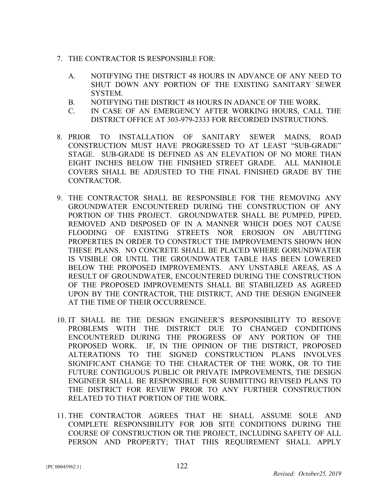- 7. THE CONTRACTOR IS RESPONSIBLE FOR:
	- A. NOTIFYING THE DISTRICT 48 HOURS IN ADVANCE OF ANY NEED TO SHUT DOWN ANY PORTION OF THE EXISTING SANITARY SEWER SYSTEM.
	- B. NOTIFYING THE DISTRICT 48 HOURS IN ADANCE OF THE WORK.
	- C. IN CASE OF AN EMERGENCY AFTER WORKING HOURS, CALL THE DISTRICT OFFICE AT 303-979-2333 FOR RECORDED INSTRUCTIONS.
- 8. PRIOR TO INSTALLATION OF SANITARY SEWER MAINS, ROAD CONSTRUCTION MUST HAVE PROGRESSED TO AT LEAST "SUB-GRADE" STAGE. SUB-GRADE IS DEFINED AS AN ELEVATION OF NO MORE THAN EIGHT INCHES BELOW THE FINISHED STREET GRADE. ALL MANHOLE COVERS SHALL BE ADJUSTED TO THE FINAL FINISHED GRADE BY THE CONTRACTOR.
- 9. THE CONTRACTOR SHALL BE RESPONSIBLE FOR THE REMOVING ANY GROUNDWATER ENCOUNTERED DURING THE CONSTRUCTION OF ANY PORTION OF THIS PROJECT. GROUNDWATER SHALL BE PUMPED, PIPED, REMOVED AND DISPOSED OF IN A MANNER WHICH DOES NOT CAUSE FLOODING OF EXISTING STREETS NOR EROSION ON ABUTTING PROPERTIES IN ORDER TO CONSTRUCT THE IMPROVEMENTS SHOWN HON THESE PLANS. NO CONCRETE SHALL BE PLACED WHERE GORUNDWATER IS VISIBLE OR UNTIL THE GROUNDWATER TABLE HAS BEEN LOWERED BELOW THE PROPOSED IMPROVEMENTS. ANY UNSTABLE AREAS, AS A RESULT OF GROUNDWATER, ENCOUNTERED DURING THE CONSTRUCTION OF THE PROPOSED IMPROVEMENTS SHALL BE STABILIZED AS AGREED UPON BY THE CONTRACTOR, THE DISTRICT, AND THE DESIGN ENGINEER AT THE TIME OF THEIR OCCURRENCE.
- 10. IT SHALL BE THE DESIGN ENGINEER'S RESPONSIBILITY TO RESOVE PROBLEMS WITH THE DISTRICT DUE TO CHANGED CONDITIONS ENCOUNTERED DURING THE PROGRESS OF ANY PORTION OF THE PROPOSED WORK. IF, IN THE OPINION OF THE DISTRICT, PROPOSED ALTERATIONS TO THE SIGNED CONSTRUCTION PLANS INVOLVES SIGNIFICANT CHANGE TO THE CHARACTER OF THE WORK, OR TO THE FUTURE CONTIGUOUS PUBLIC OR PRIVATE IMPROVEMENTS, THE DESIGN ENGINEER SHALL BE RESPONSIBLE FOR SUBMITTING REVISED PLANS TO THE DISTRICT FOR REVIEW PRIOR TO ANY FURTHER CONSTRUCTION RELATED TO THAT PORTION OF THE WORK.
- 11. THE CONTRACTOR AGREES THAT HE SHALL ASSUME SOLE AND COMPLETE RESPONSIBILITY FOR JOB SITE CONDITIONS DURING THE COURSE OF CONSTRUCTION OR THE PROJECT, INCLUDING SAFETY OF ALL PERSON AND PROPERTY; THAT THIS REQUIREMENT SHALL APPLY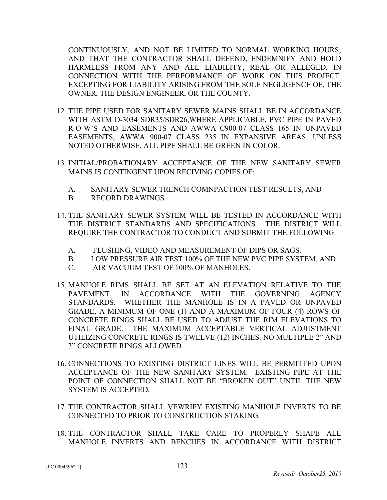CONTINUOUSLY, AND NOT BE LIMITED TO NORMAL WORKING HOURS; AND THAT THE CONTRACTOR SHALL DEFEND, ENDEMNIFY AND HOLD HARMLESS FROM ANY AND ALL LIABILITY, REAL OR ALLEGED, IN CONNECTION WITH THE PERFORMANCE OF WORK ON THIS PROJECT. EXCEPTING FOR LIABILITY ARISING FROM THE SOLE NEGLIGENCE OF, THE OWNER, THE DESIGN ENGINEER, OR THE COUNTY.

- 12. THE PIPE USED FOR SANITARY SEWER MAINS SHALL BE IN ACCORDANCE WITH ASTM D-3034 SDR35/SDR26,WHERE APPLICABLE, PVC PIPE IN PAVED R-O-W'S AND EASEMENTS AND AWWA C900-07 CLASS 165 IN UNPAVED EASEMENTS, AWWA 900-07 CLASS 235 IN EXPANSIVE AREAS. UNLESS NOTED OTHERWISE. ALL PIPE SHALL BE GREEN IN COLOR.
- 13. INITIAL/PROBATIONARY ACCEPTANCE OF THE NEW SANITARY SEWER MAINS IS CONTINGENT UPON RECIVING COPIES OF:
	- A. SANITARY SEWER TRENCH COMNPACTION TEST RESULTS, AND
	- B. RECORD DRAWINGS.
- 14. THE SANITARY SEWER SYSTEM WILL BE TESTED IN ACCORDANCE WITH THE DISTRICT STANDARDS AND SPECIFICATIONS. THE DISTRICT WILL REQUIRE THE CONTRACTOR TO CONDUCT AND SUBMIT THE FOLLOWING:
	- A. FLUSHING, VIDEO AND MEASUREMENT OF DIPS OR SAGS.
	- B. LOW PRESSURE AIR TEST 100% OF THE NEW PVC PIPE SYSTEM, AND
	- C. AIR VACUUM TEST OF 100% OF MANHOLES.
- 15. MANHOLE RIMS SHALL BE SET AT AN ELEVATION RELATIVE TO THE PAVEMENT, IN ACCORDANCE WITH THE GOVERNING AGENCY STANDARDS. WHETHER THE MANHOLE IS IN A PAVED OR UNPAVED GRADE, A MINIMUM OF ONE (1) AND A MAXIMUM OF FOUR (4) ROWS OF CONCRETE RINGS SHALL BE USED TO ADJUST THE RIM ELEVATIONS TO FINAL GRADE. THE MAXIMUM ACCEPTABLE VERTICAL ADJUSTMENT UTILIZING CONCRETE RINGS IS TWELVE (12) INCHES. NO MULTIPLE 2" AND 3" CONCRETE RINGS ALLOWED.
- 16. CONNECTIONS TO EXISTING DISTRICT LINES WILL BE PERMITTED UPON ACCEPTANCE OF THE NEW SANITARY SYSTEM. EXISTING PIPE AT THE POINT OF CONNECTION SHALL NOT BE "BROKEN OUT" UNTIL THE NEW SYSTEM IS ACCEPTED.
- 17. THE CONTRACTOR SHALL VEWRIFY EXISTING MANHOLE INVERTS TO BE CONNECTED TO PRIOR TO CONSTRUCTION STAKING.
- 18. THE CONTRACTOR SHALL TAKE CARE TO PROPERLY SHAPE ALL MANHOLE INVERTS AND BENCHES IN ACCORDANCE WITH DISTRICT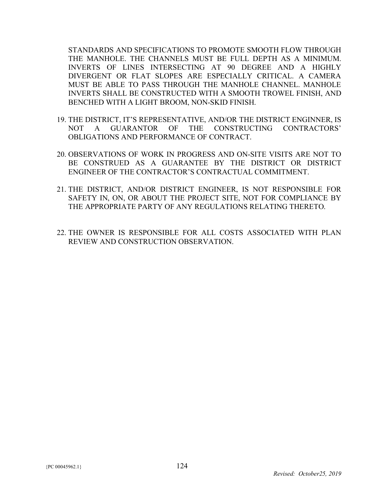STANDARDS AND SPECIFICATIONS TO PROMOTE SMOOTH FLOW THROUGH THE MANHOLE. THE CHANNELS MUST BE FULL DEPTH AS A MINIMUM. INVERTS OF LINES INTERSECTING AT 90 DEGREE AND A HIGHLY DIVERGENT OR FLAT SLOPES ARE ESPECIALLY CRITICAL. A CAMERA MUST BE ABLE TO PASS THROUGH THE MANHOLE CHANNEL. MANHOLE INVERTS SHALL BE CONSTRUCTED WITH A SMOOTH TROWEL FINISH, AND BENCHED WITH A LIGHT BROOM, NON-SKID FINISH.

- 19. THE DISTRICT, IT'S REPRESENTATIVE, AND/OR THE DISTRICT ENGINNER, IS NOT A GUARANTOR OF THE CONSTRUCTING CONTRACTORS' OBLIGATIONS AND PERFORMANCE OF CONTRACT.
- 20. OBSERVATIONS OF WORK IN PROGRESS AND ON-SITE VISITS ARE NOT TO BE CONSTRUED AS A GUARANTEE BY THE DISTRICT OR DISTRICT ENGINEER OF THE CONTRACTOR'S CONTRACTUAL COMMITMENT.
- 21. THE DISTRICT, AND/OR DISTRICT ENGINEER, IS NOT RESPONSIBLE FOR SAFETY IN, ON, OR ABOUT THE PROJECT SITE, NOT FOR COMPLIANCE BY THE APPROPRIATE PARTY OF ANY REGULATIONS RELATING THERETO.
- 22. THE OWNER IS RESPONSIBLE FOR ALL COSTS ASSOCIATED WITH PLAN REVIEW AND CONSTRUCTION OBSERVATION.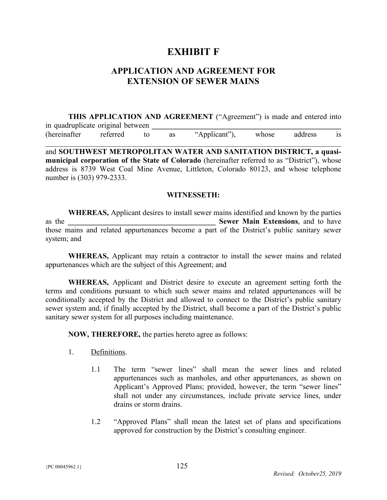# **EXHIBIT F**

# **APPLICATION AND AGREEMENT FOR EXTENSION OF SEWER MAINS**

**THIS APPLICATION AND AGREEMENT** ("Agreement") is made and entered into in quadruplicate original between (hereinafter referred to as "Applicant"), whose address is

\_\_\_\_\_\_\_\_\_\_\_\_\_\_\_\_\_\_\_\_\_\_\_\_\_\_\_\_\_\_\_\_\_\_\_\_\_\_\_\_\_\_\_\_\_\_\_\_\_\_\_\_\_\_\_\_\_\_\_\_\_\_\_\_\_\_\_\_\_\_\_\_\_\_\_\_\_\_ and **SOUTHWEST METROPOLITAN WATER AND SANITATION DISTRICT, a quasimunicipal corporation of the State of Colorado** (hereinafter referred to as "District"), whose address is 8739 West Coal Mine Avenue, Littleton, Colorado 80123, and whose telephone number is (303) 979-2333.

#### **WITNESSETH:**

**WHEREAS,** Applicant desires to install sewer mains identified and known by the parties as the **abula Extensions**, and to have **Sewer Main Extensions**, and to have those mains and related appurtenances become a part of the District's public sanitary sewer system; and

**WHEREAS,** Applicant may retain a contractor to install the sewer mains and related appurtenances which are the subject of this Agreement; and

**WHEREAS,** Applicant and District desire to execute an agreement setting forth the terms and conditions pursuant to which such sewer mains and related appurtenances will be conditionally accepted by the District and allowed to connect to the District's public sanitary sewer system and, if finally accepted by the District, shall become a part of the District's public sanitary sewer system for all purposes including maintenance.

**NOW, THEREFORE,** the parties hereto agree as follows:

- 1. Definitions.
	- 1.1 The term "sewer lines" shall mean the sewer lines and related appurtenances such as manholes, and other appurtenances, as shown on Applicant's Approved Plans; provided, however, the term "sewer lines" shall not under any circumstances, include private service lines, under drains or storm drains.
	- 1.2 "Approved Plans" shall mean the latest set of plans and specifications approved for construction by the District's consulting engineer.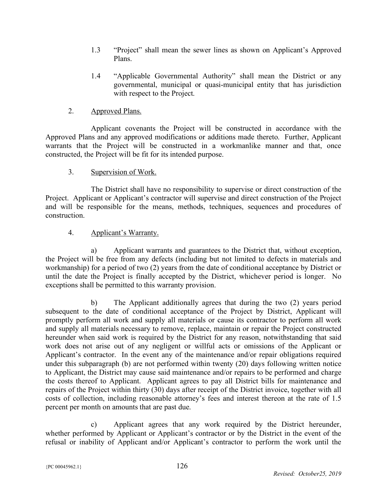- 1.3 "Project" shall mean the sewer lines as shown on Applicant's Approved Plans.
- 1.4 "Applicable Governmental Authority" shall mean the District or any governmental, municipal or quasi-municipal entity that has jurisdiction with respect to the Project.

### 2. Approved Plans.

Applicant covenants the Project will be constructed in accordance with the Approved Plans and any approved modifications or additions made thereto. Further, Applicant warrants that the Project will be constructed in a workmanlike manner and that, once constructed, the Project will be fit for its intended purpose.

## 3. Supervision of Work.

The District shall have no responsibility to supervise or direct construction of the Project. Applicant or Applicant's contractor will supervise and direct construction of the Project and will be responsible for the means, methods, techniques, sequences and procedures of construction.

## 4. Applicant's Warranty.

a) Applicant warrants and guarantees to the District that, without exception, the Project will be free from any defects (including but not limited to defects in materials and workmanship) for a period of two (2) years from the date of conditional acceptance by District or until the date the Project is finally accepted by the District, whichever period is longer. No exceptions shall be permitted to this warranty provision.

b) The Applicant additionally agrees that during the two (2) years period subsequent to the date of conditional acceptance of the Project by District, Applicant will promptly perform all work and supply all materials or cause its contractor to perform all work and supply all materials necessary to remove, replace, maintain or repair the Project constructed hereunder when said work is required by the District for any reason, notwithstanding that said work does not arise out of any negligent or willful acts or omissions of the Applicant or Applicant's contractor. In the event any of the maintenance and/or repair obligations required under this subparagraph (b) are not performed within twenty (20) days following written notice to Applicant, the District may cause said maintenance and/or repairs to be performed and charge the costs thereof to Applicant. Applicant agrees to pay all District bills for maintenance and repairs of the Project within thirty (30) days after receipt of the District invoice, together with all costs of collection, including reasonable attorney's fees and interest thereon at the rate of 1.5 percent per month on amounts that are past due.

c) Applicant agrees that any work required by the District hereunder, whether performed by Applicant or Applicant's contractor or by the District in the event of the refusal or inability of Applicant and/or Applicant's contractor to perform the work until the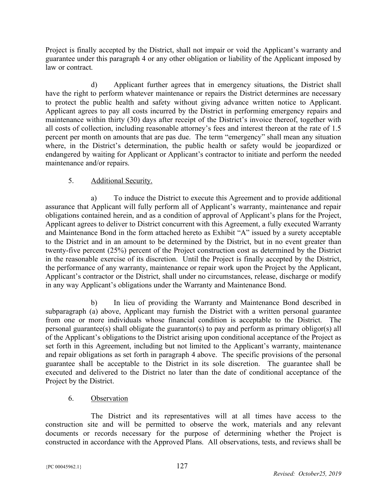Project is finally accepted by the District, shall not impair or void the Applicant's warranty and guarantee under this paragraph 4 or any other obligation or liability of the Applicant imposed by law or contract.

d) Applicant further agrees that in emergency situations, the District shall have the right to perform whatever maintenance or repairs the District determines are necessary to protect the public health and safety without giving advance written notice to Applicant. Applicant agrees to pay all costs incurred by the District in performing emergency repairs and maintenance within thirty (30) days after receipt of the District's invoice thereof, together with all costs of collection, including reasonable attorney's fees and interest thereon at the rate of 1.5 percent per month on amounts that are pas due. The term "emergency" shall mean any situation where, in the District's determination, the public health or safety would be jeopardized or endangered by waiting for Applicant or Applicant's contractor to initiate and perform the needed maintenance and/or repairs.

# 5. Additional Security.

a) To induce the District to execute this Agreement and to provide additional assurance that Applicant will fully perform all of Applicant's warranty, maintenance and repair obligations contained herein, and as a condition of approval of Applicant's plans for the Project, Applicant agrees to deliver to District concurrent with this Agreement, a fully executed Warranty and Maintenance Bond in the form attached hereto as Exhibit "A" issued by a surety acceptable to the District and in an amount to be determined by the District, but in no event greater than twenty-five percent (25%) percent of the Project construction cost as determined by the District in the reasonable exercise of its discretion. Until the Project is finally accepted by the District, the performance of any warranty, maintenance or repair work upon the Project by the Applicant, Applicant's contractor or the District, shall under no circumstances, release, discharge or modify in any way Applicant's obligations under the Warranty and Maintenance Bond.

b) In lieu of providing the Warranty and Maintenance Bond described in subparagraph (a) above, Applicant may furnish the District with a written personal guarantee from one or more individuals whose financial condition is acceptable to the District. The personal guarantee(s) shall obligate the guarantor(s) to pay and perform as primary obligor(s) all of the Applicant's obligations to the District arising upon conditional acceptance of the Project as set forth in this Agreement, including but not limited to the Applicant's warranty, maintenance and repair obligations as set forth in paragraph 4 above. The specific provisions of the personal guarantee shall be acceptable to the District in its sole discretion. The guarantee shall be executed and delivered to the District no later than the date of conditional acceptance of the Project by the District.

### 6. Observation

The District and its representatives will at all times have access to the construction site and will be permitted to observe the work, materials and any relevant documents or records necessary for the purpose of determining whether the Project is constructed in accordance with the Approved Plans. All observations, tests, and reviews shall be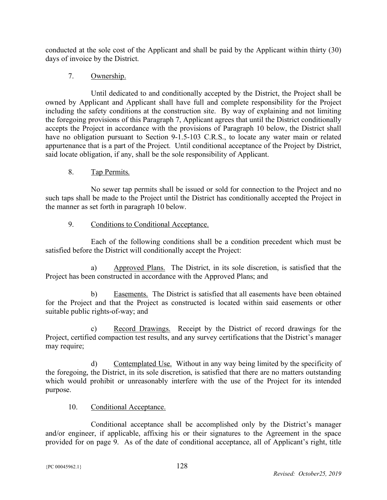conducted at the sole cost of the Applicant and shall be paid by the Applicant within thirty (30) days of invoice by the District.

### 7. Ownership.

Until dedicated to and conditionally accepted by the District, the Project shall be owned by Applicant and Applicant shall have full and complete responsibility for the Project including the safety conditions at the construction site. By way of explaining and not limiting the foregoing provisions of this Paragraph 7, Applicant agrees that until the District conditionally accepts the Project in accordance with the provisions of Paragraph 10 below, the District shall have no obligation pursuant to Section 9-1.5-103 C.R.S., to locate any water main or related appurtenance that is a part of the Project. Until conditional acceptance of the Project by District, said locate obligation, if any, shall be the sole responsibility of Applicant.

### 8. Tap Permits.

No sewer tap permits shall be issued or sold for connection to the Project and no such taps shall be made to the Project until the District has conditionally accepted the Project in the manner as set forth in paragraph 10 below.

#### 9. Conditions to Conditional Acceptance.

Each of the following conditions shall be a condition precedent which must be satisfied before the District will conditionally accept the Project:

a) Approved Plans. The District, in its sole discretion, is satisfied that the Project has been constructed in accordance with the Approved Plans; and

b) Easements. The District is satisfied that all easements have been obtained for the Project and that the Project as constructed is located within said easements or other suitable public rights-of-way; and

c) Record Drawings. Receipt by the District of record drawings for the Project, certified compaction test results, and any survey certifications that the District's manager may require;

d) Contemplated Use. Without in any way being limited by the specificity of the foregoing, the District, in its sole discretion, is satisfied that there are no matters outstanding which would prohibit or unreasonably interfere with the use of the Project for its intended purpose.

#### 10. Conditional Acceptance.

Conditional acceptance shall be accomplished only by the District's manager and/or engineer, if applicable, affixing his or their signatures to the Agreement in the space provided for on page 9. As of the date of conditional acceptance, all of Applicant's right, title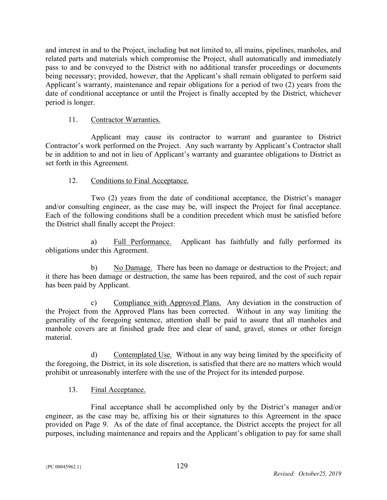and interest in and to the Project, including but not limited to, all mains, pipelines, manholes, and related parts and materials which compromise the Project, shall automatically and immediately pass to and be conveyed to the District with no additional transfer proceedings or documents being necessary; provided, however, that the Applicant's shall remain obligated to perform said Applicant's warranty, maintenance and repair obligations for a period of two (2) years from the date of conditional acceptance or until the Project is finally accepted by the District, whichever period is longer.

### 11. Contractor Warranties.

Applicant may cause its contractor to warrant and guarantee to District Contractor's work performed on the Project. Any such warranty by Applicant's Contractor shall be in addition to and not in lieu of Applicant's warranty and guarantee obligations to District as set forth in this Agreement.

## 12. Conditions to Final Acceptance.

Two (2) years from the date of conditional acceptance, the District's manager and/or consulting engineer, as the case may be, will inspect the Project for final acceptance. Each of the following conditions shall be a condition precedent which must be satisfied before the District shall finally accept the Project:

a) Full Performance. Applicant has faithfully and fully performed its obligations under this Agreement.

b) No Damage. There has been no damage or destruction to the Project; and it there has been damage or destruction, the same has been repaired, and the cost of such repair has been paid by Applicant.

c) Compliance with Approved Plans. Any deviation in the construction of the Project from the Approved Plans has been corrected. Without in any way limiting the generality of the foregoing sentence, attention shall be paid to assure that all manholes and manhole covers are at finished grade free and clear of sand, gravel, stones or other foreign material.

d) Contemplated Use. Without in any way being limited by the specificity of the foregoing, the District, in its sole discretion, is satisfied that there are no matters which would prohibit or unreasonably interfere with the use of the Project for its intended purpose.

### 13. Final Acceptance.

Final acceptance shall be accomplished only by the District's manager and/or engineer, as the case may be, affixing his or their signatures to this Agreement in the space provided on Page 9. As of the date of final acceptance, the District accepts the project for all purposes, including maintenance and repairs and the Applicant's obligation to pay for same shall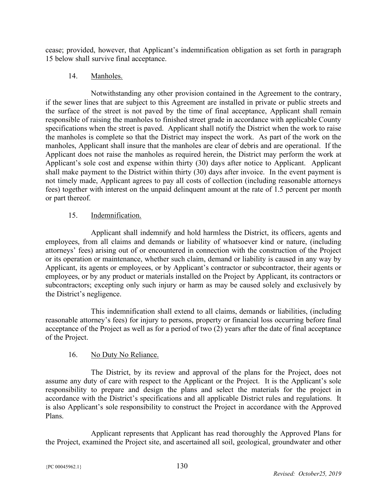cease; provided, however, that Applicant's indemnification obligation as set forth in paragraph 15 below shall survive final acceptance.

### 14. Manholes.

Notwithstanding any other provision contained in the Agreement to the contrary, if the sewer lines that are subject to this Agreement are installed in private or public streets and the surface of the street is not paved by the time of final acceptance, Applicant shall remain responsible of raising the manholes to finished street grade in accordance with applicable County specifications when the street is paved. Applicant shall notify the District when the work to raise the manholes is complete so that the District may inspect the work. As part of the work on the manholes, Applicant shall insure that the manholes are clear of debris and are operational. If the Applicant does not raise the manholes as required herein, the District may perform the work at Applicant's sole cost and expense within thirty (30) days after notice to Applicant. Applicant shall make payment to the District within thirty (30) days after invoice. In the event payment is not timely made, Applicant agrees to pay all costs of collection (including reasonable attorneys fees) together with interest on the unpaid delinquent amount at the rate of 1.5 percent per month or part thereof.

## 15. Indemnification.

Applicant shall indemnify and hold harmless the District, its officers, agents and employees, from all claims and demands or liability of whatsoever kind or nature, (including attorneys' fees) arising out of or encountered in connection with the construction of the Project or its operation or maintenance, whether such claim, demand or liability is caused in any way by Applicant, its agents or employees, or by Applicant's contractor or subcontractor, their agents or employees, or by any product or materials installed on the Project by Applicant, its contractors or subcontractors; excepting only such injury or harm as may be caused solely and exclusively by the District's negligence.

This indemnification shall extend to all claims, demands or liabilities, (including reasonable attorney's fees) for injury to persons, property or financial loss occurring before final acceptance of the Project as well as for a period of two (2) years after the date of final acceptance of the Project.

### 16. No Duty No Reliance.

The District, by its review and approval of the plans for the Project, does not assume any duty of care with respect to the Applicant or the Project. It is the Applicant's sole responsibility to prepare and design the plans and select the materials for the project in accordance with the District's specifications and all applicable District rules and regulations. It is also Applicant's sole responsibility to construct the Project in accordance with the Approved Plans.

Applicant represents that Applicant has read thoroughly the Approved Plans for the Project, examined the Project site, and ascertained all soil, geological, groundwater and other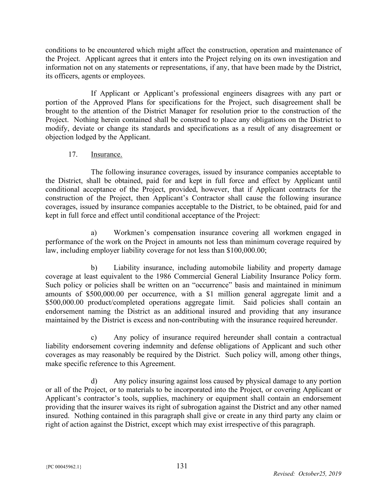conditions to be encountered which might affect the construction, operation and maintenance of the Project. Applicant agrees that it enters into the Project relying on its own investigation and information not on any statements or representations, if any, that have been made by the District, its officers, agents or employees.

If Applicant or Applicant's professional engineers disagrees with any part or portion of the Approved Plans for specifications for the Project, such disagreement shall be brought to the attention of the District Manager for resolution prior to the construction of the Project. Nothing herein contained shall be construed to place any obligations on the District to modify, deviate or change its standards and specifications as a result of any disagreement or objection lodged by the Applicant.

### 17. Insurance.

The following insurance coverages, issued by insurance companies acceptable to the District, shall be obtained, paid for and kept in full force and effect by Applicant until conditional acceptance of the Project, provided, however, that if Applicant contracts for the construction of the Project, then Applicant's Contractor shall cause the following insurance coverages, issued by insurance companies acceptable to the District, to be obtained, paid for and kept in full force and effect until conditional acceptance of the Project:

a) Workmen's compensation insurance covering all workmen engaged in performance of the work on the Project in amounts not less than minimum coverage required by law, including employer liability coverage for not less than \$100,000.00;

b) Liability insurance, including automobile liability and property damage coverage at least equivalent to the 1986 Commercial General Liability Insurance Policy form. Such policy or policies shall be written on an "occurrence" basis and maintained in minimum amounts of \$500,000.00 per occurrence, with a \$1 million general aggregate limit and a \$500,000.00 product/completed operations aggregate limit. Said policies shall contain an endorsement naming the District as an additional insured and providing that any insurance maintained by the District is excess and non-contributing with the insurance required hereunder.

c) Any policy of insurance required hereunder shall contain a contractual liability endorsement covering indemnity and defense obligations of Applicant and such other coverages as may reasonably be required by the District. Such policy will, among other things, make specific reference to this Agreement.

d) Any policy insuring against loss caused by physical damage to any portion or all of the Project, or to materials to be incorporated into the Project, or covering Applicant or Applicant's contractor's tools, supplies, machinery or equipment shall contain an endorsement providing that the insurer waives its right of subrogation against the District and any other named insured. Nothing contained in this paragraph shall give or create in any third party any claim or right of action against the District, except which may exist irrespective of this paragraph.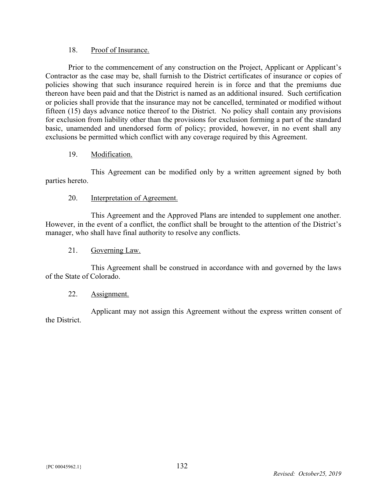#### 18. Proof of Insurance.

Prior to the commencement of any construction on the Project, Applicant or Applicant's Contractor as the case may be, shall furnish to the District certificates of insurance or copies of policies showing that such insurance required herein is in force and that the premiums due thereon have been paid and that the District is named as an additional insured. Such certification or policies shall provide that the insurance may not be cancelled, terminated or modified without fifteen (15) days advance notice thereof to the District. No policy shall contain any provisions for exclusion from liability other than the provisions for exclusion forming a part of the standard basic, unamended and unendorsed form of policy; provided, however, in no event shall any exclusions be permitted which conflict with any coverage required by this Agreement.

#### 19. Modification.

This Agreement can be modified only by a written agreement signed by both parties hereto.

#### 20. Interpretation of Agreement.

This Agreement and the Approved Plans are intended to supplement one another. However, in the event of a conflict, the conflict shall be brought to the attention of the District's manager, who shall have final authority to resolve any conflicts.

#### 21. Governing Law.

This Agreement shall be construed in accordance with and governed by the laws of the State of Colorado.

#### 22. Assignment.

Applicant may not assign this Agreement without the express written consent of the District.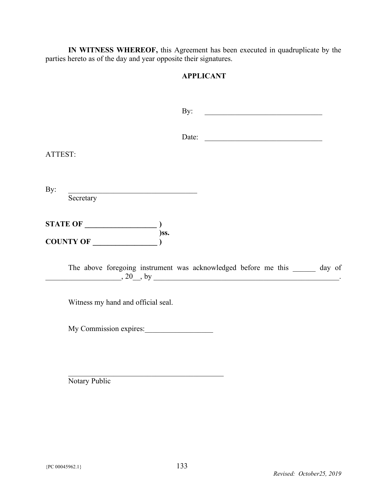**IN WITNESS WHEREOF,** this Agreement has been executed in quadruplicate by the parties hereto as of the day and year opposite their signatures.

#### **APPLICANT**

|                                                                       |            | By:   |  |  |
|-----------------------------------------------------------------------|------------|-------|--|--|
|                                                                       |            | Date: |  |  |
| ATTEST:                                                               |            |       |  |  |
| By:<br>Secretary                                                      |            |       |  |  |
| <b>STATE OF</b>                                                       | )ss.       |       |  |  |
| <b>COUNTY OF</b>                                                      |            |       |  |  |
| The above foregoing instrument was acknowledged before me this day of | $, 20,$ by |       |  |  |

Witness my hand and official seal.

My Commission expires:

 $\mathcal{L}_\mathcal{L}$  , and the set of the set of the set of the set of the set of the set of the set of the set of the set of the set of the set of the set of the set of the set of the set of the set of the set of the set of th

Notary Public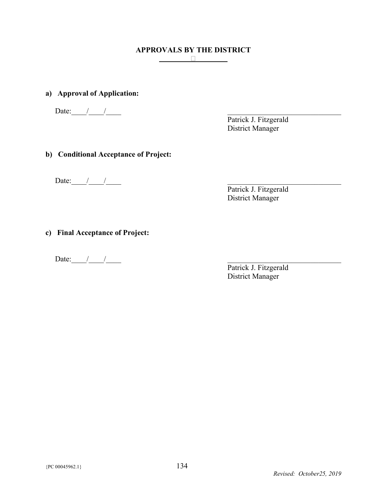#### **APPROVALS BY THE DISTRICT** <u> 1990 - Jan Barbara Barbara, prima populație de la proprietat de la proprietat de la proprietat de la proprietat de la proprietat de la proprietat de la proprietat de la proprietat de la proprietat de la proprietat de la </u>

#### **a) Approval of Application:**

Date:  $\frac{1}{2}$  /  $\frac{1}{2}$ 

Patrick J. Fitzgerald District Manager

# **b) Conditional Acceptance of Project:**

Date:  $\frac{1}{2}$  /  $\frac{1}{2}$ 

Patrick J. Fitzgerald District Manager

#### **c) Final Acceptance of Project:**

Date: $\frac{1}{\sqrt{2\pi}}$ 

Patrick J. Fitzgerald District Manager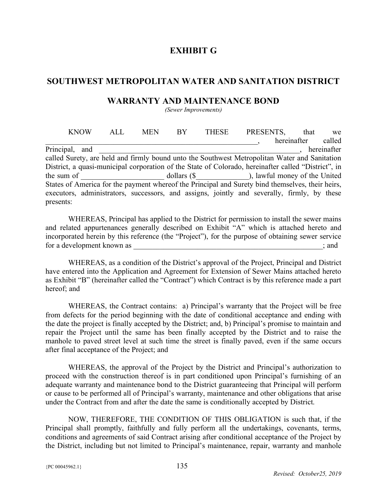# **EXHIBIT G**

# **SOUTHWEST METROPOLITAN WATER AND SANITATION DISTRICT**

#### **WARRANTY AND MAINTENANCE BOND**

*(Sewer Improvements)*

KNOW ALL MEN BY THESE PRESENTS, that we \_\_\_\_\_\_\_\_\_\_\_\_\_\_\_\_\_\_\_\_\_\_\_\_\_\_\_\_\_\_\_\_\_\_\_\_\_\_\_\_\_\_\_\_\_\_\_\_\_\_\_\_\_\_\_\_, hereinafter called Principal, and <br>
periodic state of the state of the state of the state of the state of the state of the state of the state of the state of the state of the state of the state of the state of the state of the state of the s called Surety, are held and firmly bound unto the Southwest Metropolitan Water and Sanitation District, a quasi-municipal corporation of the State of Colorado, hereinafter called "District", in the sum of \_\_\_\_\_\_\_\_\_\_\_\_\_\_\_\_\_\_\_\_\_\_ dollars (\$\_\_\_\_\_\_\_\_\_\_\_\_\_\_), lawful money of the United States of America for the payment whereof the Principal and Surety bind themselves, their heirs, executors, administrators, successors, and assigns, jointly and severally, firmly, by these presents:

WHEREAS, Principal has applied to the District for permission to install the sewer mains and related appurtenances generally described on Exhibit "A" which is attached hereto and incorporated herein by this reference (the "Project"), for the purpose of obtaining sewer service for a development known as  $\blacksquare$ ; and

WHEREAS, as a condition of the District's approval of the Project, Principal and District have entered into the Application and Agreement for Extension of Sewer Mains attached hereto as Exhibit "B" (hereinafter called the "Contract") which Contract is by this reference made a part hereof; and

WHEREAS, the Contract contains: a) Principal's warranty that the Project will be free from defects for the period beginning with the date of conditional acceptance and ending with the date the project is finally accepted by the District; and, b) Principal's promise to maintain and repair the Project until the same has been finally accepted by the District and to raise the manhole to paved street level at such time the street is finally paved, even if the same occurs after final acceptance of the Project; and

WHEREAS, the approval of the Project by the District and Principal's authorization to proceed with the construction thereof is in part conditioned upon Principal's furnishing of an adequate warranty and maintenance bond to the District guaranteeing that Principal will perform or cause to be performed all of Principal's warranty, maintenance and other obligations that arise under the Contract from and after the date the same is conditionally accepted by District.

NOW, THEREFORE, THE CONDITION OF THIS OBLIGATION is such that, if the Principal shall promptly, faithfully and fully perform all the undertakings, covenants, terms, conditions and agreements of said Contract arising after conditional acceptance of the Project by the District, including but not limited to Principal's maintenance, repair, warranty and manhole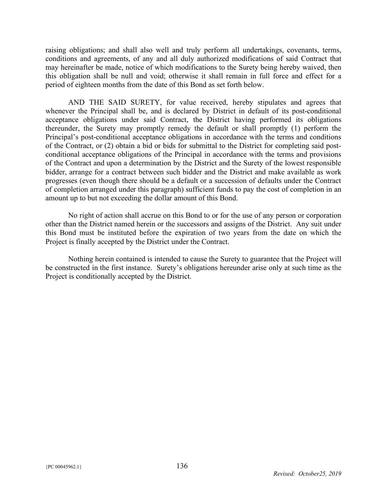raising obligations; and shall also well and truly perform all undertakings, covenants, terms, conditions and agreements, of any and all duly authorized modifications of said Contract that may hereinafter be made, notice of which modifications to the Surety being hereby waived, then this obligation shall be null and void; otherwise it shall remain in full force and effect for a period of eighteen months from the date of this Bond as set forth below.

AND THE SAID SURETY, for value received, hereby stipulates and agrees that whenever the Principal shall be, and is declared by District in default of its post-conditional acceptance obligations under said Contract, the District having performed its obligations thereunder, the Surety may promptly remedy the default or shall promptly (1) perform the Principal's post-conditional acceptance obligations in accordance with the terms and conditions of the Contract, or (2) obtain a bid or bids for submittal to the District for completing said postconditional acceptance obligations of the Principal in accordance with the terms and provisions of the Contract and upon a determination by the District and the Surety of the lowest responsible bidder, arrange for a contract between such bidder and the District and make available as work progresses (even though there should be a default or a succession of defaults under the Contract of completion arranged under this paragraph) sufficient funds to pay the cost of completion in an amount up to but not exceeding the dollar amount of this Bond.

No right of action shall accrue on this Bond to or for the use of any person or corporation other than the District named herein or the successors and assigns of the District. Any suit under this Bond must be instituted before the expiration of two years from the date on which the Project is finally accepted by the District under the Contract.

Nothing herein contained is intended to cause the Surety to guarantee that the Project will be constructed in the first instance. Surety's obligations hereunder arise only at such time as the Project is conditionally accepted by the District.